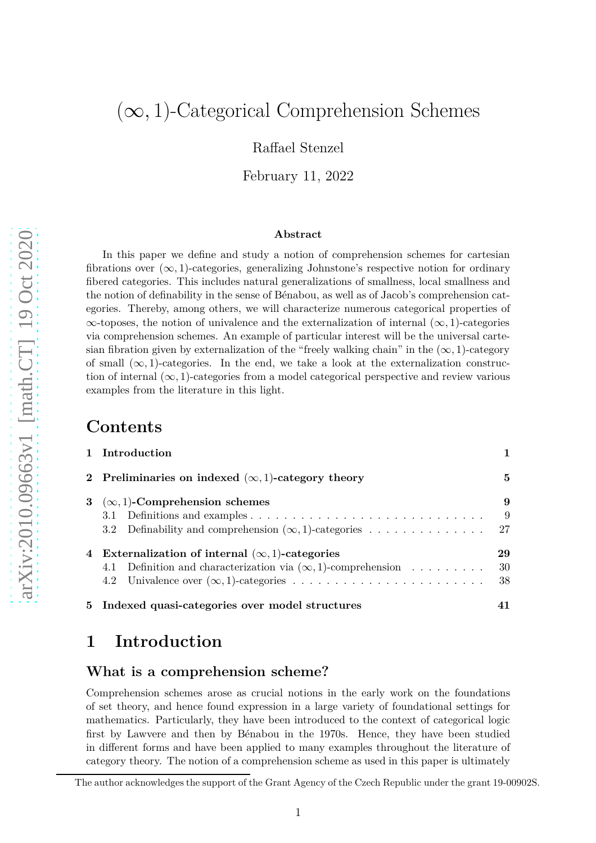# $(\infty, 1)$ -Categorical Comprehension Schemes

Raffael Stenzel

February 11, 2022

#### **Abstract**

In this paper we define and study a notion of comprehension schemes for cartesian fibrations over  $(\infty, 1)$ -categories, generalizing Johnstone's respective notion for ordinary fibered categories. This includes natural generalizations of smallness, local smallness and the notion of definability in the sense of Bénabou, as well as of Jacob's comprehension categories. Thereby, among others, we will characterize numerous categorical properties of ∞-toposes, the notion of univalence and the externalization of internal (∞*,* 1)-categories via comprehension schemes. An example of particular interest will be the universal cartesian fibration given by externalization of the "freely walking chain" in the  $(\infty, 1)$ -category of small  $(\infty, 1)$ -categories. In the end, we take a look at the externalization construction of internal  $(\infty, 1)$ -categories from a model categorical perspective and review various examples from the literature in this light.

### **Contents**

| 1 Introduction                                                       |    |
|----------------------------------------------------------------------|----|
| 2 Preliminaries on indexed $(\infty, 1)$ -category theory            | 5  |
| 3 ( $\infty$ , 1)-Comprehension schemes                              | 9  |
|                                                                      | -9 |
|                                                                      |    |
| 4 Externalization of internal $(\infty, 1)$ -categories              | 29 |
| 4.1 Definition and characterization via $(\infty, 1)$ -comprehension | 30 |
|                                                                      | 38 |
| 5 Indexed quasi-categories over model structures                     |    |

## <span id="page-0-0"></span>**1 Introduction**

#### <span id="page-0-1"></span>**What is a comprehension scheme?**

Comprehension schemes arose as crucial notions in the early work on the foundations of set theory, and hence found expression in a large variety of foundational settings for mathematics. Particularly, they have been introduced to the context of categorical logic first by Lawvere and then by Bénabou in the 1970s. Hence, they have been studied in different forms and have been applied to many examples throughout the literature of category theory. The notion of a comprehension scheme as used in this paper is ultimately

The author acknowledges the support of the Grant Agency of the Czech Republic under the grant 19-00902S.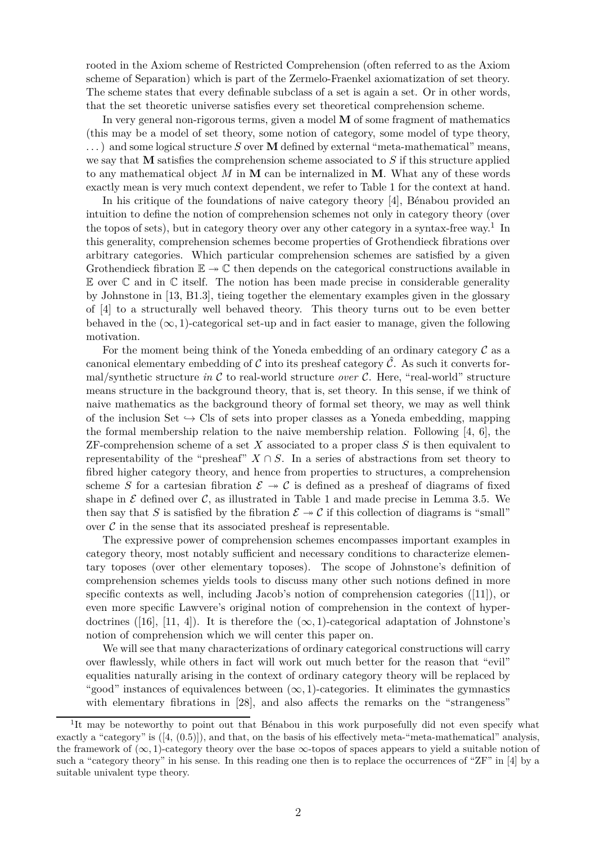rooted in the Axiom scheme of Restricted Comprehension (often referred to as the Axiom scheme of Separation) which is part of the Zermelo-Fraenkel axiomatization of set theory. The scheme states that every definable subclass of a set is again a set. Or in other words, that the set theoretic universe satisfies every set theoretical comprehension scheme.

In very general non-rigorous terms, given a model **M** of some fragment of mathematics (this may be a model of set theory, some notion of category, some model of type theory, . . . ) and some logical structure *S* over **M** defined by external "meta-mathematical" means, we say that **M** satisfies the comprehension scheme associated to *S* if this structure applied to any mathematical object *M* in **M** can be internalized in **M**. What any of these words exactly mean is very much context dependent, we refer to Table [1](#page-0-1) for the context at hand.

In his critique of the foundations of naive category theory  $[4]$ , Bénabou provided an intuition to define the notion of comprehension schemes not only in category theory (over the topos of sets), but in category theory over any other category in a syntax-free way.<sup>[1](#page-1-0)</sup> In this generality, comprehension schemes become properties of Grothendieck fibrations over arbitrary categories. Which particular comprehension schemes are satisfied by a given Grothendieck fibration  $\mathbb{E} \to \mathbb{C}$  then depends on the categorical constructions available in  $E$  over  $C$  and in  $C$  itself. The notion has been made precise in considerable generality by Johnstone in [\[13,](#page-50-0) B1.3], tieing together the elementary examples given in the glossary of [\[4\]](#page-49-0) to a structurally well behaved theory. This theory turns out to be even better behaved in the  $(\infty, 1)$ -categorical set-up and in fact easier to manage, given the following motivation.

For the moment being think of the Yoneda embedding of an ordinary category  $\mathcal C$  as a canonical elementary embedding of C into its presheaf category  $\hat{\mathcal{C}}$ . As such it converts formal/synthetic structure *in*  $\mathcal C$  to real-world structure *over*  $\mathcal C$ . Here, "real-world" structure means structure in the background theory, that is, set theory. In this sense, if we think of naive mathematics as the background theory of formal set theory, we may as well think of the inclusion Set  $\hookrightarrow$  Cls of sets into proper classes as a Yoneda embedding, mapping the formal membership relation to the naive membership relation. Following [\[4,](#page-49-0) 6], the ZF-comprehension scheme of a set *X* associated to a proper class *S* is then equivalent to representability of the "presheaf"  $X \cap S$ . In a series of abstractions from set theory to fibred higher category theory, and hence from properties to structures, a comprehension scheme *S* for a cartesian fibration  $\mathcal{E} \rightarrow \mathcal{C}$  is defined as a presheaf of diagrams of fixed shape in  $\mathcal E$  defined over  $\mathcal C$ , as illustrated in Table [1](#page-0-1) and made precise in Lemma [3.5.](#page-11-0) We then say that *S* is satisfied by the fibration  $\mathcal{E} \rightarrow \mathcal{C}$  if this collection of diagrams is "small" over  $\mathcal C$  in the sense that its associated presheaf is representable.

The expressive power of comprehension schemes encompasses important examples in category theory, most notably sufficient and necessary conditions to characterize elementary toposes (over other elementary toposes). The scope of Johnstone's definition of comprehension schemes yields tools to discuss many other such notions defined in more specific contexts as well, including Jacob's notion of comprehension categories ([\[11\]](#page-50-1)), or even more specific Lawvere's original notion of comprehension in the context of hyper-doctrines ([\[16\]](#page-50-2), [\[11,](#page-50-1) 4]). It is therefore the  $(\infty, 1)$ -categorical adaptation of Johnstone's notion of comprehension which we will center this paper on.

We will see that many characterizations of ordinary categorical constructions will carry over flawlessly, while others in fact will work out much better for the reason that "evil" equalities naturally arising in the context of ordinary category theory will be replaced by "good" instances of equivalences between  $(\infty, 1)$ -categories. It eliminates the gymnastics with elementary fibrations in [\[28\]](#page-50-3), and also affects the remarks on the "strangeness"

<span id="page-1-0"></span><sup>&</sup>lt;sup>1</sup>It may be noteworthy to point out that Bénabou in this work purposefully did not even specify what exactly a "category" is  $([4, (0.5)])$  $([4, (0.5)])$  $([4, (0.5)])$ , and that, on the basis of his effectively meta-"meta-mathematical" analysis, the framework of  $(\infty, 1)$ -category theory over the base  $\infty$ -topos of spaces appears to yield a suitable notion of such a "category theory" in his sense. In this reading one then is to replace the occurrences of "ZF" in [\[4\]](#page-49-0) by a suitable univalent type theory.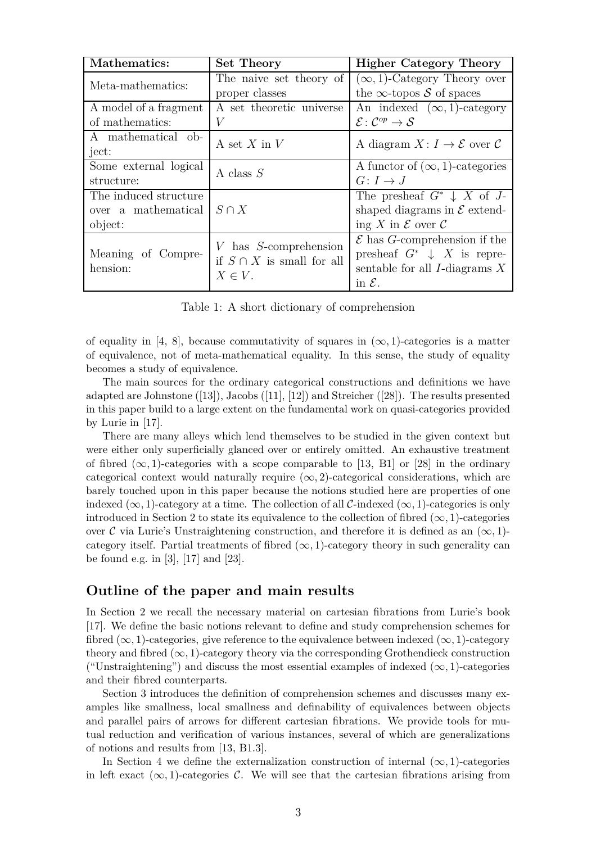| Mathematics:          | Set Theory                                                                  | <b>Higher Category Theory</b>                         |  |
|-----------------------|-----------------------------------------------------------------------------|-------------------------------------------------------|--|
| Meta-mathematics:     | The naive set theory of                                                     | $(\infty, 1)$ -Category Theory over                   |  |
|                       | proper classes                                                              | the $\infty$ -topos S of spaces                       |  |
| A model of a fragment | A set theoretic universe                                                    | An indexed $(\infty, 1)$ -category                    |  |
| of mathematics:       | V                                                                           | $\mathcal{E} \colon \mathcal{C}^{op} \to \mathcal{S}$ |  |
| A mathematical ob-    | A set $X$ in $V$                                                            | A diagram $X: I \to \mathcal{E}$ over C               |  |
| ject:                 |                                                                             |                                                       |  |
| Some external logical | A class $S$                                                                 | A functor of $(\infty, 1)$ -categories                |  |
| structure:            |                                                                             | $G\colon I\to J$                                      |  |
| The induced structure | $S \cap X$                                                                  | The presheaf $G^* \downarrow X$ of J-                 |  |
| over a mathematical   |                                                                             | shaped diagrams in $\mathcal E$ extend-               |  |
| object:               |                                                                             | ing X in $\mathcal E$ over $\mathcal C$               |  |
|                       | $V$ has $S$ -comprehension<br>if $S \cap X$ is small for all<br>$X \in V$ . | $\mathcal E$ has G-comprehension if the               |  |
| Meaning of Compre-    |                                                                             | presheaf $G^* \downarrow X$ is repre-                 |  |
| hension:              |                                                                             | sentable for all $I$ -diagrams $X$                    |  |
|                       |                                                                             | in $\mathcal{E}$ .                                    |  |

Table 1: A short dictionary of comprehension

of equality in [\[4,](#page-49-0) 8], because commutativity of squares in  $(\infty, 1)$ -categories is a matter of equivalence, not of meta-mathematical equality. In this sense, the study of equality becomes a study of equivalence.

The main sources for the ordinary categorical constructions and definitions we have adapted are Johnstone ([\[13\]](#page-50-0)), Jacobs ([\[11\]](#page-50-1), [\[12\]](#page-50-4)) and Streicher ([\[28\]](#page-50-3)). The results presented in this paper build to a large extent on the fundamental work on quasi-categories provided by Lurie in [\[17\]](#page-50-5).

There are many alleys which lend themselves to be studied in the given context but were either only superficially glanced over or entirely omitted. An exhaustive treatment of fibred  $(\infty, 1)$ -categories with a scope comparable to [\[13,](#page-50-0) B1] or [\[28\]](#page-50-3) in the ordinary categorical context would naturally require  $(\infty, 2)$ -categorical considerations, which are barely touched upon in this paper because the notions studied here are properties of one indexed  $(\infty, 1)$ -category at a time. The collection of all C-indexed  $(\infty, 1)$ -categories is only introduced in Section [2](#page-4-0) to state its equivalence to the collection of fibred  $(\infty, 1)$ -categories over C via Lurie's Unstraightening construction, and therefore it is defined as an  $(\infty, 1)$ category itself. Partial treatments of fibred  $(\infty, 1)$ -category theory in such generality can be found e.g. in [\[3\]](#page-49-1), [\[17\]](#page-50-5) and [\[23\]](#page-50-6).

#### **Outline of the paper and main results**

In Section [2](#page-4-0) we recall the necessary material on cartesian fibrations from Lurie's book [\[17\]](#page-50-5). We define the basic notions relevant to define and study comprehension schemes for fibred  $(\infty, 1)$ -categories, give reference to the equivalence between indexed  $(\infty, 1)$ -category theory and fibred  $(\infty, 1)$ -category theory via the corresponding Grothendieck construction ("Unstraightening") and discuss the most essential examples of indexed  $(\infty, 1)$ -categories and their fibred counterparts.

Section [3](#page-8-0) introduces the definition of comprehension schemes and discusses many examples like smallness, local smallness and definability of equivalences between objects and parallel pairs of arrows for different cartesian fibrations. We provide tools for mutual reduction and verification of various instances, several of which are generalizations of notions and results from [\[13,](#page-50-0) B1.3].

In Section [4](#page-28-0) we define the externalization construction of internal  $(\infty, 1)$ -categories in left exact  $(\infty, 1)$ -categories C. We will see that the cartesian fibrations arising from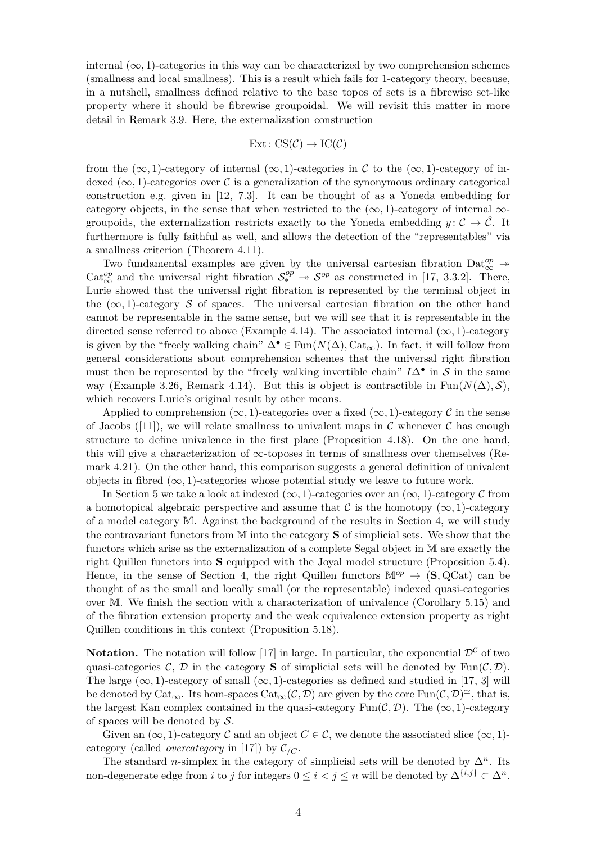internal  $(\infty, 1)$ -categories in this way can be characterized by two comprehension schemes (smallness and local smallness). This is a result which fails for 1-category theory, because, in a nutshell, smallness defined relative to the base topos of sets is a fibrewise set-like property where it should be fibrewise groupoidal. We will revisit this matter in more detail in Remark [3.9.](#page-13-0) Here, the externalization construction

$$
Ext: CS(\mathcal{C}) \to IC(\mathcal{C})
$$

from the  $(\infty, 1)$ -category of internal  $(\infty, 1)$ -categories in C to the  $(\infty, 1)$ -category of indexed ( $\infty$ , 1)-categories over C is a generalization of the synonymous ordinary categorical construction e.g. given in [\[12,](#page-50-4) 7.3]. It can be thought of as a Yoneda embedding for category objects, in the sense that when restricted to the  $(\infty, 1)$ -category of internal  $\infty$ groupoids, the externalization restricts exactly to the Yoneda embedding  $y: \mathcal{C} \to \mathcal{C}$ . It furthermore is fully faithful as well, and allows the detection of the "representables" via a smallness criterion (Theorem [4.11\)](#page-33-0).

Two fundamental examples are given by the universal cartesian fibration  $\text{Det}^{op}_{\infty} \to$ Cat<sup>op</sup> and the universal right fibration  $S^{op}_* \to S^{op}$  as constructed in [\[17,](#page-50-5) 3.3.2]. There, Lurie showed that the universal right fibration is represented by the terminal object in the  $(\infty, 1)$ -category S of spaces. The universal cartesian fibration on the other hand cannot be representable in the same sense, but we will see that it is representable in the directed sense referred to above (Example [4.14\)](#page-34-0). The associated internal  $(\infty, 1)$ -category is given by the "freely walking chain"  $\Delta^{\bullet} \in \text{Fun}(N(\Delta), \text{Cat}_{\infty})$ . In fact, it will follow from general considerations about comprehension schemes that the universal right fibration must then be represented by the "freely walking invertible chain"  $I\Delta^{\bullet}$  in  $S$  in the same way (Example [3.26,](#page-25-0) Remark [4.14\)](#page-34-0). But this is object is contractible in Fun( $N(\Delta)$ , S), which recovers Lurie's original result by other means.

Applied to comprehension  $(\infty, 1)$ -categories over a fixed  $(\infty, 1)$ -category C in the sense of Jacobs ([\[11\]](#page-50-1)), we will relate smallness to univalent maps in C whenever C has enough structure to define univalence in the first place (Proposition [4.18\)](#page-37-1). On the one hand, this will give a characterization of  $\infty$ -toposes in terms of smallness over themselves (Remark [4.21\)](#page-39-0). On the other hand, this comparison suggests a general definition of univalent objects in fibred  $(\infty, 1)$ -categories whose potential study we leave to future work.

In Section [5](#page-40-0) we take a look at indexed  $(\infty, 1)$ -categories over an  $(\infty, 1)$ -category C from a homotopical algebraic perspective and assume that C is the homotopy  $(\infty, 1)$ -category of a model category M. Against the background of the results in Section [4,](#page-28-0) we will study the contravariant functors from M into the category **S** of simplicial sets. We show that the functors which arise as the externalization of a complete Segal object in M are exactly the right Quillen functors into **S** equipped with the Joyal model structure (Proposition [5.4\)](#page-42-0). Hence, in the sense of Section [4,](#page-28-0) the right Quillen functors  $\mathbb{M}^{op} \to (\mathbf{S}, \mathbf{QCat})$  can be thought of as the small and locally small (or the representable) indexed quasi-categories over M. We finish the section with a characterization of univalence (Corollary [5.15\)](#page-45-0) and of the fibration extension property and the weak equivalence extension property as right Quillen conditions in this context (Proposition [5.18\)](#page-48-0).

**Notation.** The notation will follow [\[17\]](#page-50-5) in large. In particular, the exponential  $\mathcal{D}^{\mathcal{C}}$  of two quasi-categories C, D in the category **S** of simplicial sets will be denoted by Fun(C, D). The large  $(\infty, 1)$ -category of small  $(\infty, 1)$ -categories as defined and studied in [\[17,](#page-50-5) 3] will be denoted by  $\text{Cat}_{\infty}$ . Its hom-spaces  $\text{Cat}_{\infty}(\mathcal{C}, \mathcal{D})$  are given by the core  $\text{Fun}(\mathcal{C}, \mathcal{D})^{\simeq}$ , that is, the largest Kan complex contained in the quasi-category Fun( $\mathcal{C}, \mathcal{D}$ ). The ( $\infty$ , 1)-category of spaces will be denoted by  $S$ .

Given an  $(\infty, 1)$ -category C and an object  $C \in \mathcal{C}$ , we denote the associated slice  $(\infty, 1)$ category (called *overcategory* in [\[17\]](#page-50-5)) by  $\mathcal{C}_{/C}$ .

The standard *n*-simplex in the category of simplicial sets will be denoted by  $\Delta^n$ . Its non-degenerate edge from *i* to *j* for integers  $0 \le i < j \le n$  will be denoted by  $\Delta^{\{i,j\}} \subset \Delta^n$ .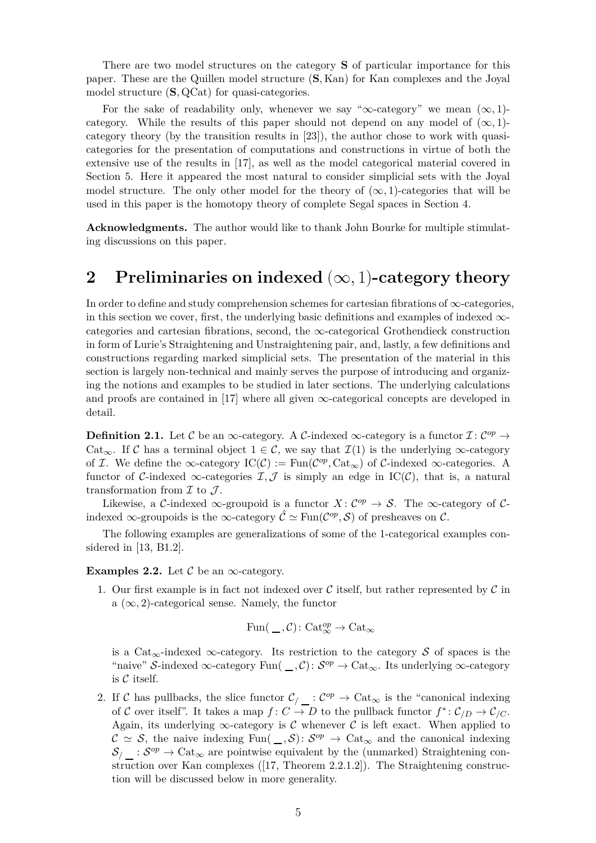There are two model structures on the category **S** of particular importance for this paper. These are the Quillen model structure (**S***,* Kan) for Kan complexes and the Joyal model structure (**S***,* QCat) for quasi-categories.

For the sake of readability only, whenever we say " $\infty$ -category" we mean  $(\infty, 1)$ category. While the results of this paper should not depend on any model of  $(\infty,1)$ category theory (by the transition results in [\[23\]](#page-50-6)), the author chose to work with quasicategories for the presentation of computations and constructions in virtue of both the extensive use of the results in [\[17\]](#page-50-5), as well as the model categorical material covered in Section [5.](#page-40-0) Here it appeared the most natural to consider simplicial sets with the Joyal model structure. The only other model for the theory of  $(\infty, 1)$ -categories that will be used in this paper is the homotopy theory of complete Segal spaces in Section [4.](#page-28-0)

**Acknowledgments.** The author would like to thank John Bourke for multiple stimulating discussions on this paper.

## <span id="page-4-0"></span>**2 Preliminaries on indexed** (∞*,* 1)**-category theory**

In order to define and study comprehension schemes for cartesian fibrations of  $\infty$ -categories, in this section we cover, first, the underlying basic definitions and examples of indexed  $\infty$ categories and cartesian fibrations, second, the  $\infty$ -categorical Grothendieck construction in form of Lurie's Straightening and Unstraightening pair, and, lastly, a few definitions and constructions regarding marked simplicial sets. The presentation of the material in this section is largely non-technical and mainly serves the purpose of introducing and organizing the notions and examples to be studied in later sections. The underlying calculations and proofs are contained in [\[17\]](#page-50-5) where all given  $\infty$ -categorical concepts are developed in detail.

**Definition 2.1.** Let C be an  $\infty$ -category. A C-indexed  $\infty$ -category is a functor  $\mathcal{I}: C^{op} \to$ Cat<sub>∞</sub>. If C has a terminal object  $1 \in \mathcal{C}$ , we say that  $\mathcal{I}(1)$  is the underlying  $\infty$ -category of *I*. We define the  $\infty$ -category  $\text{IC}(\mathcal{C}) := \text{Fun}(\mathcal{C}^{op}, \text{Cat}_{\infty})$  of *C*-indexed  $\infty$ -categories. A functor of C-indexed  $\infty$ -categories  $\mathcal{I}, \mathcal{J}$  is simply an edge in IC(C), that is, a natural transformation from  $\mathcal I$  to  $\mathcal J$ .

Likewise, a C-indexed  $\infty$ -groupoid is a functor  $X: C^{op} \to S$ . The  $\infty$ -category of Cindexed  $\infty$ -groupoids is the  $\infty$ -category  $\hat{\mathcal{C}} \simeq \text{Fun}(\mathcal{C}^{op}, \mathcal{S})$  of presheaves on  $\mathcal{C}$ .

<span id="page-4-1"></span>The following examples are generalizations of some of the 1-categorical examples considered in [\[13,](#page-50-0) B1.2].

**Examples 2.2.** Let  $\mathcal{C}$  be an  $\infty$ -category.

1. Our first example is in fact not indexed over  $\mathcal C$  itself, but rather represented by  $\mathcal C$  in a  $(\infty, 2)$ -categorical sense. Namely, the functor

$$
\mathrm{Fun}(\hspace{0.05cm}\underline{\ \ }\hspace{0.1cm} , \mathcal{C})\colon \mathrm{Cat}_{\infty}^{op}\to \mathrm{Cat}_{\infty}^{\infty}
$$

is a Cat<sub>∞</sub>-indexed ∞-category. Its restriction to the category S of spaces is the "naive" S-indexed  $\infty$ -category Fun(  $\_,$  C):  $S^{op} \to \text{Cat}_{\infty}$ . Its underlying  $\infty$ -category is  $C$  itself.

2. If C has pullbacks, the slice functor  $\mathcal{C}_\ell$  :  $\mathcal{C}^{op} \to \text{Cat}_{\infty}$  is the "canonical indexing of C over itself". It takes a map  $f: C \to D$  to the pullback functor  $f^*: \mathcal{C}_{/D} \to \mathcal{C}_{/C}$ . Again, its underlying  $\infty$ -category is C whenever C is left exact. When applied to  $\mathcal{C} \simeq \mathcal{S}$ , the naive indexing Fun( *\_, S*):  $\mathcal{S}^{op} \to \text{Cat}_{\infty}$  and the canonical indexing  $\mathcal{S}_{\langle}$ :  $\mathcal{S}^{op}$   $\rightarrow$  Cat<sub>∞</sub> are pointwise equivalent by the (unmarked) Straightening construction over Kan complexes ([\[17,](#page-50-5) Theorem 2.2.1.2]). The Straightening construction will be discussed below in more generality.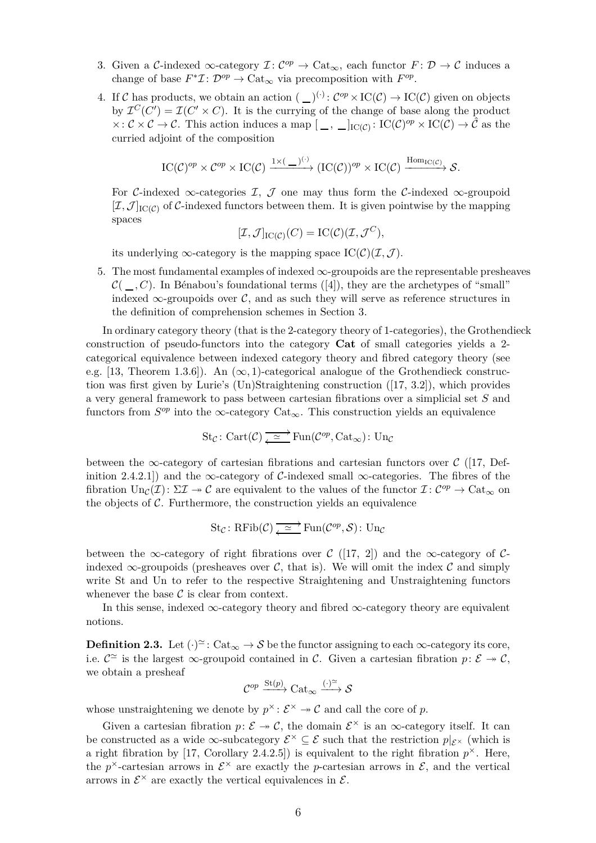- 3. Given a C-indexed  $\infty$ -category  $\mathcal{I}: C^{op} \to \text{Cat}_{\infty}$ , each functor  $F: \mathcal{D} \to \mathcal{C}$  induces a change of base  $F^*\mathcal{I}: \mathcal{D}^{op} \to \mathrm{Cat}_{\infty}$  via precomposition with  $F^{op}$ .
- 4. If C has products, we obtain an action  $(\_)^{(\cdot)}: C^{op} \times \mathrm{IC}(\mathcal{C}) \to \mathrm{IC}(\mathcal{C})$  given on objects by  $\mathcal{I}^C(C') = \mathcal{I}(C' \times C)$ . It is the currying of the change of base along the product  $\times: \mathcal{C} \times \mathcal{C} \to \mathcal{C}$ . This action induces a map  $[\_ ,\_ ]_{\mathrm{IC}(\mathcal{C})} : \mathrm{IC}(\mathcal{C})^{op} \times \mathrm{IC}(\mathcal{C}) \to \hat{\mathcal{C}}$  as the curried adjoint of the composition

$$
\mathrm{IC}(\mathcal{C})^{op} \times \mathcal{C}^{op} \times \mathrm{IC}(\mathcal{C}) \xrightarrow{1 \times (\_\_)(\cdot)} (\mathrm{IC}(\mathcal{C}))^{op} \times \mathrm{IC}(\mathcal{C}) \xrightarrow{\mathrm{Hom}_{\mathrm{IC}(\mathcal{C})}} \mathcal{S}.
$$

For C-indexed  $\infty$ -categories I, J one may thus form the C-indexed  $\infty$ -groupoid  $[\mathcal{I}, \mathcal{J}]_{\text{IC}(\mathcal{C})}$  of C-indexed functors between them. It is given pointwise by the mapping spaces

$$
[\mathcal{I}, \mathcal{J}]_{\mathrm{IC}(\mathcal{C})}(C) = \mathrm{IC}(\mathcal{C})(\mathcal{I}, \mathcal{J}^C),
$$

its underlying  $\infty$ -category is the mapping space  $\mathrm{IC}(\mathcal{C})(\mathcal{I}, \mathcal{J})$ .

5. The most fundamental examples of indexed  $\infty$ -groupoids are the representable presheaves  $\mathcal{C}(\_,C)$ . In Bénabou's foundational terms ([\[4\]](#page-49-0)), they are the archetypes of "small" indexed  $\infty$ -groupoids over C, and as such they will serve as reference structures in the definition of comprehension schemes in Section [3.](#page-8-0)

In ordinary category theory (that is the 2-category theory of 1-categories), the Grothendieck construction of pseudo-functors into the category **Cat** of small categories yields a 2 categorical equivalence between indexed category theory and fibred category theory (see e.g. [\[13,](#page-50-0) Theorem 1.3.6]). An  $(\infty, 1)$ -categorical analogue of the Grothendieck construction was first given by Lurie's (Un)Straightening construction ([\[17,](#page-50-5) 3.2]), which provides a very general framework to pass between cartesian fibrations over a simplicial set *S* and functors from  $S^{op}$  into the ∞-category Cat<sub>∞</sub>. This construction yields an equivalence

$$
\mathop{\mathrm{St}}\nolimits_{\mathcal{C}}\colon \mathop{\mathrm{Cart}}\nolimits({\mathcal{C}}) \xrightarrow[\longleftarrow{\hspace*{1.5cm}}]{} \mathop{\mathrm{Fun}}\nolimits({\mathcal{C}}^{op}, \mathop{\mathrm{Cat}}\nolimits_\infty) \colon \mathop{\mathrm{Un}}\nolimits_{\mathcal{C}}
$$

between the  $\infty$ -category of cartesian fibrations and cartesian functors over C ([\[17,](#page-50-5) Definition 2.4.2.1) and the ∞-category of C-indexed small ∞-categories. The fibres of the fibration  $\text{Un}_{\mathcal{C}}(\mathcal{I})\colon \Sigma \mathcal{I} \to \mathcal{C}$  are equivalent to the values of the functor  $\mathcal{I} \colon \mathcal{C}^{op} \to \text{Cat}_{\infty}$  on the objects of  $C$ . Furthermore, the construction yields an equivalence

$$
\operatorname{St}_{\mathcal{C}}: \operatorname{RFib}(\mathcal{C}) \xrightarrow{\simeq} \operatorname{Fun}(\mathcal{C}^{op}, \mathcal{S}) : \operatorname{Un}_{\mathcal{C}}
$$

between the ∞-category of right fibrations over C ([\[17,](#page-50-5) 2]) and the ∞-category of Cindexed  $\infty$ -groupoids (presheaves over C, that is). We will omit the index C and simply write St and Un to refer to the respective Straightening and Unstraightening functors whenever the base  $\mathcal C$  is clear from context.

In this sense, indexed  $\infty$ -category theory and fibred  $\infty$ -category theory are equivalent notions.

**Definition 2.3.** Let  $(\cdot)^{\simeq}$ : Cat<sub>∞</sub>  $\rightarrow$  S be the functor assigning to each  $\infty$ -category its core, i.e.  $C^{\simeq}$  is the largest  $\infty$ -groupoid contained in C. Given a cartesian fibration  $p: \mathcal{E} \to \mathcal{C}$ , we obtain a presheaf

$$
\mathcal{C}^{op} \xrightarrow{\mathrm{St}(p)} \mathrm{Cat}_{\infty} \xrightarrow{(\cdot)^{\simeq}} \mathcal{S}
$$

whose unstraightening we denote by  $p^{\times}$ :  $\mathcal{E}^{\times} \rightarrow \mathcal{C}$  and call the core of p.

<span id="page-5-0"></span>Given a cartesian fibration  $p: \mathcal{E} \to \mathcal{C}$ , the domain  $\mathcal{E}^{\times}$  is an  $\infty$ -category itself. It can be constructed as a wide  $\infty$ -subcategory  $\mathcal{E}^{\times} \subseteq \mathcal{E}$  such that the restriction  $p|_{\mathcal{E}^{\times}}$  (which is a right fibration by  $[17, Corollary 2.4.2.5]$  is equivalent to the right fibration  $p^{\times}$ . Here, the  $p^{\times}$ -cartesian arrows in  $\mathcal{E}^{\times}$  are exactly the *p*-cartesian arrows in  $\mathcal{E}$ , and the vertical arrows in  $\mathcal{E}^{\times}$  are exactly the vertical equivalences in  $\mathcal{E}.$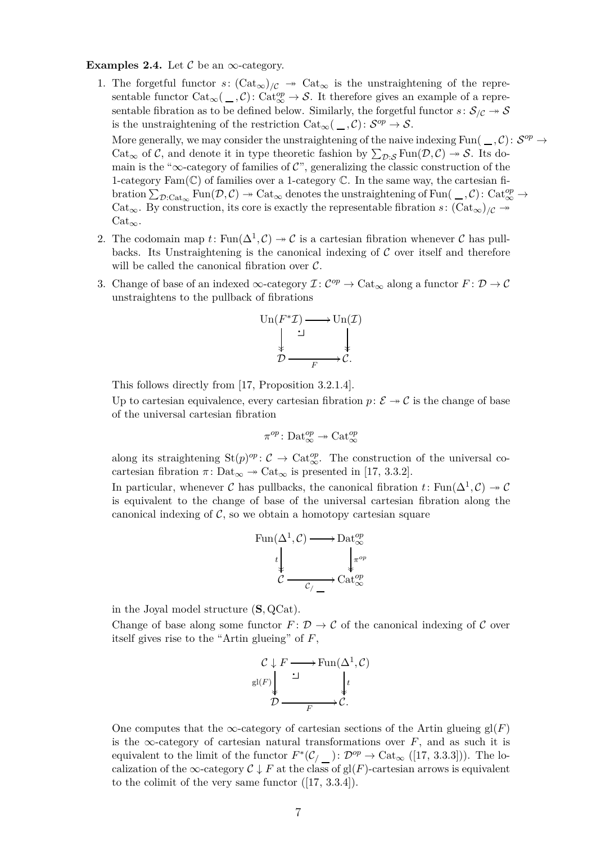**Examples 2.4.** Let  $\mathcal{C}$  be an  $\infty$ -category.

- 1. The forgetful functor  $s: (\text{Cat}_{\infty})_{/\mathcal{C}} \to \text{Cat}_{\infty}$  is the unstraightening of the representable functor  $Cat_{\infty}(\_,\mathcal{C})$ :  $Cat_{\infty}^{op} \to \mathcal{S}$ . It therefore gives an example of a representable fibration as to be defined below. Similarly, the forgetful functor  $s: S_{\mathcal{C}} \rightarrow S$ is the unstraightening of the restriction  $Cat_{\infty}(\_ , {\mathcal C}) \colon {\mathcal S}^{op} \to {\mathcal S}.$ More generally, we may consider the unstraightening of the naive indexing Fun( $\Box$ , C):  $S^{op} \rightarrow$ Cat<sub>∞</sub> of C, and denote it in type theoretic fashion by  $\sum_{\mathcal{D}: \mathcal{S}} \text{Fun}(\mathcal{D}, \mathcal{C}) \to \mathcal{S}$ . Its domain is the "∞-category of families of  $\mathcal{C}$ ", generalizing the classic construction of the 1-category  $Fam(\mathbb{C})$  of families over a 1-category  $\mathbb{C}$ . In the same way, the cartesian fi- $\chi_{\mathcal{D}: \mathrm{Cat}_{\infty}} \mathrm{Fun}(\mathcal{D}, \mathcal{C}) \twoheadrightarrow \mathrm{Cat}_{\infty}$  denotes the unstraightening of Fun $(\_, \mathcal{C}) \colon \mathrm{Cat}_{\infty}^{op} \to$ Cat<sub>∞</sub>. By construction, its core is exactly the representable fibration *s*:  $(\text{Cat}_{\infty})/c \rightarrow$  $Cat_{\infty}$ .
- 2. The codomain map  $t: \text{Fun}(\Delta^1, \mathcal{C}) \to \mathcal{C}$  is a cartesian fibration whenever  $\mathcal C$  has pullbacks. Its Unstraightening is the canonical indexing of  $\mathcal C$  over itself and therefore will be called the canonical fibration over  $\mathcal{C}$ .
- 3. Change of base of an indexed  $\infty$ -category  $\mathcal{I}: C^{op} \to \mathrm{Cat}_{\infty}$  along a functor  $F: \mathcal{D} \to \mathcal{C}$ unstraightens to the pullback of fibrations

Un(*F* <sup>∗</sup>I) / ·y Un(I) D *F* /C*.*

This follows directly from [\[17,](#page-50-5) Proposition 3.2.1.4].

Up to cartesian equivalence, every cartesian fibration  $p: \mathcal{E} \to \mathcal{C}$  is the change of base of the universal cartesian fibration

$$
\pi^{op}\colon \mathrm{Det}_{\infty}^{op}\twoheadrightarrow \mathrm{Cat}_{\infty}^{op}
$$

along its straightening  $St(p)^{op} \colon \mathcal{C} \to \text{Cat}_{\infty}^{op}$ . The construction of the universal cocartesian fibration  $\pi$ : Dat<sub>∞</sub>  $\rightarrow$  Cat<sub>∞</sub> is presented in [\[17,](#page-50-5) 3.3.2].

In particular, whenever C has pullbacks, the canonical fibration  $t \colon \text{Fun}(\Delta^1, \mathcal{C}) \to \mathcal{C}$ is equivalent to the change of base of the universal cartesian fibration along the canonical indexing of  $\mathcal{C}$ , so we obtain a homotopy cartesian square

$$
\text{Fun}(\Delta^1, \mathcal{C}) \longrightarrow \text{Data}_{\infty}^{op}
$$
\n
$$
t \downarrow \qquad \qquad \downarrow \pi^{op}
$$
\n
$$
\mathcal{C} \longrightarrow \text{Cat}_{\infty}^{op}
$$

in the Joyal model structure (**S***,* QCat).

Change of base along some functor  $F: \mathcal{D} \to \mathcal{C}$  of the canonical indexing of  $\mathcal{C}$  over itself gives rise to the "Artin glueing" of *F*,

$$
\mathcal{C} \downarrow F \longrightarrow \text{Fun}(\Delta^1, \mathcal{C})
$$
  
gl(F)  $\downarrow \qquad \qquad \downarrow t$   

$$
\mathcal{D} \longrightarrow F \longrightarrow \mathcal{C}.
$$

One computes that the ∞-category of cartesian sections of the Artin glueing  $gl(F)$ is the ∞-category of cartesian natural transformations over  $F$ , and as such it is equivalent to the limit of the functor  $F^*(\mathcal{C}_{/\_})\colon \mathcal{D}^{op}\to \mathrm{Cat}_{\infty}([17, 3.3.3])$  $F^*(\mathcal{C}_{/\_})\colon \mathcal{D}^{op}\to \mathrm{Cat}_{\infty}([17, 3.3.3])$  $F^*(\mathcal{C}_{/\_})\colon \mathcal{D}^{op}\to \mathrm{Cat}_{\infty}([17, 3.3.3])$ . The localization of the  $\infty$ -category  $C \downarrow F$  at the class of gl(*F*)-cartesian arrows is equivalent to the colimit of the very same functor ([\[17,](#page-50-5) 3.3.4]).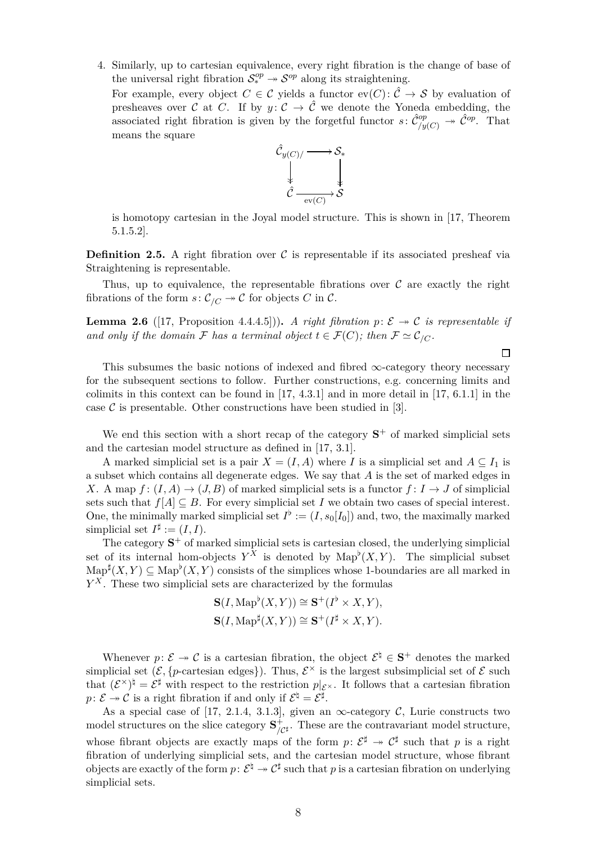4. Similarly, up to cartesian equivalence, every right fibration is the change of base of the universal right fibration  $S^{op}_* \to S^{op}$  along its straightening.

For example, every object  $C \in \mathcal{C}$  yields a functor  $ev(C): \hat{\mathcal{C}} \to \mathcal{S}$  by evaluation of presheaves over C at C. If by  $y: \mathcal{C} \to \hat{\mathcal{C}}$  we denote the Yoneda embedding, the associated right fibration is given by the forgetful functor  $s: \hat{C}^{op}_{/y(C)} \to \hat{C}^{op}$ . That means the square



is homotopy cartesian in the Joyal model structure. This is shown in [\[17,](#page-50-5) Theorem 5.1.5.2].

**Definition 2.5.** A right fibration over  $\mathcal{C}$  is representable if its associated presheaf via Straightening is representable.

Thus, up to equivalence, the representable fibrations over  $\mathcal C$  are exactly the right fibrations of the form  $s: C_{/C} \rightarrow C$  for objects *C* in *C*.

**Lemma 2.6** ([\[17,](#page-50-5) Proposition 4.4.4.5])). *A right fibration*  $p: \mathcal{E} \rightarrow \mathcal{C}$  *is representable if and only if the domain*  $\mathcal F$  *has a terminal object*  $t \in \mathcal F(C)$ *; then*  $\mathcal F \simeq \mathcal C_{/C}$ *.* 

This subsumes the basic notions of indexed and fibred  $\infty$ -category theory necessary for the subsequent sections to follow. Further constructions, e.g. concerning limits and colimits in this context can be found in  $[17, 4.3.1]$  and in more detail in  $[17, 6.1.1]$  in the case  $\mathcal C$  is presentable. Other constructions have been studied in [\[3\]](#page-49-1).

We end this section with a short recap of the category  $S^+$  of marked simplicial sets and the cartesian model structure as defined in [\[17,](#page-50-5) 3.1].

A marked simplicial set is a pair  $X = (I, A)$  where *I* is a simplicial set and  $A \subseteq I_1$  is a subset which contains all degenerate edges. We say that *A* is the set of marked edges in *X*. A map  $f : (I, A) \rightarrow (J, B)$  of marked simplicial sets is a functor  $f : I \rightarrow J$  of simplicial sets such that  $f[A] \subseteq B$ . For every simplicial set *I* we obtain two cases of special interest. One, the minimally marked simplicial set  $I^{\flat} := (I, s_0[I_0])$  and, two, the maximally marked simplicial set  $I^{\sharp} := (I, I)$ .

The category **S** <sup>+</sup> of marked simplicial sets is cartesian closed, the underlying simplicial set of its internal hom-objects  $Y^X$  is denoted by  $\text{Map}^{\flat}(X, Y)$ . The simplicial subset  $\mathrm{Map}^{\sharp}(X,Y) \subseteq \mathrm{Map}^{\flat}(X,Y)$  consists of the simplices whose 1-boundaries are all marked in *Y <sup>X</sup>* . These two simplicial sets are characterized by the formulas

$$
\mathbf{S}(I, \mathrm{Map}^{\flat}(X, Y)) \cong \mathbf{S}^+(I^{\flat} \times X, Y),
$$
  

$$
\mathbf{S}(I, \mathrm{Map}^{\sharp}(X, Y)) \cong \mathbf{S}^+(I^{\sharp} \times X, Y).
$$

Whenever  $p: \mathcal{E} \to \mathcal{C}$  is a cartesian fibration, the object  $\mathcal{E}^{\dagger} \in \mathbf{S}^+$  denotes the marked simplicial set  $(\mathcal{E}, \{p\text{-cartesian edges}\})$ . Thus,  $\mathcal{E}^{\times}$  is the largest subsimplicial set of  $\mathcal{E}$  such that  $(\mathcal{E}^{\times})^{\natural} = \mathcal{E}^{\sharp}$  with respect to the restriction  $p|_{\mathcal{E}^{\times}}$ . It follows that a cartesian fibration  $p: \mathcal{E} \to \mathcal{C}$  is a right fibration if and only if  $\mathcal{E}^{\sharp} = \mathcal{E}^{\sharp}$ .

As a special case of [\[17,](#page-50-5) 2.1.4, 3.1.3], given an  $\infty$ -category C, Lurie constructs two model structures on the slice category **S** +  $\mu_{\mathcal{C}^{\sharp}}^{+}$ . These are the contravariant model structure, whose fibrant objects are exactly maps of the form  $p: \mathcal{E}^{\sharp} \to \mathcal{C}^{\sharp}$  such that p is a right fibration of underlying simplicial sets, and the cartesian model structure, whose fibrant objects are exactly of the form  $p: \mathcal{E}^\natural \twoheadrightarrow \mathcal{C}^\sharp$  such that  $p$  is a cartesian fibration on underlying simplicial sets.

 $\Box$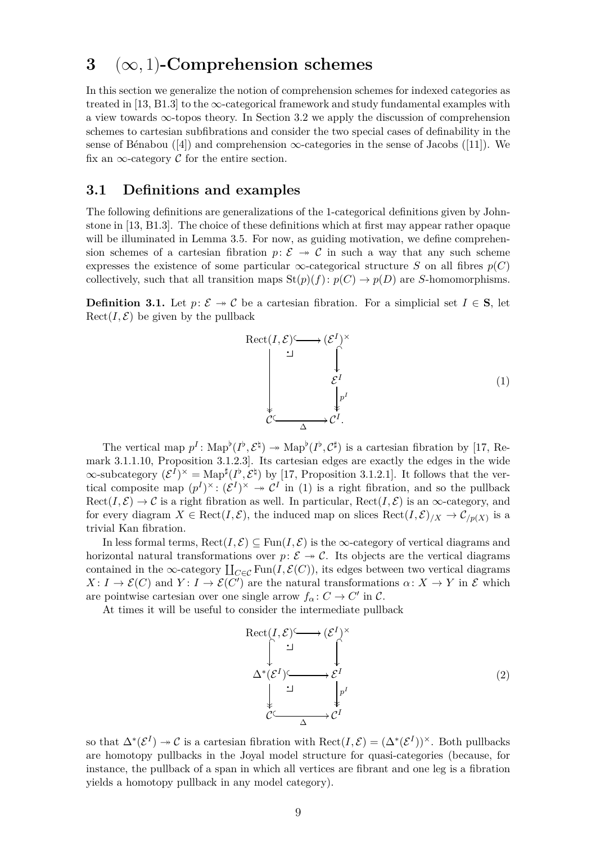## <span id="page-8-0"></span>**3** (∞*,* 1)**-Comprehension schemes**

In this section we generalize the notion of comprehension schemes for indexed categories as treated in [\[13,](#page-50-0) B1.3] to the  $\infty$ -categorical framework and study fundamental examples with a view towards  $\infty$ -topos theory. In Section [3.2](#page-26-0) we apply the discussion of comprehension schemes to cartesian subfibrations and consider the two special cases of definability in the sense of Bénabou ([\[4\]](#page-49-0)) and comprehension  $\infty$ -categories in the sense of Jacobs ([\[11\]](#page-50-1)). We fix an  $\infty$ -category C for the entire section.

#### <span id="page-8-1"></span>**3.1 Definitions and examples**

The following definitions are generalizations of the 1-categorical definitions given by Johnstone in [\[13,](#page-50-0) B1.3]. The choice of these definitions which at first may appear rather opaque will be illuminated in Lemma [3.5.](#page-11-0) For now, as guiding motivation, we define comprehension schemes of a cartesian fibration  $p: \mathcal{E} \rightarrow \mathcal{C}$  in such a way that any such scheme expresses the existence of some particular  $\infty$ -categorical structure *S* on all fibres  $p(C)$ collectively, such that all transition maps  $\text{St}(p)(f)$ :  $p(C) \to p(D)$  are *S*-homomorphisms.

<span id="page-8-4"></span>**Definition 3.1.** Let  $p: \mathcal{E} \rightarrow \mathcal{C}$  be a cartesian fibration. For a simplicial set  $I \in S$ , let  $\text{Rect}(I, \mathcal{E})$  be given by the pullback

<span id="page-8-2"></span>

The vertical map  $p^I: \text{Map}^{\flat}(I^{\flat}, \mathcal{E}^{\natural}) \to \text{Map}^{\flat}(I^{\flat}, \mathcal{C}^{\sharp})$  is a cartesian fibration by [\[17,](#page-50-5) Remark 3.1.1.10, Proposition 3.1.2.3]. Its cartesian edges are exactly the edges in the wide  $\infty$ -subcategory  $({\mathcal{E}}^I)^\times = \text{Map}^\sharp(I^\flat, {\mathcal{E}}^\natural)$  by [\[17,](#page-50-5) Proposition 3.1.2.1]. It follows that the vertical composite map  $(p^I)^{\times}$ :  $(\mathcal{E}^I)^{\times} \to \mathcal{C}^I$  in [\(1\)](#page-8-2) is a right fibration, and so the pullback  $Rect(I, \mathcal{E}) \to \mathcal{C}$  is a right fibration as well. In particular,  $Rect(I, \mathcal{E})$  is an  $\infty$ -category, and for every diagram  $X \in \text{Rect}(I, \mathcal{E})$ , the induced map on slices  $\text{Rect}(I, \mathcal{E})_{/X} \to \mathcal{C}_{/p(X)}$  is a trivial Kan fibration.

In less formal terms,  $\text{Rect}(I, \mathcal{E}) \subseteq \text{Fun}(I, \mathcal{E})$  is the  $\infty$ -category of vertical diagrams and horizontal natural transformations over  $p: \mathcal{E} \to \mathcal{C}$ . Its objects are the vertical diagrams contained in the ∞-category  $\coprod_{C \in \mathcal{C}} \text{Fun}(I, \mathcal{E}(C))$ , its edges between two vertical diagrams  $X: I \to \mathcal{E}(C)$  and  $Y: I \to \mathcal{E}(C')$  are the natural transformations  $\alpha: X \to Y$  in E which are pointwise cartesian over one single arrow  $f_{\alpha}: C \to C'$  in  $C$ .

At times it will be useful to consider the intermediate pullback

<span id="page-8-5"></span>
$$
\operatorname{Rect}(I, \mathcal{E}) \hookrightarrow (\mathcal{E}^I)^{\times}
$$
\n
$$
\downarrow \qquad \qquad \downarrow \qquad \qquad \downarrow
$$
\n
$$
\Delta^*(\mathcal{E}^I) \hookrightarrow \mathcal{E}^I
$$
\n
$$
\downarrow \qquad \qquad \downarrow \qquad \qquad \downarrow \qquad \downarrow \qquad \qquad \downarrow
$$
\n
$$
\mathcal{C} \hookrightarrow \Delta^I
$$
\n(2)

<span id="page-8-3"></span>so that  $\Delta^*(\mathcal{E}^I) \to \mathcal{C}$  is a cartesian fibration with  $\text{Rect}(I,\mathcal{E}) = (\Delta^*(\mathcal{E}^I))^{\times}$ . Both pullbacks are homotopy pullbacks in the Joyal model structure for quasi-categories (because, for instance, the pullback of a span in which all vertices are fibrant and one leg is a fibration yields a homotopy pullback in any model category).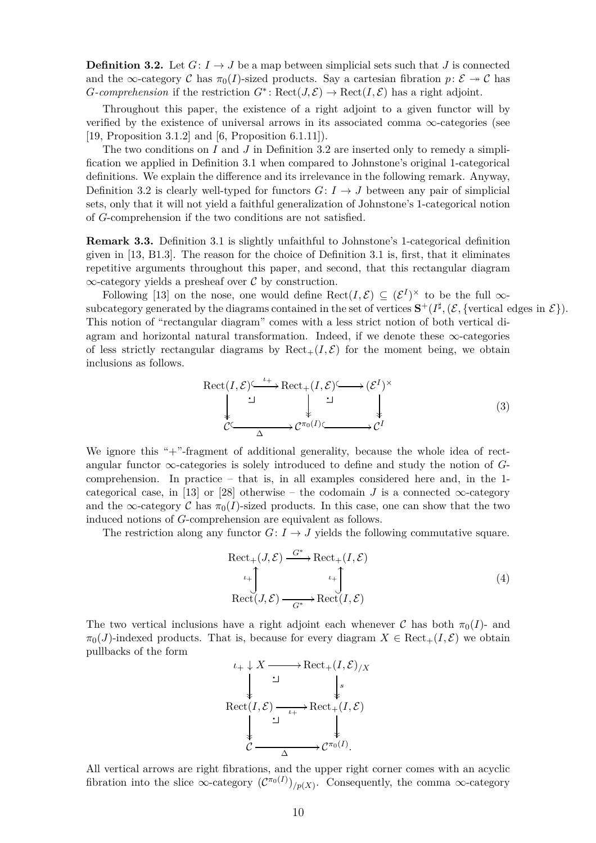**Definition 3.2.** Let  $G: I \rightarrow J$  be a map between simplicial sets such that *J* is connected and the  $\infty$ -category C has  $\pi_0(I)$ -sized products. Say a cartesian fibration  $p: \mathcal{E} \to \mathcal{C}$  has *G*-comprehension if the restriction  $G^*$ : Rect $(J, \mathcal{E}) \to \text{Rect}(I, \mathcal{E})$  has a right adjoint.

Throughout this paper, the existence of a right adjoint to a given functor will by verified by the existence of universal arrows in its associated comma  $\infty$ -categories (see [\[19,](#page-50-7) Proposition 3.1.2] and [\[6,](#page-49-2) Proposition 6.1.11]).

The two conditions on *I* and *J* in Definition [3.2](#page-8-3) are inserted only to remedy a simplification we applied in Definition [3.1](#page-8-4) when compared to Johnstone's original 1-categorical definitions. We explain the difference and its irrelevance in the following remark. Anyway, Definition [3.2](#page-8-3) is clearly well-typed for functors  $G: I \rightarrow J$  between any pair of simplicial sets, only that it will not yield a faithful generalization of Johnstone's 1-categorical notion of *G*-comprehension if the two conditions are not satisfied.

<span id="page-9-1"></span>**Remark 3.3.** Definition [3.1](#page-8-4) is slightly unfaithful to Johnstone's 1-categorical definition given in [\[13,](#page-50-0) B1.3]. The reason for the choice of Definition [3.1](#page-8-4) is, first, that it eliminates repetitive arguments throughout this paper, and second, that this rectangular diagram  $\infty$ -category yields a presheaf over C by construction.

Following [\[13\]](#page-50-0) on the nose, one would define  $\text{Rect}(I,\mathcal{E}) \subseteq (\mathcal{E}^I)^{\times}$  to be the full  $\infty$ subcategory generated by the diagrams contained in the set of vertices  $\mathbf{S}^+(I^{\sharp}, (\mathcal{E}, {\text{vertical edges in } \mathcal{E}})).$ This notion of "rectangular diagram" comes with a less strict notion of both vertical diagram and horizontal natural transformation. Indeed, if we denote these  $\infty$ -categories of less strictly rectangular diagrams by  $\text{Rect}_+(I,\mathcal{E})$  for the moment being, we obtain inclusions as follows.

$$
\begin{array}{ccc}\n\text{Rect}(I,\mathcal{E}) & \xrightarrow{t+} \text{Rect}_{+}(I,\mathcal{E}) \xrightarrow{\smile} (\mathcal{E}^{I})^{\times} \\
\downarrow & \downarrow & \downarrow & \downarrow \\
\mathcal{C} & \xrightarrow{\Delta} \mathcal{C}^{\pi_{0}(I)} \xrightarrow{\smile} \mathcal{C}^{I}\n\end{array} \tag{3}
$$

We ignore this "+"-fragment of additional generality, because the whole idea of rectangular functor  $\infty$ -categories is solely introduced to define and study the notion of *G*comprehension. In practice – that is, in all examples considered here and, in the 1- categorical case, in [\[13\]](#page-50-0) or [\[28\]](#page-50-3) otherwise – the codomain *J* is a connected  $\infty$ -category and the  $\infty$ -category C has  $\pi_0(I)$ -sized products. In this case, one can show that the two induced notions of *G*-comprehension are equivalent as follows.

The restriction along any functor  $G: I \to J$  yields the following commutative square.

<span id="page-9-0"></span>
$$
\begin{aligned} \text{Rect}_{+}(J,\mathcal{E}) &\xrightarrow{G^*} \text{Rect}_{+}(I,\mathcal{E}) \\ &\downarrow \uparrow \\ \text{Rect}(J,\mathcal{E}) &\xrightarrow{G^*} \text{Rect}(I,\mathcal{E}) \end{aligned} \tag{4}
$$

The two vertical inclusions have a right adjoint each whenever C has both  $\pi_0(I)$ - and  $\pi_0(J)$ -indexed products. That is, because for every diagram  $X \in \text{Rect}_+(I, \mathcal{E})$  we obtain pullbacks of the form



All vertical arrows are right fibrations, and the upper right corner comes with an acyclic fibration into the slice  $\infty$ -category  $(\mathcal{C}^{\pi_0(I)})_{/p(X)}$ . Consequently, the comma  $\infty$ -category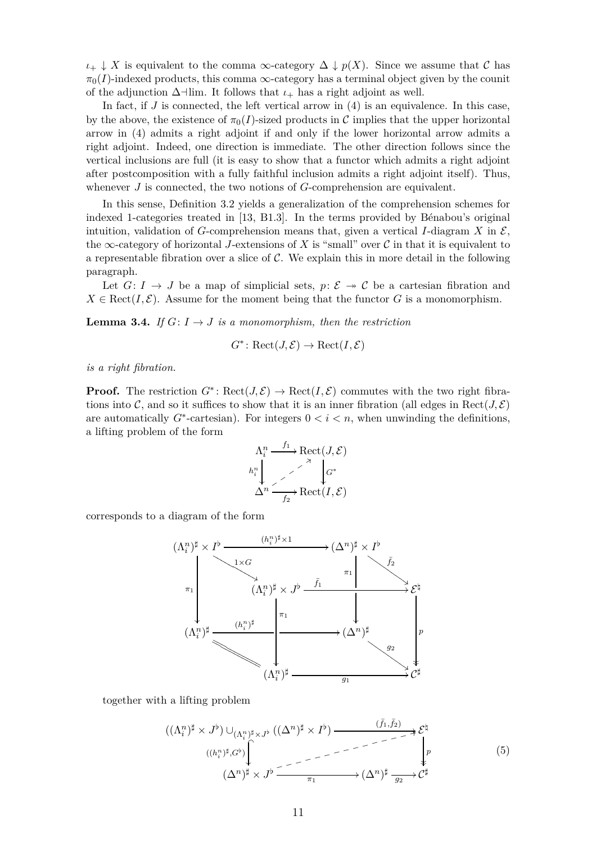$\iota_+ \downarrow X$  is equivalent to the comma  $\infty$ -category  $\Delta \downarrow p(X)$ . Since we assume that C has  $\pi_0(I)$ -indexed products, this comma  $\infty$ -category has a terminal object given by the counit of the adjunction  $\Delta$ <sup>-</sup> $\lim$ . It follows that  $\iota$ <sub>+</sub> has a right adjoint as well.

In fact, if *J* is connected, the left vertical arrow in [\(4\)](#page-9-0) is an equivalence. In this case, by the above, the existence of  $\pi_0(I)$ -sized products in C implies that the upper horizontal arrow in [\(4\)](#page-9-0) admits a right adjoint if and only if the lower horizontal arrow admits a right adjoint. Indeed, one direction is immediate. The other direction follows since the vertical inclusions are full (it is easy to show that a functor which admits a right adjoint after postcomposition with a fully faithful inclusion admits a right adjoint itself). Thus, whenever *J* is connected, the two notions of *G*-comprehension are equivalent.

In this sense, Definition [3.2](#page-8-3) yields a generalization of the comprehension schemes for indexed 1-categories treated in [\[13,](#page-50-0) B1.3]. In the terms provided by Bénabou's original intuition, validation of *G*-comprehension means that, given a vertical *I*-diagram *X* in  $\mathcal{E}$ , the  $\infty$ -category of horizontal *J*-extensions of *X* is "small" over *C* in that it is equivalent to a representable fibration over a slice of  $\mathcal C$ . We explain this in more detail in the following paragraph.

<span id="page-10-1"></span>Let  $G: I \to J$  be a map of simplicial sets,  $p: \mathcal{E} \to \mathcal{C}$  be a cartesian fibration and  $X \in \text{Rect}(I, \mathcal{E})$ . Assume for the moment being that the functor *G* is a monomorphism.

**Lemma 3.4.** *If*  $G: I \rightarrow J$  *is a monomorphism, then the restriction* 

$$
G^* \colon \mathrm{Rect}(J,\mathcal{E}) \to \mathrm{Rect}(I,\mathcal{E})
$$

*is a right fibration.*

**Proof.** The restriction  $G^*$ : Rect $(J, \mathcal{E}) \to \text{Rect}(I, \mathcal{E})$  commutes with the two right fibrations into C, and so it suffices to show that it is an inner fibration (all edges in Rect $(J, \mathcal{E})$ ) are automatically  $G^*$ -cartesian). For integers  $0 < i < n$ , when unwinding the definitions, a lifting problem of the form

$$
\Lambda_i^n \xrightarrow{f_1} \text{Rect}(J, \mathcal{E})
$$
\n
$$
h_i^n \downarrow \nearrow \qquad \downarrow G^*
$$
\n
$$
\Delta^n \xrightarrow{f_2} \text{Rect}(I, \mathcal{E})
$$

corresponds to a diagram of the form



together with a lifting problem

<span id="page-10-0"></span>((Λ*<sup>n</sup> i* ) *<sup>♯</sup>* × *J ♭* ) ∪(Λ*<sup>n</sup> i* ) *<sup>♯</sup>*×*J♭* ((∆*<sup>n</sup>* ) *<sup>♯</sup>* × *I ♭* ) ((*h n i* ) *♯ ,G♭* ) (*f*¯1*,f*¯2) /E *♮ p* (∆*<sup>n</sup>* ) *<sup>♯</sup>* × *J ♭* ❣3 ❣ ❣ ❣ ❣ ❣ ❣ ❣ ❣ ❣ ❣ ❣ ❣ ❣ ❣ *π*<sup>1</sup> /(∆*<sup>n</sup>* ) *♯ g*2 /C *♯* (5)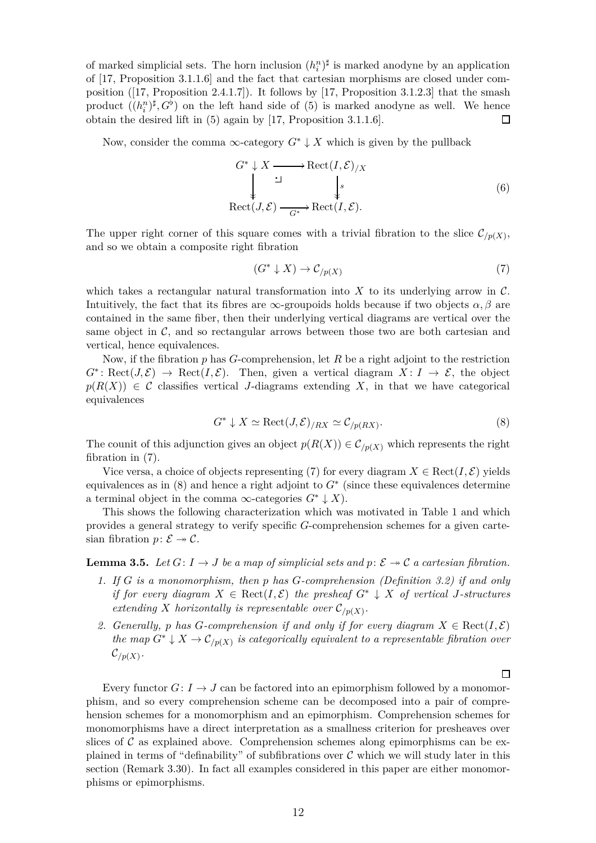of marked simplicial sets. The horn inclusion  $(h_i^n)^{\sharp}$  is marked anodyne by an application of [\[17,](#page-50-5) Proposition 3.1.1.6] and the fact that cartesian morphisms are closed under composition ([\[17,](#page-50-5) Proposition 2.4.1.7]). It follows by [\[17,](#page-50-5) Proposition 3.1.2.3] that the smash product  $((h_i^n)^\sharp, G^\flat)$  on the left hand side of [\(5\)](#page-10-0) is marked anodyne as well. We hence obtain the desired lift in [\(5\)](#page-10-0) again by [\[17,](#page-50-5) Proposition 3.1.1.6]. 口

Now, consider the comma  $\infty$ -category  $G^* \downarrow X$  which is given by the pullback

$$
G^* \downarrow X \longrightarrow \text{Rect}(I, \mathcal{E})/X
$$
  
\n
$$
\downarrow \qquad \qquad \downarrow s
$$
  
\n
$$
\text{Rect}(J, \mathcal{E}) \xrightarrow{G^*} \text{Rect}(I, \mathcal{E}).
$$
  
\n(6)

The upper right corner of this square comes with a trivial fibration to the slice  $\mathcal{C}_{/p(X)}$ , and so we obtain a composite right fibration

<span id="page-11-4"></span><span id="page-11-1"></span>
$$
(G^* \downarrow X) \to \mathcal{C}_{/p(X)} \tag{7}
$$

which takes a rectangular natural transformation into  $X$  to its underlying arrow in  $\mathcal{C}$ . Intuitively, the fact that its fibres are  $\infty$ -groupoids holds because if two objects  $\alpha, \beta$  are contained in the same fiber, then their underlying vertical diagrams are vertical over the same object in  $\mathcal{C}$ , and so rectangular arrows between those two are both cartesian and vertical, hence equivalences.

Now, if the fibration *p* has *G*-comprehension, let *R* be a right adjoint to the restriction  $G^*$ : Rect $(J, \mathcal{E}) \to \text{Rect}(I, \mathcal{E})$ . Then, given a vertical diagram  $X: I \to \mathcal{E}$ , the object  $p(R(X)) \in \mathcal{C}$  classifies vertical *J*-diagrams extending X, in that we have categorical equivalences

$$
G^* \downarrow X \simeq \text{Rect}(J, \mathcal{E})_{/RX} \simeq \mathcal{C}_{/p(RX)}.
$$
\n
$$
(8)
$$

The counit of this adjunction gives an object  $p(R(X)) \in C_{p(X)}$  which represents the right fibration in [\(7\)](#page-11-1).

Vice versa, a choice of objects representing [\(7\)](#page-11-1) for every diagram  $X \in \text{Rect}(I, \mathcal{E})$  yields equivalences as in [\(8\)](#page-11-2) and hence a right adjoint to *G*<sup>∗</sup> (since these equivalences determine a terminal object in the comma  $\infty$ -categories  $G^* \downarrow X$ ).

This shows the following characterization which was motivated in Table [1](#page-0-1) and which provides a general strategy to verify specific *G*-comprehension schemes for a given cartesian fibration  $p: \mathcal{E} \rightarrow \mathcal{C}$ .

<span id="page-11-0"></span>**Lemma 3.5.** Let  $G: I \rightarrow J$  be a map of simplicial sets and  $p: \mathcal{E} \rightarrow C$  a cartesian fibration.

- *1. If G is a monomorphism, then p has G-comprehension (Definition [3.2\)](#page-8-3) if and only if for every diagram*  $X \in \text{Rect}(I, \mathcal{E})$  *the presheaf*  $G^* \downarrow X$  *of vertical J-structures extending X horizontally is representable over*  $\mathcal{C}_{/p(X)}$ *.*
- 2. Generally, p has G-comprehension if and only if for every diagram  $X \in \text{Rect}(I, \mathcal{E})$ *the map*  $G^* \downarrow X \rightarrow \mathcal{C}_{/p(X)}$  *is categorically equivalent to a representable fibration over*  $\mathcal{C}_{/p(X)}$ .

<span id="page-11-3"></span>Every functor  $G: I \to J$  can be factored into an epimorphism followed by a monomorphism, and so every comprehension scheme can be decomposed into a pair of comprehension schemes for a monomorphism and an epimorphism. Comprehension schemes for monomorphisms have a direct interpretation as a smallness criterion for presheaves over slices of  $\mathcal C$  as explained above. Comprehension schemes along epimorphisms can be explained in terms of "definability" of subfibrations over  $\mathcal C$  which we will study later in this section (Remark [3.30\)](#page-27-0). In fact all examples considered in this paper are either monomorphisms or epimorphisms.

<span id="page-11-2"></span> $\Box$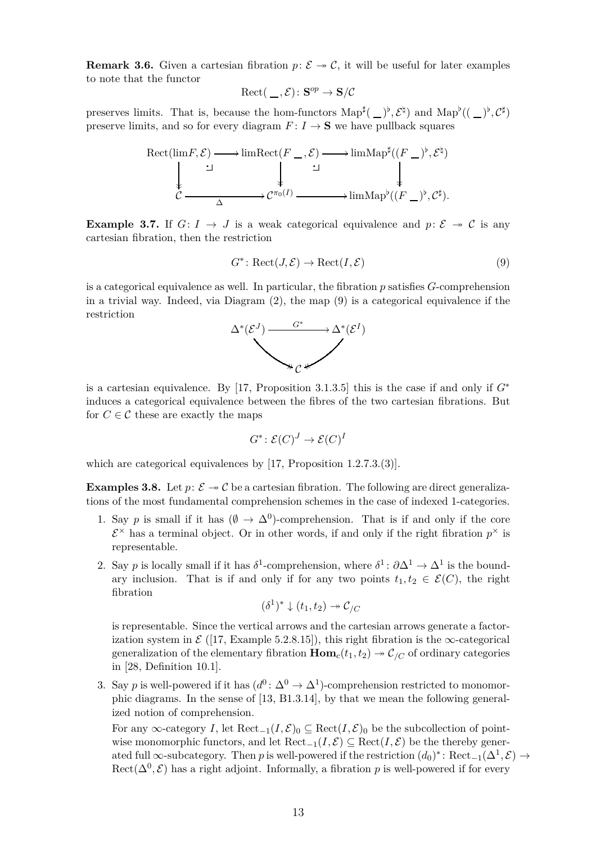**Remark 3.6.** Given a cartesian fibration  $p: \mathcal{E} \rightarrow \mathcal{C}$ , it will be useful for later examples to note that the functor

$$
Rect(\,\_\,,\mathcal{E})\colon\mathbf{S}^{op}\to\mathbf{S}/\mathcal{C}
$$

preserves limits. That is, because the hom-functors  $\text{Map}^{\sharp}(\_)^{\flat}, \mathcal{E}^{\sharp}$  and  $\text{Map}^{\flat}((\_)^{\flat}, \mathcal{C}^{\sharp})$ preserve limits, and so for every diagram  $F: I \to \mathbf{S}$  we have pullback squares



<span id="page-12-2"></span>**Example 3.7.** If  $G: I \rightarrow J$  is a weak categorical equivalence and  $p: \mathcal{E} \rightarrow \mathcal{C}$  is any cartesian fibration, then the restriction

<span id="page-12-0"></span>
$$
G^* \colon \text{Rect}(J, \mathcal{E}) \to \text{Rect}(I, \mathcal{E})
$$
\n<sup>(9)</sup>

is a categorical equivalence as well. In particular, the fibration *p* satisfies *G*-comprehension in a trivial way. Indeed, via Diagram [\(2\)](#page-8-5), the map [\(9\)](#page-12-0) is a categorical equivalence if the restriction



is a cartesian equivalence. By [\[17,](#page-50-5) Proposition 3.1.3.5] this is the case if and only if  $G^*$ induces a categorical equivalence between the fibres of the two cartesian fibrations. But for  $C \in \mathcal{C}$  these are exactly the maps

$$
G^* \colon \mathcal{E}(C)^J \to \mathcal{E}(C)^I
$$

<span id="page-12-1"></span>which are categorical equivalences by [\[17,](#page-50-5) Proposition 1.2.7.3.(3)].

**Examples 3.8.** Let  $p: \mathcal{E} \rightarrow \mathcal{C}$  be a cartesian fibration. The following are direct generalizations of the most fundamental comprehension schemes in the case of indexed 1-categories.

- 1. Say *p* is small if it has  $(\emptyset \to \Delta^0)$ -comprehension. That is if and only if the core  $\mathcal{E}^{\times}$  has a terminal object. Or in other words, if and only if the right fibration  $p^{\times}$  is representable.
- 2. Say *p* is locally small if it has  $\delta^1$ -comprehension, where  $\delta^1$ :  $\partial \Delta^1 \to \Delta^1$  is the boundary inclusion. That is if and only if for any two points  $t_1, t_2 \in \mathcal{E}(C)$ , the right fibration

$$
(\delta^1)^* \downarrow (t_1, t_2) \twoheadrightarrow \mathcal{C}_{/C}
$$

is representable. Since the vertical arrows and the cartesian arrows generate a factorization system in  $\mathcal{E}$  ([\[17,](#page-50-5) Example 5.2.8.15]), this right fibration is the  $\infty$ -categorical generalization of the elementary fibration  $\text{Hom}_c(t_1, t_2) \rightarrow C/C$  of ordinary categories in [\[28,](#page-50-3) Definition 10.1].

3. Say *p* is well-powered if it has  $(d^0: \Delta^0 \to \Delta^1)$ -comprehension restricted to monomorphic diagrams. In the sense of [\[13,](#page-50-0) B1.3.14], by that we mean the following generalized notion of comprehension.

For any ∞-category *I*, let  $\text{Rect}_{-1}(I,\mathcal{E})_0 \subseteq \text{Rect}(I,\mathcal{E})_0$  be the subcollection of pointwise monomorphic functors, and let  $\text{Rect}_{-1}(I, \mathcal{E}) \subseteq \text{Rect}(I, \mathcal{E})$  be the thereby generated full  $\infty$ -subcategory. Then *p* is well-powered if the restriction  $(d_0)^*$ : Rect<sub>-1</sub>( $\Delta^1$ , $\mathcal{E}$ )  $\rightarrow$  $\text{Rect}(\Delta^0, \mathcal{E})$  has a right adjoint. Informally, a fibration p is well-powered if for every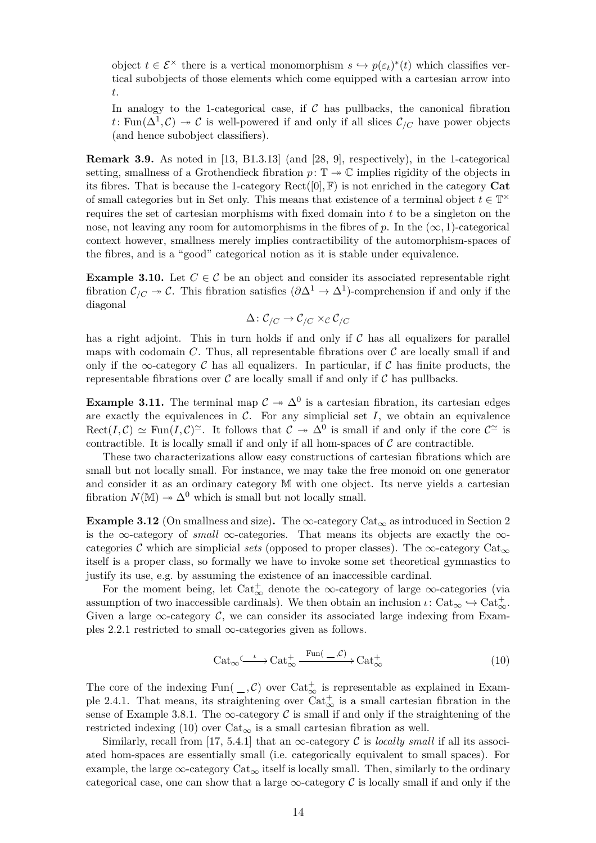object  $t \in \mathcal{E}^\times$  there is a vertical monomorphism  $s \hookrightarrow p(\varepsilon_t)^*(t)$  which classifies vertical subobjects of those elements which come equipped with a cartesian arrow into *t*.

In analogy to the 1-categorical case, if  $\mathcal C$  has pullbacks, the canonical fibration *t*: Fun( $\Delta^1$ , C)  $\rightarrow$  C is well-powered if and only if all slices  $\mathcal{C}_{/C}$  have power objects (and hence subobject classifiers).

<span id="page-13-0"></span>**Remark 3.9.** As noted in [\[13,](#page-50-0) B1.3.13] (and [\[28,](#page-50-3) 9], respectively), in the 1-categorical setting, smallness of a Grothendieck fibration  $p: \mathbb{T} \to \mathbb{C}$  implies rigidity of the objects in its fibres. That is because the 1-category  $\text{Rect}([0], \mathbb{F})$  is not enriched in the category **Cat** of small categories but in Set only. This means that existence of a terminal object  $t \in \mathbb{T}^\times$ requires the set of cartesian morphisms with fixed domain into *t* to be a singleton on the nose, not leaving any room for automorphisms in the fibres of p. In the  $(\infty, 1)$ -categorical context however, smallness merely implies contractibility of the automorphism-spaces of the fibres, and is a "good" categorical notion as it is stable under equivalence.

<span id="page-13-3"></span>**Example 3.10.** Let  $C \in \mathcal{C}$  be an object and consider its associated representable right fibration  $\mathcal{C}_{/C} \to \mathcal{C}$ . This fibration satisfies  $(\partial \Delta^1 \to \Delta^1)$ -comprehension if and only if the diagonal

$$
\Delta\colon \mathcal{C}_{/C}\to \mathcal{C}_{/C}\times_{\mathcal{C}}\mathcal{C}_{/C}
$$

has a right adjoint. This in turn holds if and only if  $C$  has all equalizers for parallel maps with codomain  $C$ . Thus, all representable fibrations over  $C$  are locally small if and only if the  $\infty$ -category C has all equalizers. In particular, if C has finite products, the representable fibrations over  $\mathcal C$  are locally small if and only if  $\mathcal C$  has pullbacks.

<span id="page-13-2"></span>**Example 3.11.** The terminal map  $C \rightarrow \Delta^0$  is a cartesian fibration, its cartesian edges are exactly the equivalences in  $\mathcal{C}$ . For any simplicial set  $I$ , we obtain an equivalence  $\text{Rect}(I,\mathcal{C}) \simeq \text{Fun}(I,\mathcal{C})^{\simeq}$ . It follows that  $\mathcal{C} \twoheadrightarrow \Delta^0$  is small if and only if the core  $\mathcal{C}^{\simeq}$  is contractible. It is locally small if and only if all hom-spaces of  $C$  are contractible.

These two characterizations allow easy constructions of cartesian fibrations which are small but not locally small. For instance, we may take the free monoid on one generator and consider it as an ordinary category M with one object. Its nerve yields a cartesian fibration  $N(\mathbb{M}) \rightarrow \Delta^0$  which is small but not locally small.

**Example 3.12** (On smallness and size). The  $\infty$ -category Cat<sub> $\infty$ </sub> as introduced in Section [2](#page-4-0) is the ∞-category of *small*  $\infty$ -categories. That means its objects are exactly the  $\infty$ categories C which are simplicial *sets* (opposed to proper classes). The  $\infty$ -category Cat<sub> $\infty$ </sub> itself is a proper class, so formally we have to invoke some set theoretical gymnastics to justify its use, e.g. by assuming the existence of an inaccessible cardinal.

For the moment being, let  $\text{Cat}^+_{\infty}$  denote the  $\infty$ -category of large  $\infty$ -categories (via assumption of two inaccessible cardinals). We then obtain an inclusion  $\iota: Cat_{\infty} \hookrightarrow Cat_{\infty}^+$ . Given a large  $\infty$ -category C, we can consider its associated large indexing from Exam-ples [2.2.](#page-4-1)1 restricted to small  $\infty$ -categories given as follows.

<span id="page-13-1"></span>
$$
\text{Cat}_{\infty} \xrightarrow{\iota} \text{Cat}_{\infty}^{+} \xrightarrow{\text{Fun}(-,\mathcal{C})} \text{Cat}_{\infty}^{+}
$$
 (10)

The core of the indexing  $Fun(\_ , {\mathcal{C}})$  over  $Cat_{\infty}^+$  is representable as explained in Exam-ple [2.4.](#page-5-0)1. That means, its straightening over  $Cat_{\infty}^{+}$  is a small cartesian fibration in the sense of Example [3.8.](#page-12-1)1. The  $\infty$ -category C is small if and only if the straightening of the restricted indexing [\(10\)](#page-13-1) over  $Cat_{\infty}$  is a small cartesian fibration as well.

Similarly, recall from [\[17,](#page-50-5) 5.4.1] that an  $\infty$ -category C is *locally small* if all its associated hom-spaces are essentially small (i.e. categorically equivalent to small spaces). For example, the large  $\infty$ -category Cat<sub> $\infty$ </sub> itself is locally small. Then, similarly to the ordinary categorical case, one can show that a large  $\infty$ -category C is locally small if and only if the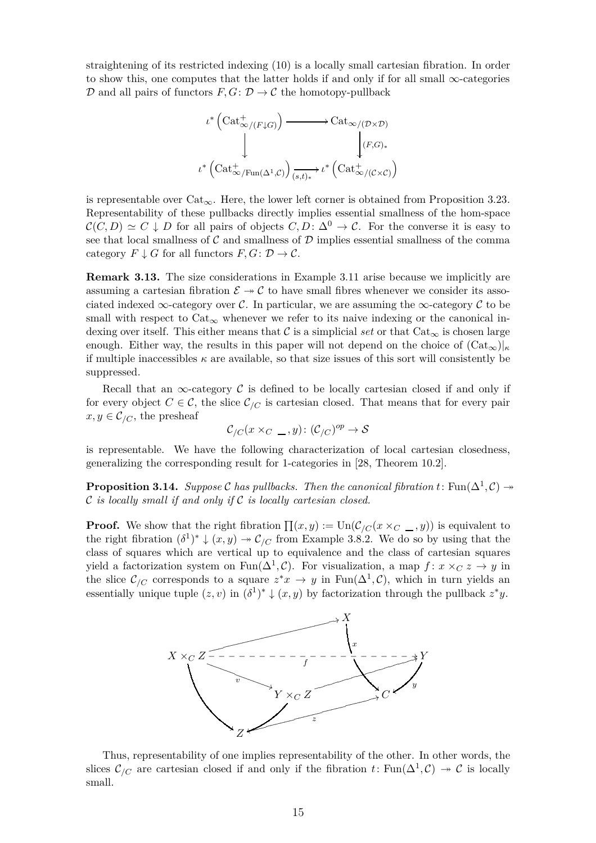straightening of its restricted indexing [\(10\)](#page-13-1) is a locally small cartesian fibration. In order to show this, one computes that the latter holds if and only if for all small  $\infty$ -categories  $\mathcal D$  and all pairs of functors  $F, G: \mathcal D \to \mathcal C$  the homotopy-pullback



is representable over  $Cat_{\infty}$ . Here, the lower left corner is obtained from Proposition [3.23.](#page-24-0) Representability of these pullbacks directly implies essential smallness of the hom-space  $\mathcal{C}(C, D) \simeq C \downarrow D$  for all pairs of objects  $C, D \colon \Delta^0 \to \mathcal{C}$ . For the converse it is easy to see that local smallness of  $C$  and smallness of  $D$  implies essential smallness of the comma category  $F \downarrow G$  for all functors  $F, G \colon \mathcal{D} \to \mathcal{C}$ .

**Remark 3.13.** The size considerations in Example [3.11](#page-13-2) arise because we implicitly are assuming a cartesian fibration  $\mathcal{E} \rightarrow \mathcal{C}$  to have small fibres whenever we consider its associated indexed  $\infty$ -category over C. In particular, we are assuming the  $\infty$ -category C to be small with respect to  $Cat_{\infty}$  whenever we refer to its naive indexing or the canonical indexing over itself. This either means that C is a simplicial *set* or that  $\text{Cat}_{\infty}$  is chosen large enough. Either way, the results in this paper will not depend on the choice of  $(\text{Cat}_{\infty})|_{\kappa}$ if multiple inaccessibles  $\kappa$  are available, so that size issues of this sort will consistently be suppressed.

Recall that an  $\infty$ -category C is defined to be locally cartesian closed if and only if for every object  $C \in \mathcal{C}$ , the slice  $\mathcal{C}_{/C}$  is cartesian closed. That means that for every pair  $x, y \in C_{\text{/}C}$ , the presheaf

$$
\mathcal{C}_{/C}(x \times_C \_ ,y) : (\mathcal{C}_{/C})^{op} \to \mathcal{S}
$$

<span id="page-14-0"></span>is representable. We have the following characterization of local cartesian closedness, generalizing the corresponding result for 1-categories in [\[28,](#page-50-3) Theorem 10.2].

**Proposition 3.14.** *Suppose* C has pullbacks. Then the canonical fibration  $t$ : Fun( $\Delta^1$ ,C)  $\rightarrow$ C *is locally small if and only if* C *is locally cartesian closed.*

**Proof.** We show that the right fibration  $\prod(x, y) := \text{Un}(\mathcal{C}_{/C}(x \times_C \_ y))$  is equivalent to the right fibration  $(\delta^1)^* \downarrow (x, y) \rightarrow {\mathcal C}_{/C}$  from Example [3.8.](#page-12-1)2. We do so by using that the class of squares which are vertical up to equivalence and the class of cartesian squares yield a factorization system on  $\text{Fun}(\Delta^1, \mathcal{C})$ . For visualization, a map  $f: x \times_C z \to y$  in the slice  $\mathcal{C}_{/C}$  corresponds to a square  $z^*x \to y$  in  $\text{Fun}(\Delta^1,\mathcal{C})$ , which in turn yields an essentially unique tuple  $(z, v)$  in  $(\delta^1)^* \downarrow (x, y)$  by factorization through the pullback  $z^*y$ .



Thus, representability of one implies representability of the other. In other words, the slices  $\mathcal{C}_{/C}$  are cartesian closed if and only if the fibration  $t \colon \text{Fun}(\Delta^1, \mathcal{C}) \to \mathcal{C}$  is locally small.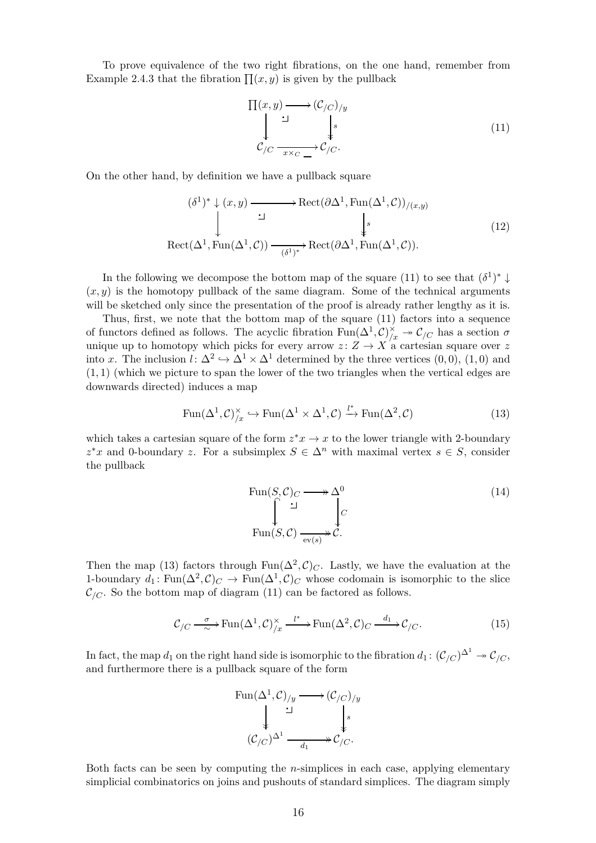To prove equivalence of the two right fibrations, on the one hand, remember from Example [2.4.](#page-5-0)3 that the fibration  $\prod(x, y)$  is given by the pullback

<span id="page-15-2"></span><span id="page-15-0"></span>
$$
\Pi(x,y) \longrightarrow (\mathcal{C}_{/C})_{/y}
$$
\n
$$
\downarrow \qquad \qquad \downarrow s
$$
\n
$$
\mathcal{C}_{/C} \xrightarrow[x \times_C]{} \mathcal{C}_{/C}.
$$
\n(11)

On the other hand, by definition we have a pullback square

$$
(\delta^1)^* \downarrow (x, y) \longrightarrow \text{Rect}(\partial \Delta^1, \text{Fun}(\Delta^1, \mathcal{C}))_{/(x, y)}
$$
  
\n
$$
\downarrow \qquad \qquad \downarrow s
$$
  
\n
$$
\text{Rect}(\Delta^1, \text{Fun}(\Delta^1, \mathcal{C})) \xrightarrow{(\delta^1)^*} \text{Rect}(\partial \Delta^1, \text{Fun}(\Delta^1, \mathcal{C})).
$$
\n
$$
(12)
$$

In the following we decompose the bottom map of the square [\(11\)](#page-15-0) to see that  $(\delta^1)^* \downarrow$  $(x, y)$  is the homotopy pullback of the same diagram. Some of the technical arguments will be sketched only since the presentation of the proof is already rather lengthy as it is.

Thus, first, we note that the bottom map of the square [\(11\)](#page-15-0) factors into a sequence of functors defined as follows. The acyclic fibration  $\text{Fun}(\Delta^1,\mathcal{C})_{/x}^\times \twoheadrightarrow \mathcal{C}_{/C}$  has a section  $\sigma$ unique up to homotopy which picks for every arrow  $z: Z \to X'$  a cartesian square over z into *x*. The inclusion  $l: \Delta^2 \hookrightarrow \Delta^1 \times \Delta^1$  determined by the three vertices  $(0,0)$ ,  $(1,0)$  and (1*,* 1) (which we picture to span the lower of the two triangles when the vertical edges are downwards directed) induces a map

$$
\operatorname{Fun}(\Delta^1, \mathcal{C})_{/\mathcal{X}}^{\times} \hookrightarrow \operatorname{Fun}(\Delta^1 \times \Delta^1, \mathcal{C}) \xrightarrow{l^*} \operatorname{Fun}(\Delta^2, \mathcal{C})
$$
\n(13)

which takes a cartesian square of the form  $z^*x \to x$  to the lower triangle with 2-boundary  $z^*x$  and 0-boundary *z*. For a subsimplex  $S \in \Delta^n$  with maximal vertex  $s \in S$ , consider the pullback

<span id="page-15-3"></span><span id="page-15-1"></span>
$$
\text{Fun}(S, \mathcal{C})_C \longrightarrow \Delta^0
$$
\n
$$
\downarrow^{\mathcal{C}}
$$
\n
$$
\text{Fun}(S, \mathcal{C}) \xrightarrow[\text{ev}(s)]{} \mathcal{C}.
$$
\n
$$
(14)
$$

Then the map [\(13\)](#page-15-1) factors through  $\text{Fun}(\Delta^2, \mathcal{C})_C$ . Lastly, we have the evaluation at the 1-boundary  $d_1$ : Fun $(\Delta^2, C)_C$   $\to$  Fun $(\Delta^1, C)_C$  whose codomain is isomorphic to the slice  $\mathcal{C}_{/C}$ . So the bottom map of diagram [\(11\)](#page-15-0) can be factored as follows.

$$
\mathcal{C}_{/C} \xrightarrow{\sigma} \text{Fun}(\Delta^1, \mathcal{C})_{/x}^{\times} \xrightarrow{l^*} \text{Fun}(\Delta^2, \mathcal{C})_C \xrightarrow{d_1} \mathcal{C}_{/C}.
$$
 (15)

In fact, the map  $d_1$  on the right hand side is isomorphic to the fibration  $d_1:$   $({\cal C}_{/C})^{\Delta^1} \twoheadrightarrow {\cal C}_{/C}$ , and furthermore there is a pullback square of the form



Both facts can be seen by computing the *n*-simplices in each case, applying elementary simplicial combinatorics on joins and pushouts of standard simplices. The diagram simply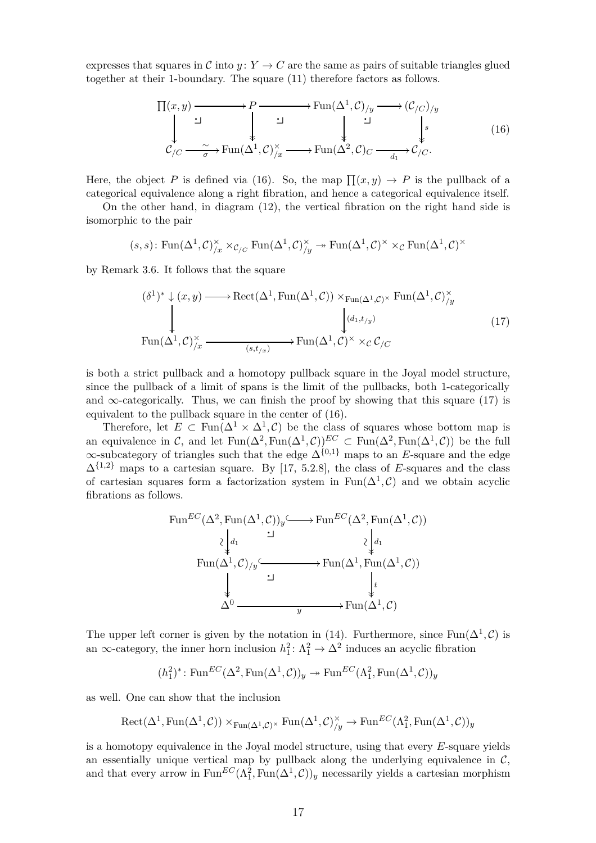expresses that squares in C into  $y: Y \to C$  are the same as pairs of suitable triangles glued together at their 1-boundary. The square [\(11\)](#page-15-0) therefore factors as follows.

<span id="page-16-0"></span>
$$
\Pi(x,y) \longrightarrow P \longrightarrow \text{Fun}(\Delta^1,\mathcal{C})_{/y} \longrightarrow (\mathcal{C}_{/C})_{/y}
$$
\n
$$
\downarrow \qquad \qquad \downarrow \qquad \downarrow \qquad \downarrow
$$
\n
$$
\mathcal{C}_{/C} \longrightarrow \text{Fun}(\Delta^1,\mathcal{C})_{/x}^{\times} \longrightarrow \text{Fun}(\Delta^2,\mathcal{C})_{C} \longrightarrow \frac{\downarrow}{d_1} \mathcal{C}_{/C}.
$$
\n(16)

Here, the object P is defined via [\(16\)](#page-16-0). So, the map  $\prod(x, y) \to P$  is the pullback of a categorical equivalence along a right fibration, and hence a categorical equivalence itself.

On the other hand, in diagram [\(12\)](#page-15-2), the vertical fibration on the right hand side is isomorphic to the pair

$$
(s, s): \text{Fun}(\Delta^1, \mathcal{C})_{/x}^{\times} \times_{\mathcal{C}_{/C}} \text{Fun}(\Delta^1, \mathcal{C})_{/y}^{\times} \to \text{Fun}(\Delta^1, \mathcal{C})^{\times} \times_{\mathcal{C}} \text{Fun}(\Delta^1, \mathcal{C})^{\times}
$$

by Remark [3.6.](#page-11-3) It follows that the square

<span id="page-16-1"></span>
$$
(\delta^1)^* \downarrow (x, y) \longrightarrow \text{Rect}(\Delta^1, \text{Fun}(\Delta^1, \mathcal{C})) \times_{\text{Fun}(\Delta^1, \mathcal{C})^\times} \text{Fun}(\Delta^1, \mathcal{C})^\times_{/y}
$$
  
\n
$$
\downarrow \qquad \qquad \downarrow (d_1, t_{/y})
$$
  
\n
$$
\text{Fun}(\Delta^1, \mathcal{C})^\times_{/x} \longrightarrow \text{Fun}(\Delta^1, \mathcal{C})^\times \times_{\mathcal{C}} \mathcal{C}_{/C}
$$
  
\n
$$
(17)
$$

is both a strict pullback and a homotopy pullback square in the Joyal model structure, since the pullback of a limit of spans is the limit of the pullbacks, both 1-categorically and  $\infty$ -categorically. Thus, we can finish the proof by showing that this square [\(17\)](#page-16-1) is equivalent to the pullback square in the center of [\(16\)](#page-16-0).

Therefore, let  $E \subset \text{Fun}(\Delta^1 \times \Delta^1, \mathcal{C})$  be the class of squares whose bottom map is an equivalence in C, and let  $\text{Fun}(\Delta^2, \text{Fun}(\Delta^1, \mathcal{C}))^{EC} \subset \text{Fun}(\Delta^2, \text{Fun}(\Delta^1, \mathcal{C}))$  be the full  $\infty$ -subcategory of triangles such that the edge  $\Delta^{\{0,1\}}$  maps to an *E*-square and the edge  $\Delta^{\{1,2\}}$  maps to a cartesian square. By [\[17,](#page-50-5) 5.2.8], the class of *E*-squares and the class of cartesian squares form a factorization system in  $\text{Fun}(\Delta^1,\mathcal{C})$  and we obtain acyclic fibrations as follows.

$$
\text{Fun}^{EC}(\Delta^2, \text{Fun}(\Delta^1, \mathcal{C}))_y \longrightarrow \text{Fun}^{EC}(\Delta^2, \text{Fun}(\Delta^1, \mathcal{C}))
$$
\n
$$
\downarrow \downarrow_{d_1}
$$
\n
$$
\text{Fun}(\Delta^1, \mathcal{C})_{/y} \xrightarrow{\phantom{big} \downarrow \phantom{big} } \text{Fun}(\Delta^1, \text{Fun}(\Delta^1, \mathcal{C}))
$$
\n
$$
\downarrow \phantom{ \underbrace{\downarrow}_{d_1} } \xrightarrow{\phantom{big} \downarrow \phantom{big} } \text{Fun}(\Delta^1, \mathcal{C}))
$$
\n
$$
\downarrow \phantom{ \underbrace{\downarrow}_{d_1} } \xrightarrow{\phantom{big} \downarrow \phantom{big} } \text{Fun}(\Delta^1, \mathcal{C})
$$

The upper left corner is given by the notation in [\(14\)](#page-15-3). Furthermore, since  $\text{Fun}(\Delta^1,\mathcal{C})$  is an  $\infty$ -category, the inner horn inclusion  $h_1^2$ :  $\Lambda_1^2 \to \Delta^2$  induces an acyclic fibration

$$
(h_1^2)^*
$$
: Fun<sup>EC</sup> $(\Delta^2, \text{Fun}(\Delta^1, \mathcal{C}))_y \to \text{Fun}^{EC}(\Lambda_1^2, \text{Fun}(\Delta^1, \mathcal{C}))_y$ 

as well. One can show that the inclusion

$$
Rect(\Delta^1, Fun(\Delta^1, C)) \times_{Fun(\Delta^1, C)^\times} Fun(\Delta^1, C)_{/y}^\times \to Fun^{EC}(\Lambda^2_1, Fun(\Delta^1, C))_{y}
$$

is a homotopy equivalence in the Joyal model structure, using that every *E*-square yields an essentially unique vertical map by pullback along the underlying equivalence in  $C$ , and that every arrow in  $\text{Fun}^{EC}(\Lambda_1^2, \text{Fun}(\Delta^1, \mathcal{C}))_y$  necessarily yields a cartesian morphism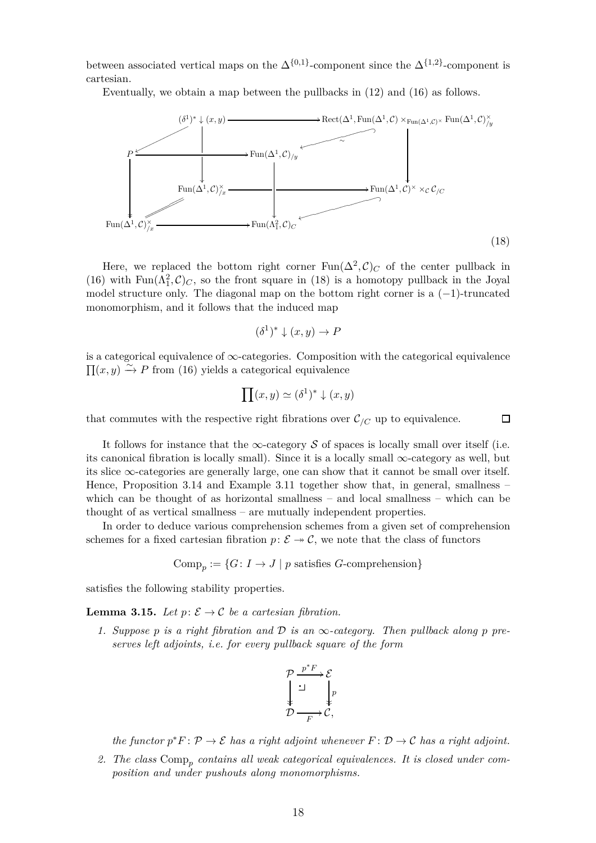between associated vertical maps on the  $\Delta^{\{0,1\}}$ -component since the  $\Delta^{\{1,2\}}$ -component is cartesian.

Eventually, we obtain a map between the pullbacks in [\(12\)](#page-15-2) and [\(16\)](#page-16-0) as follows.



Here, we replaced the bottom right corner  $\text{Fun}(\Delta^2, \mathcal{C})_C$  of the center pullback in [\(16\)](#page-16-0) with  $\text{Fun}(\Lambda_1^2,\mathcal{C})_C$ , so the front square in [\(18\)](#page-17-0) is a homotopy pullback in the Joyal model structure only. The diagonal map on the bottom right corner is a  $(-1)$ -truncated monomorphism, and it follows that the induced map

$$
(\delta^1)^* \downarrow (x, y) \to P
$$

is a categorical equivalence of  $\infty$ -categories. Composition with the categorical equivalence  $\Pi(x, y) \stackrel{\sim}{\rightarrow} P$  from [\(16\)](#page-16-0) yields a categorical equivalence

$$
\prod(x,y) \simeq (\delta^1)^* \downarrow (x,y)
$$

<span id="page-17-0"></span> $\Box$ 

that commutes with the respective right fibrations over  $\mathcal{C}_{/C}$  up to equivalence.

It follows for instance that the  $\infty$ -category S of spaces is locally small over itself (i.e. its canonical fibration is locally small). Since it is a locally small  $\infty$ -category as well, but its slice  $\infty$ -categories are generally large, one can show that it cannot be small over itself. Hence, Proposition [3.14](#page-14-0) and Example [3.11](#page-13-2) together show that, in general, smallness – which can be thought of as horizontal smallness – and local smallness – which can be thought of as vertical smallness – are mutually independent properties.

In order to deduce various comprehension schemes from a given set of comprehension schemes for a fixed cartesian fibration  $p: \mathcal{E} \to \mathcal{C}$ , we note that the class of functors

 $Comp_p := \{G: I \to J \mid p \text{ satisfies } G\text{-comprehension}\}\$ 

<span id="page-17-1"></span>satisfies the following stability properties.

**Lemma 3.15.** *Let*  $p: \mathcal{E} \to \mathcal{C}$  *be a cartesian fibration.* 

1. Suppose p is a right fibration and  $\mathcal D$  is an  $\infty$ -category. Then pullback along p pre*serves left adjoints, i.e. for every pullback square of the form*



*the functor*  $p^*F: \mathcal{P} \to \mathcal{E}$  *has a right adjoint whenever*  $F: \mathcal{D} \to \mathcal{C}$  *has a right adjoint.* 

*2. The class* Comp*<sup>p</sup> contains all weak categorical equivalences. It is closed under composition and under pushouts along monomorphisms.*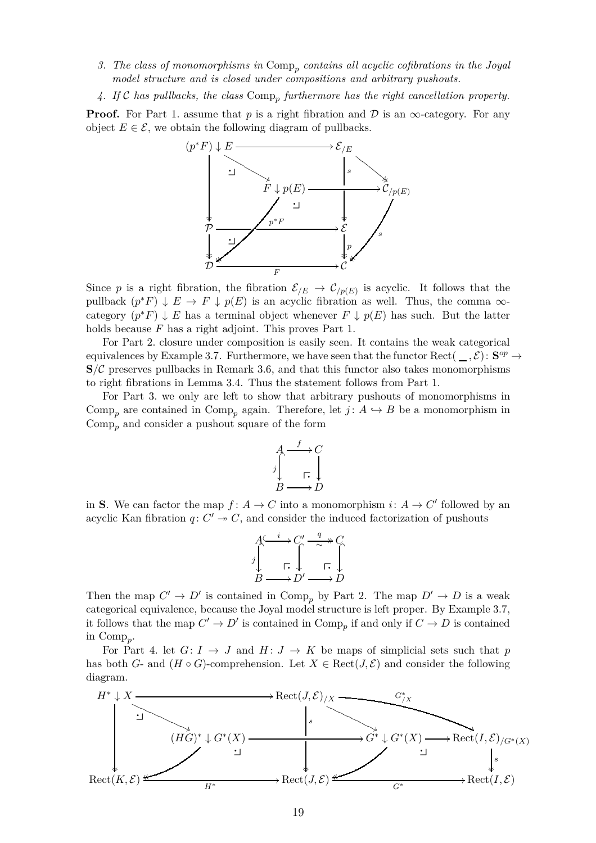- *3. The class of monomorphisms in* Comp*<sup>p</sup> contains all acyclic cofibrations in the Joyal model structure and is closed under compositions and arbitrary pushouts.*
- *4. If* C *has pullbacks, the class* Comp*<sup>p</sup> furthermore has the right cancellation property.*

**Proof.** For Part 1. assume that *p* is a right fibration and  $D$  is an  $\infty$ -category. For any object  $E \in \mathcal{E}$ , we obtain the following diagram of pullbacks.



Since p is a right fibration, the fibration  $\mathcal{E}_{/E} \to \mathcal{C}_{/p(E)}$  is acyclic. It follows that the pullback  $(p^*F) \downarrow E \rightarrow F \downarrow p(E)$  is an acyclic fibration as well. Thus, the comma  $\infty$ category  $(p^*F) \downarrow E$  has a terminal object whenever  $F \downarrow p(E)$  has such. But the latter holds because *F* has a right adjoint. This proves Part 1.

For Part 2. closure under composition is easily seen. It contains the weak categorical equivalences by Example [3.7.](#page-12-2) Furthermore, we have seen that the functor Rect( $\_\,\mathcal{E}$ ):  $\mathbf{S}^{op} \to$  $S/\mathcal{C}$  preserves pullbacks in Remark [3.6,](#page-11-3) and that this functor also takes monomorphisms to right fibrations in Lemma [3.4.](#page-10-1) Thus the statement follows from Part 1.

For Part 3. we only are left to show that arbitrary pushouts of monomorphisms in Comp<sub>p</sub> are contained in Comp<sub>p</sub> again. Therefore, let  $j: A \hookrightarrow B$  be a monomorphism in Comp*<sup>p</sup>* and consider a pushout square of the form

$$
A \xrightarrow{f} C
$$
  

$$
j \downarrow \qquad \qquad \Gamma, \downarrow
$$
  

$$
B \longrightarrow D
$$

in **S**. We can factor the map  $f: A \to C$  into a monomorphism  $i: A \to C'$  followed by an acyclic Kan fibration  $q: C' \rightarrow C$ , and consider the induced factorization of pushouts

$$
A \xrightarrow{f} C' \xrightarrow{\quad q \quad \rightarrow} C
$$
  

$$
j \qquad \qquad \square
$$
  

$$
B \longrightarrow D' \longrightarrow D
$$

Then the map  $C' \to D'$  is contained in  $\text{Comp}_p$  by Part 2. The map  $D' \to D$  is a weak categorical equivalence, because the Joyal model structure is left proper. By Example [3.7,](#page-12-2) it follows that the map  $C' \to D'$  is contained in  $\text{Comp}_p$  if and only if  $C \to D$  is contained in Comp*<sup>p</sup>* .

For Part 4. let  $G: I \rightarrow J$  and  $H: J \rightarrow K$  be maps of simplicial sets such that p has both *G*- and  $(H \circ G)$ -comprehension. Let  $X \in \text{Rect}(J, \mathcal{E})$  and consider the following diagram.

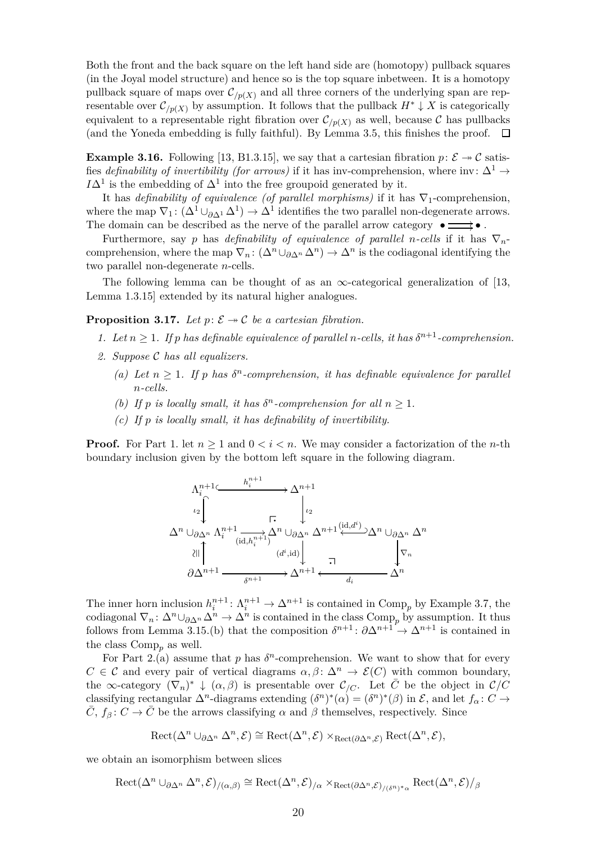Both the front and the back square on the left hand side are (homotopy) pullback squares (in the Joyal model structure) and hence so is the top square inbetween. It is a homotopy pullback square of maps over  $\mathcal{C}_{/p(X)}$  and all three corners of the underlying span are representable over  $\mathcal{C}_{p(X)}$  by assumption. It follows that the pullback  $H^* \downarrow X$  is categorically equivalent to a representable right fibration over  $\mathcal{C}_{/p(X)}$  as well, because  $\mathcal C$  has pullbacks (and the Yoneda embedding is fully faithful). By Lemma [3.5,](#page-11-0) this finishes the proof.  $\Box$ 

<span id="page-19-1"></span>**Example 3.16.** Following [\[13,](#page-50-0) B1.3.15], we say that a cartesian fibration  $p: \mathcal{E} \rightarrow \mathcal{C}$  satisfies *definability of invertibility (for arrows)* if it has inv-comprehension, where inv:  $\Delta^1 \rightarrow$  $I\Delta$ <sup>1</sup> is the embedding of  $\Delta$ <sup>1</sup> into the free groupoid generated by it.

It has *definability of equivalence (of parallel morphisms)* if it has  $\nabla_1$ -comprehension, where the map  $\nabla_1$ :  $(\Delta^1 \cup_{\partial \Delta^1} \Delta^1) \to \Delta^1$  identifies the two parallel non-degenerate arrows. The domain can be described as the nerve of the parallel arrow category  $\bullet \Longrightarrow \bullet$ .

Furthermore, say *p* has *definability of equivalence of parallel n*-cells if it has  $\nabla_n$ comprehension, where the map  $\nabla_n$ :  $(\Delta^n \cup_{\partial \Delta^n} \Delta^n) \to \Delta^n$  is the codiagonal identifying the two parallel non-degenerate *n*-cells.

<span id="page-19-0"></span>The following lemma can be thought of as an  $\infty$ -categorical generalization of [\[13,](#page-50-0) Lemma 1.3.15] extended by its natural higher analogues.

**Proposition 3.17.** Let  $p: \mathcal{E} \rightarrow \mathcal{C}$  be a cartesian fibration.

- *1.* Let  $n \geq 1$ . If p has definable equivalence of parallel *n*-cells, it has  $\delta^{n+1}$ -comprehension.
- *2. Suppose* C *has all equalizers.*
	- (a) Let  $n \geq 1$ . If p has  $\delta^n$ -comprehension, it has definable equivalence for parallel *n-cells.*
	- *(b)* If p is locally small, it has  $\delta^n$ -comprehension for all  $n \geq 1$ *.*
	- *(c) If p is locally small, it has definability of invertibility.*

**Proof.** For Part 1. let  $n \geq 1$  and  $0 \leq i \leq n$ . We may consider a factorization of the *n*-th boundary inclusion given by the bottom left square in the following diagram.



The inner horn inclusion  $h_i^{n+1}$ :  $\Lambda_i^{n+1} \to \Delta^{n+1}$  is contained in Comp<sub>p</sub> by Example [3.7,](#page-12-2) the codiagonal  $\nabla_n: \Delta^n \cup_{\partial \Delta^n} \Delta^n \to \Delta^n$  is contained in the class  $\text{Comp}_p$  by assumption. It thus follows from Lemma [3.15.](#page-17-1)(b) that the composition  $\delta^{n+1}$ :  $\partial \Delta^{n+1} \rightarrow \Delta^{n+1}$  is contained in the class  $Comp_n$  as well.

For Part 2.(a) assume that p has  $\delta^n$ -comprehension. We want to show that for every  $C \in \mathcal{C}$  and every pair of vertical diagrams  $\alpha, \beta \colon \Delta^n \to \mathcal{E}(C)$  with common boundary, the  $\infty$ -category  $(\nabla_n)^* \downarrow (\alpha, \beta)$  is presentable over  $\mathcal{C}_{/C}$ . Let  $\overline{C}$  be the object in  $\mathcal{C}/C$ classifying rectangular  $\Delta^n$ -diagrams extending  $(\delta^n)^*(\alpha) = (\delta^n)^*(\beta)$  in  $\mathcal{E}$ , and let  $f_\alpha: C \to$  $\overline{C}$ ,  $f_{\beta}: C \to \overline{C}$  be the arrows classifying  $\alpha$  and  $\beta$  themselves, respectively. Since

$$
Rect(\Delta^n \cup_{\partial \Delta^n} \Delta^n, \mathcal{E}) \cong Rect(\Delta^n, \mathcal{E}) \times_{Rect(\partial \Delta^n, \mathcal{E})} Rect(\Delta^n, \mathcal{E}),
$$

we obtain an isomorphism between slices

$$
\mathrm{Rect}(\Delta^n \cup_{\partial \Delta^n} \Delta^n, \mathcal{E})_{/(\alpha,\beta)} \cong \mathrm{Rect}(\Delta^n, \mathcal{E})_{/\alpha} \times_{\mathrm{Rect}(\partial \Delta^n, \mathcal{E})_{/(\delta^n)^* \alpha}} \mathrm{Rect}(\Delta^n, \mathcal{E})_{/\beta}
$$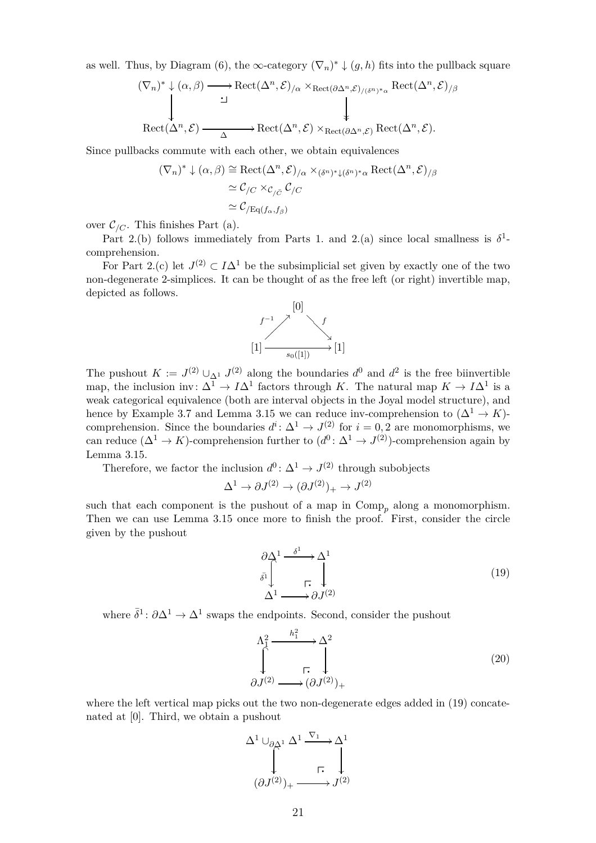as well. Thus, by Diagram [\(6\)](#page-11-4), the  $\infty$ -category  $(\nabla_n)^* \downarrow (g, h)$  fits into the pullback square

$$
(\nabla_n)^* \downarrow (\alpha, \beta) \longrightarrow \text{Rect}(\Delta^n, \mathcal{E})_{/\alpha} \times_{\text{Rect}(\partial \Delta^n, \mathcal{E})_{/(\delta^n)^* \alpha}} \text{Rect}(\Delta^n, \mathcal{E})_{/\beta}
$$
  
 
$$
\downarrow \qquad \qquad \downarrow
$$
  
 
$$
\text{Rect}(\Delta^n, \mathcal{E}) \longrightarrow \text{Rect}(\Delta^n, \mathcal{E}) \times_{\text{Rect}(\partial \Delta^n, \mathcal{E})} \text{Rect}(\Delta^n, \mathcal{E}).
$$

Since pullbacks commute with each other, we obtain equivalences

$$
(\nabla_n)^* \downarrow (\alpha, \beta) \cong \text{Rect}(\Delta^n, \mathcal{E})_{/\alpha} \times (\delta^n)^* \downarrow (\delta^n)^* \alpha \text{Rect}(\Delta^n, \mathcal{E})_{/\beta}
$$

$$
\simeq \mathcal{C}_{/C} \times_{\mathcal{C}_{/\bar{C}}} \mathcal{C}_{/C}
$$

$$
\simeq \mathcal{C}_{/\text{Eq}(f_\alpha, f_\beta)}
$$

over  $\mathcal{C}_{/C}$ . This finishes Part (a).

Part 2.(b) follows immediately from Parts 1. and 2.(a) since local smallness is  $\delta^1$ comprehension.

For Part 2.(c) let  $J^{(2)} \subset I\Delta^1$  be the subsimplicial set given by exactly one of the two non-degenerate 2-simplices. It can be thought of as the free left (or right) invertible map, depicted as follows.



The pushout  $K := J^{(2)} \cup_{\Delta^1} J^{(2)}$  along the boundaries  $d^0$  and  $d^2$  is the free biinvertible map, the inclusion inv:  $\Delta^1 \to I\Delta^1$  factors through *K*. The natural map  $K \to I\Delta^1$  is a weak categorical equivalence (both are interval objects in the Joyal model structure), and hence by Example [3.7](#page-12-2) and Lemma [3.15](#page-17-1) we can reduce inv-comprehension to  $(\Delta^1 \to K)$ comprehension. Since the boundaries  $d^i: \Delta^1 \to J^{(2)}$  for  $i = 0, 2$  are monomorphisms, we can reduce  $(\Delta^1 \to K)$ -comprehension further to  $(d^0: \Delta^1 \to J^{(2)})$ -comprehension again by Lemma [3.15.](#page-17-1)

Therefore, we factor the inclusion  $d^0$ :  $\Delta^1 \to J^{(2)}$  through subobjects

$$
\Delta^1 \to \partial J^{(2)} \to (\partial J^{(2)})_+ \to J^{(2)}
$$

such that each component is the pushout of a map in  $Comp_p$  along a monomorphism. Then we can use Lemma [3.15](#page-17-1) once more to finish the proof. First, consider the circle given by the pushout

<span id="page-20-0"></span>
$$
\frac{\partial \Delta^1}{\partial \overline{\lambda}} \xrightarrow{\delta^1} \Delta^1
$$
\n
$$
\Delta^1 \xrightarrow{\hspace{0.5cm}} \partial J^{(2)} \tag{19}
$$

where  $\bar{\delta}^1$ :  $\partial \Delta^1 \to \Delta^1$  swaps the endpoints. Second, consider the pushout

<span id="page-20-1"></span>
$$
\Lambda_1^2 \xrightarrow{\hbar_1^2} \Lambda^2
$$
\n
$$
\updownarrow^2
$$
\n
$$
\updownarrow^2
$$
\n
$$
\updownarrow^2
$$
\n
$$
\downarrow^2
$$
\n
$$
\downarrow^2
$$
\n
$$
\downarrow^2
$$
\n
$$
\downarrow^2
$$
\n
$$
\downarrow^2
$$
\n
$$
(20)
$$

where the left vertical map picks out the two non-degenerate edges added in  $(19)$  concatenated at [0]. Third, we obtain a pushout

$$
\Delta^{1} \cup_{\partial \Delta^{1}} \Delta^{1} \xrightarrow{\nabla_{1}} \Delta^{1}
$$
\n
$$
\downarrow \qquad \qquad \downarrow \qquad \qquad \downarrow
$$
\n
$$
(\partial J^{(2)})_{+} \xrightarrow{\qquad \qquad } J^{(2)}
$$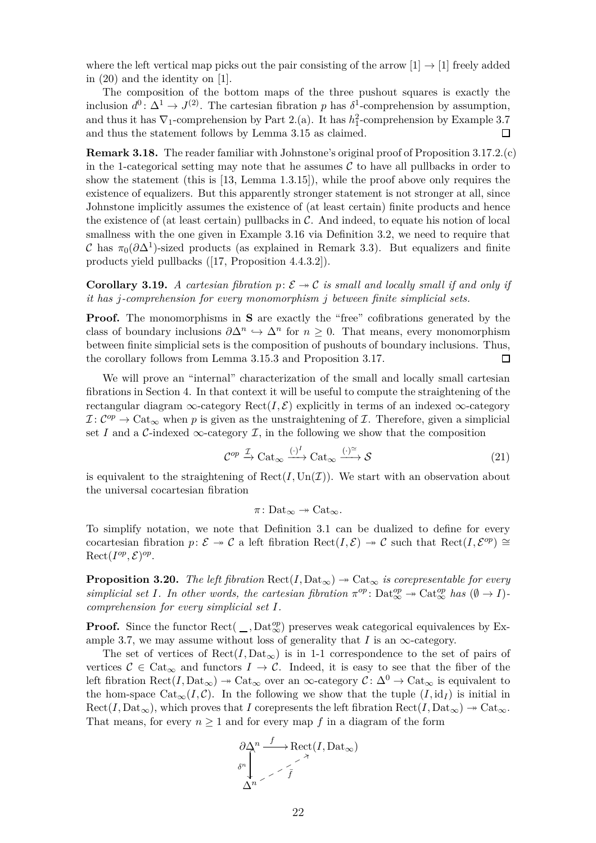where the left vertical map picks out the pair consisting of the arrow  $[1] \rightarrow [1]$  freely added in [\(20\)](#page-20-1) and the identity on [1].

The composition of the bottom maps of the three pushout squares is exactly the inclusion  $d^0$ :  $\Delta^1 \to J^{(2)}$ . The cartesian fibration *p* has  $\delta^1$ -comprehension by assumption, and thus it has  $\nabla_1$ -comprehension by Part 2.(a). It has  $h_1^2$ -comprehension by Example [3.7](#page-12-2) and thus the statement follows by Lemma [3.15](#page-17-1) as claimed. □

**Remark 3.18.** The reader familiar with Johnstone's original proof of Proposition [3.17.](#page-19-0)2.(c) in the 1-categorical setting may note that he assumes  $\mathcal C$  to have all pullbacks in order to show the statement (this is [\[13,](#page-50-0) Lemma 1.3.15]), while the proof above only requires the existence of equalizers. But this apparently stronger statement is not stronger at all, since Johnstone implicitly assumes the existence of (at least certain) finite products and hence the existence of (at least certain) pullbacks in  $\mathcal C$ . And indeed, to equate his notion of local smallness with the one given in Example [3.16](#page-19-1) via Definition [3.2,](#page-8-3) we need to require that C has  $\pi_0(\partial \Delta^1)$ -sized products (as explained in Remark [3.3\)](#page-9-1). But equalizers and finite products yield pullbacks ([\[17,](#page-50-5) Proposition 4.4.3.2]).

<span id="page-21-2"></span>**Corollary 3.19.** *A cartesian fibration*  $p: \mathcal{E} \rightarrow \mathcal{C}$  *is small and locally small if and only if it has j-comprehension for every monomorphism j between finite simplicial sets.*

**Proof.** The monomorphisms in **S** are exactly the "free" cofibrations generated by the class of boundary inclusions  $\partial \Delta^n \hookrightarrow \Delta^n$  for  $n \geq 0$ . That means, every monomorphism between finite simplicial sets is the composition of pushouts of boundary inclusions. Thus, the corollary follows from Lemma [3.15.](#page-17-1)3 and Proposition [3.17.](#page-19-0)  $\Box$ 

We will prove an "internal" characterization of the small and locally small cartesian fibrations in Section [4.](#page-28-0) In that context it will be useful to compute the straightening of the rectangular diagram  $\infty$ -category Rect(*I*,  $\mathcal{E}$ ) explicitly in terms of an indexed  $\infty$ -category  $\mathcal{I}: \mathcal{C}^{op} \to \mathrm{Cat}_{\infty}$  when p is given as the unstraightening of  $\mathcal{I}$ . Therefore, given a simplicial set *I* and a C-indexed  $\infty$ -category *I*, in the following we show that the composition

$$
\mathcal{C}^{op} \xrightarrow{\mathcal{I}} \mathrm{Cat}_{\infty} \xrightarrow{(\cdot)^{I}} \mathrm{Cat}_{\infty} \xrightarrow{(\cdot)^{\simeq}} \mathcal{S}
$$
 (21)

is equivalent to the straightening of  $\text{Rect}(I, \text{Un}(\mathcal{I}))$ . We start with an observation about the universal cocartesian fibration

<span id="page-21-1"></span>
$$
\pi\colon \mathrm{Det}_\infty \twoheadrightarrow \mathrm{Cat}_\infty.
$$

To simplify notation, we note that Definition [3.1](#page-8-4) can be dualized to define for every cocartesian fibration *p*:  $\mathcal{E} \rightarrow \mathcal{C}$  a left fibration Rect $(I, \mathcal{E}) \rightarrow \mathcal{C}$  such that Rect $(I, \mathcal{E}^{op}) \cong$  $\text{Rect}(I^{op}, \mathcal{E})^{op}.$ 

<span id="page-21-0"></span>**Proposition 3.20.** *The left fibration*  $\text{Rect}(I, \text{Data}_{\infty}) \rightarrow \text{Cat}_{\infty}$  *is corepresentable for every*  $simplified set I$ *. In other words, the cartesian fibration*  $\pi^{op}$ :  $\text{Det}_{\infty}^{op} \to \text{Cat}_{\infty}^{op}$  has  $(\emptyset \to I)$ *comprehension for every simplicial set I.*

**Proof.** Since the functor  $\text{Rect}(\_, \text{Data}_{\infty}^{op})$  preserves weak categorical equivalences by Ex-ample [3.7,](#page-12-2) we may assume without loss of generality that  $I$  is an  $\infty$ -category.

The set of vertices of  $\text{Rect}(I, \text{Det}_{\infty})$  is in 1-1 correspondence to the set of pairs of vertices  $\mathcal{C} \in \text{Cat}_{\infty}$  and functors  $I \to \mathcal{C}$ . Indeed, it is easy to see that the fiber of the left fibration  $\text{Rect}(I, \text{Det}_{\infty}) \to \text{Cat}_{\infty}$  over an  $\infty$ -category  $\mathcal{C} \colon \Delta^0 \to \text{Cat}_{\infty}$  is equivalent to the hom-space  $Cat_{\infty}(I, \mathcal{C})$ . In the following we show that the tuple  $(I, id_I)$  is initial in  $Rect(I, Dat_{\infty})$ , which proves that *I* corepresents the left fibration  $Rect(I, Dat_{\infty}) \rightarrow Cat_{\infty}$ . That means, for every  $n \geq 1$  and for every map f in a diagram of the form

$$
\partial \Delta^n \xrightarrow{f} \text{Rect}(I, \text{Data}_{\infty})
$$
\n
$$
\delta^n \downarrow \qquad \qquad \nearrow \qquad \searrow
$$
\n
$$
\Delta^n
$$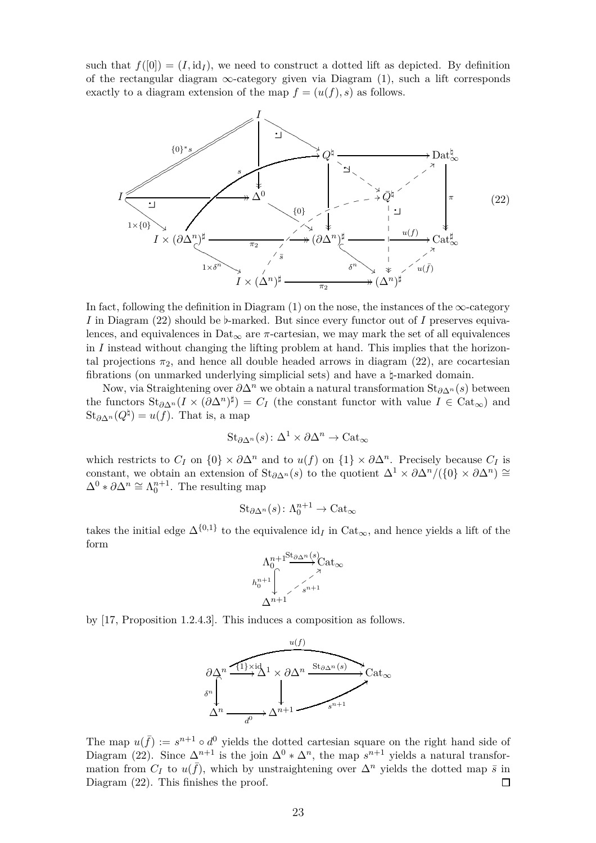such that  $f([0]) = (I, id_I)$ , we need to construct a dotted lift as depicted. By definition of the rectangular diagram  $\infty$ -category given via Diagram [\(1\)](#page-8-2), such a lift corresponds exactly to a diagram extension of the map  $f = (u(f), s)$  as follows.



In fact, following the definition in Diagram  $(1)$  on the nose, the instances of the  $\infty$ -category *I* in Diagram [\(22\)](#page-22-0) should be *♭*-marked. But since every functor out of *I* preserves equivalences, and equivalences in Dat<sub>∞</sub> are  $\pi$ -cartesian, we may mark the set of all equivalences in *I* instead without changing the lifting problem at hand. This implies that the horizontal projections  $\pi_2$ , and hence all double headed arrows in diagram [\(22\)](#page-22-0), are cocartesian fibrations (on unmarked underlying simplicial sets) and have a *♮*-marked domain.

Now, via Straightening over *∂*∆*<sup>n</sup>* we obtain a natural transformation St*∂*∆*<sup>n</sup>* (*s*) between the functors  $\text{St}_{\partial \Delta^n}(I \times (\partial \Delta^n)^{\sharp}) = C_I$  (the constant functor with value  $I \in \text{Cat}_{\infty}$ ) and  $\operatorname{St}_{\partial \Delta^n}(Q^{\natural}) = u(f)$ . That is, a map

<span id="page-22-0"></span>
$$
\mathrm{St}_{\partial \Delta^n}(s) \colon \Delta^1 \times \partial \Delta^n \to \mathrm{Cat}_\infty
$$

which restricts to  $C_I$  on  $\{0\} \times \partial \Delta^n$  and to  $u(f)$  on  $\{1\} \times \partial \Delta^n$ . Precisely because  $C_I$  is constant, we obtain an extension of  $\text{St}_{\partial\Delta^n}(s)$  to the quotient  $\Delta^1 \times \partial\Delta^n/(\{0\} \times \partial\Delta^n) \cong$  $\Delta^0 * \partial \Delta^n \cong \Lambda_0^{n+1}$ . The resulting map

$$
\mathrm{St}_{\partial\Delta^n}(s)\colon \Lambda^{n+1}_0\to \mathrm{Cat}_\infty
$$

takes the initial edge  $\Delta^{\{0,1\}}$  to the equivalence id<sub>*I*</sub> in Cat<sub>∞</sub>, and hence yields a lift of the form



by [\[17,](#page-50-5) Proposition 1.2.4.3]. This induces a composition as follows.



The map  $u(\bar{f}) := s^{n+1} \circ d^0$  yields the dotted cartesian square on the right hand side of Diagram [\(22\)](#page-22-0). Since  $\Delta^{n+1}$  is the join  $\Delta^0 * \Delta^n$ , the map  $s^{n+1}$  yields a natural transformation from  $C_I$  to  $u(\bar{f})$ , which by unstraightening over  $\Delta^n$  yields the dotted map  $\bar{s}$  in Diagram [\(22\)](#page-22-0). This finishes the proof.  $\Box$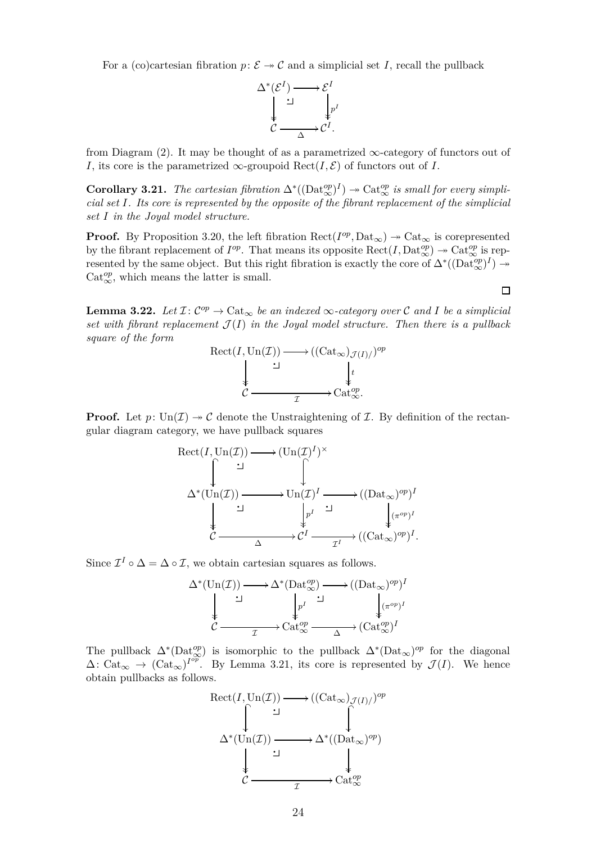For a (co)cartesian fibration  $p: \mathcal{E} \to \mathcal{C}$  and a simplicial set *I*, recall the pullback

$$
\Delta^*(\mathcal{E}^I) \longrightarrow \mathcal{E}^I
$$
  
\n
$$
\downarrow \qquad \qquad \downarrow \qquad \downarrow \qquad \downarrow \qquad \downarrow \qquad \downarrow \qquad \downarrow \qquad \downarrow \qquad \downarrow \qquad \downarrow \qquad \downarrow \qquad \downarrow \qquad \downarrow \qquad \downarrow \qquad \downarrow \qquad \downarrow \qquad \downarrow \qquad \downarrow \qquad \downarrow \qquad \downarrow \qquad \downarrow \qquad \downarrow \qquad \downarrow \qquad \downarrow \qquad \downarrow \qquad \downarrow \qquad \downarrow \qquad \downarrow \qquad \downarrow \qquad \downarrow \qquad \downarrow \qquad \downarrow \qquad \downarrow \qquad \downarrow \qquad \downarrow \qquad \downarrow \qquad \downarrow \qquad \downarrow \qquad \downarrow \qquad \downarrow \qquad \downarrow \qquad \downarrow \qquad \downarrow \qquad \downarrow \qquad \downarrow \qquad \downarrow \qquad \downarrow \qquad \downarrow \qquad \downarrow \qquad \downarrow \qquad \downarrow \qquad \downarrow \qquad \downarrow \qquad \downarrow \qquad \downarrow \qquad \downarrow \qquad \downarrow \qquad \downarrow \qquad \downarrow \qquad \downarrow \qquad \downarrow \qquad \downarrow \qquad \downarrow \qquad \downarrow \qquad \downarrow \qquad \downarrow \qquad \downarrow \qquad \downarrow \qquad \downarrow \qquad \downarrow \qquad \downarrow \qquad \downarrow \qquad \downarrow \qquad \downarrow \qquad \downarrow \qquad \downarrow \qquad \downarrow \qquad \downarrow \qquad \downarrow \qquad \downarrow \qquad \downarrow \qquad \downarrow \qquad \downarrow \qquad \downarrow \qquad \downarrow \qquad \downarrow \qquad \downarrow \qquad \downarrow \qquad \downarrow \qquad \downarrow \qquad \downarrow \qquad \downarrow \qquad \downarrow \qquad \downarrow \qquad \downarrow \qquad \downarrow \qquad \downarrow \qquad \downarrow \qquad \downarrow \qquad \downarrow \qquad \downarrow \qquad \downarrow \qquad \downarrow \qquad \downarrow \qquad \downarrow \qquad \downarrow \qquad \downarrow \qquad \downarrow \qquad \downarrow \qquad \downarrow \qquad \downarrow \qquad \downarrow \qquad \downarrow \qquad \downarrow \qquad \downarrow \qquad \downarrow \qquad \downarrow \qquad \downarrow \qquad \downarrow \qquad \downarrow \qquad \downarrow
$$

<span id="page-23-0"></span>from Diagram [\(2\)](#page-8-5). It may be thought of as a parametrized  $\infty$ -category of functors out of *I*, its core is the parametrized  $\infty$ -groupoid Rect(*I*,  $\mathcal{E}$ ) of functors out of *I*.

 $$ *cial set I. Its core is represented by the opposite of the fibrant replacement of the simplicial set I in the Joyal model structure.*

**Proof.** By Proposition [3.20,](#page-21-0) the left fibration  $\text{Rect}(I^{op}, \text{Data}_{\infty}) \to \text{Cat}_{\infty}$  is corepresented by the fibrant replacement of  $I^{op}$ . That means its opposite  $\text{Rect}(I, \text{Det}_{\infty}^{op}) \to \text{Cat}_{\infty}^{op}$  is represented by the same object. But this right fibration is exactly the core of  $\Delta^*((\text{Det}_{\infty}^{op})^I) \rightarrow$  $\mathrm{Cat}_{\infty}^{op},$  which means the latter is small.

<span id="page-23-1"></span>**Lemma 3.22.** Let  $\mathcal{I}: C^{op} \to \text{Cat}_{\infty}$  be an indexed  $\infty$ -category over  $\mathcal{C}$  and  $I$  be a simplicial set with fibrant replacement  $\mathcal{J}(I)$  in the Joyal model structure. Then there is a pullback *square of the form*

$$
\begin{array}{ccc}\n\text{Rect}(I, \text{Un}(\mathcal{I})) & \longrightarrow ((\text{Cat}_{\infty})_{\mathcal{J}(I)/})^{op} \\
\downarrow & \downarrow & \downarrow \\
\mathcal{C} & \xrightarrow{\mathcal{I}} & \text{Cat}_{\infty}^{op}.\n\end{array}
$$

**Proof.** Let  $p: \text{Un}(\mathcal{I}) \to \mathcal{C}$  denote the Unstraightening of  $\mathcal{I}$ . By definition of the rectangular diagram category, we have pullback squares

$$
\begin{array}{ccc}\n\text{Rect}(I, \text{Un}(\mathcal{I})) & \longrightarrow (\text{Un}(\mathcal{I})^I)^\times \\
\uparrow & \qquad \qquad \downarrow \\
\Delta^*(\text{Un}(\mathcal{I})) & \longrightarrow \text{Un}(\mathcal{I})^I \longrightarrow ((\text{Data}_{\infty})^{op})^I \\
\downarrow & \qquad \qquad \downarrow \\
\mathcal{C} & \xrightarrow{\Delta} \mathcal{C}^I \longrightarrow ((\text{Cat}_{\infty})^{op})^I.\n\end{array}
$$

Since  $\mathcal{I}^I \circ \Delta = \Delta \circ \mathcal{I}$ , we obtain cartesian squares as follows.

$$
\Delta^*(\mathrm{Un}(\mathcal{I})) \longrightarrow \Delta^*(\mathrm{Data}_{\infty}^{op}) \longrightarrow ((\mathrm{Data}_{\infty})^{op})^I
$$
  
\n
$$
\downarrow^{\mathcal{I}} \qquad \qquad \downarrow^{\mathcal{I}} \qquad \qquad (\mathrm{Cat}_{\infty}^{op})^{op}
$$
  
\n
$$
\mathcal{C} \longrightarrow \mathrm{Cat}_{\infty}^{op} \longrightarrow (\mathrm{Cat}_{\infty}^{op})^I
$$

The pullback  $\Delta^*(\text{Det}_{\infty}^{op})$  is isomorphic to the pullback  $\Delta^*(\text{Det}_{\infty})^{op}$  for the diagonal  $\Delta: \text{Cat}_{\infty} \to (\text{Cat}_{\infty})^{I^{op}}$ . By Lemma [3.21,](#page-23-0) its core is represented by  $\mathcal{J}(I)$ . We hence obtain pullbacks as follows.



 $\Box$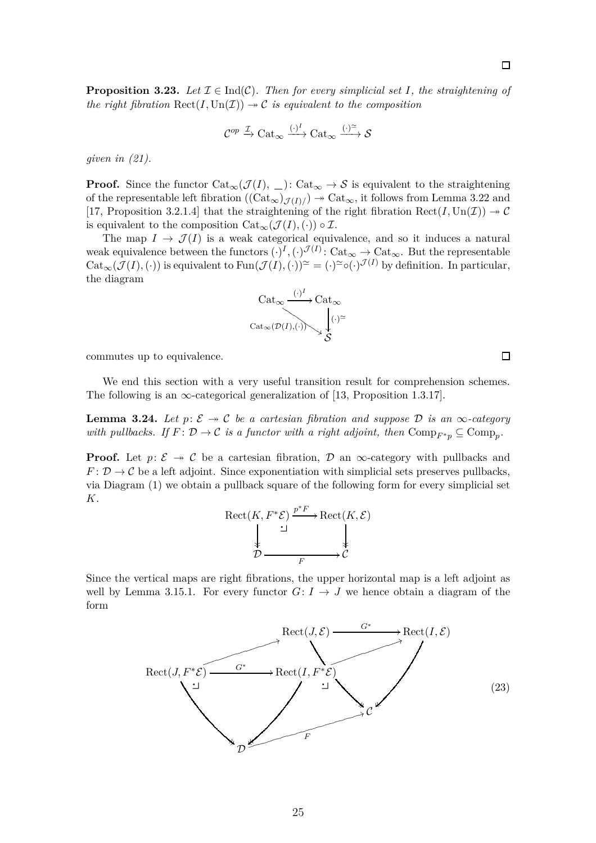<span id="page-24-0"></span>**Proposition 3.23.** Let  $\mathcal{I} \in \text{Ind}(\mathcal{C})$ . Then for every simplicial set I, the straightening of *the right fibration*  $\text{Rect}(I, \text{Un}(\mathcal{I})) \rightarrow \mathcal{C}$  *is equivalent to the composition* 

$$
\mathcal{C}^{op}\xrightarrow{\mathcal{I}}\mathrm{Cat}_\infty\xrightarrow{(\cdot)^I}\mathrm{Cat}_\infty\xrightarrow{(\cdot)^{\simeq}}\mathcal{S}
$$

*given in [\(21\)](#page-21-1).*

**Proof.** Since the functor  $Cat_{\infty}(\mathcal{J}(I), \_)$ :  $Cat_{\infty} \to \mathcal{S}$  is equivalent to the straightening of the representable left fibration  $((Cat_{\infty})_{\mathcal{J}(I)/}) \to Cat_{\infty}$ , it follows from Lemma [3.22](#page-23-1) and [\[17,](#page-50-5) Proposition 3.2.1.4] that the straightening of the right fibration  $\text{Rect}(I, \text{Un}(\mathcal{I})) \rightarrow \mathcal{C}$ is equivalent to the composition  $Cat_{\infty}(\mathcal{J}(I), \langle \cdot \rangle) \circ \mathcal{I}$ .

The map  $I \to \mathcal{J}(I)$  is a weak categorical equivalence, and so it induces a natural weak equivalence between the functors  $(\cdot)^I, (\cdot)^{\mathcal{J}(I)}: \text{Cat}_{\infty} \to \text{Cat}_{\infty}$ . But the representable  $Cat_{\infty}(\mathcal{J}(I), (\cdot))$  is equivalent to  $Fun(\mathcal{J}(I), (\cdot))^{\simeq} = (\cdot)^{\simeq} \circ (\cdot)^{\mathcal{J}(I)}$  by definition. In particular, the diagram



commutes up to equivalence.

<span id="page-24-2"></span>We end this section with a very useful transition result for comprehension schemes. The following is an  $\infty$ -categorical generalization of [\[13,](#page-50-0) Proposition 1.3.17].

**Lemma 3.24.** Let  $p: \mathcal{E} \rightarrow \mathcal{C}$  be a cartesian fibration and suppose  $\mathcal{D}$  is an  $\infty$ -category *with pullbacks.* If  $F: \mathcal{D} \to \mathcal{C}$  *is a functor with a right adjoint, then*  $\text{Comp}_{F^*p} \subseteq \text{Comp}_p$ .

**Proof.** Let  $p: \mathcal{E} \rightarrow \mathcal{C}$  be a cartesian fibration,  $\mathcal{D}$  an  $\infty$ -category with pullbacks and  $F: \mathcal{D} \to \mathcal{C}$  be a left adjoint. Since exponentiation with simplicial sets preserves pullbacks, via Diagram [\(1\)](#page-8-2) we obtain a pullback square of the following form for every simplicial set *K*.

<span id="page-24-1"></span>
$$
\begin{array}{ccc}\n\text{Rect}(K, F^*\mathcal{E}) & \xrightarrow{p^*F} \text{Rect}(K, \mathcal{E}) \\
\downarrow & \searrow & \downarrow \\
\mathcal{D} & \xrightarrow{F} & \mathcal{C}\n\end{array}
$$

Since the vertical maps are right fibrations, the upper horizontal map is a left adjoint as well by Lemma [3.15.](#page-17-1)1. For every functor  $G: I \rightarrow J$  we hence obtain a diagram of the form



 $\Box$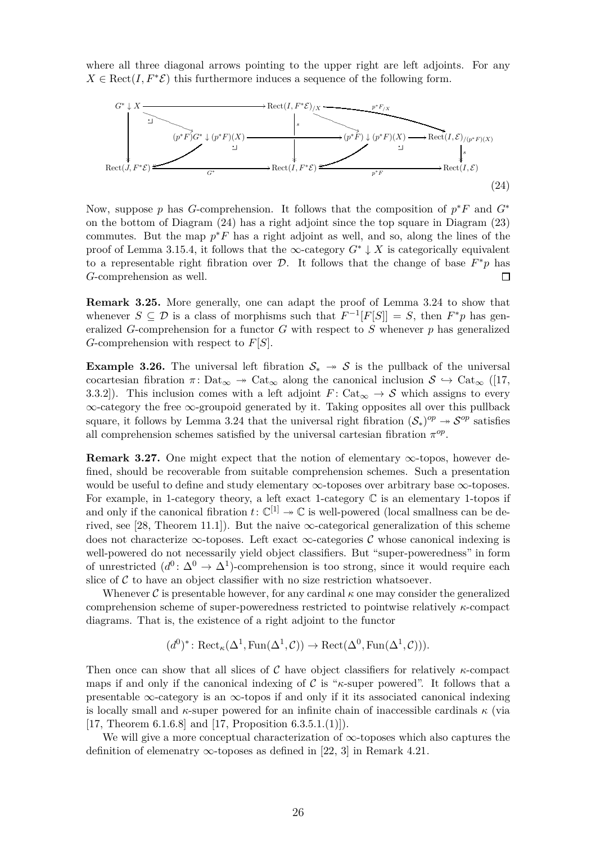where all three diagonal arrows pointing to the upper right are left adjoints. For any  $X \in \text{Rect}(I, F^*\mathcal{E})$  this furthermore induces a sequence of the following form.



<span id="page-25-1"></span>Now, suppose *p* has *G*-comprehension. It follows that the composition of  $p^*F$  and  $G^*$ on the bottom of Diagram [\(24\)](#page-25-1) has a right adjoint since the top square in Diagram [\(23\)](#page-24-1) commutes. But the map  $p^*F$  has a right adjoint as well, and so, along the lines of the proof of Lemma [3.15.](#page-17-1)4, it follows that the  $\infty$ -category  $G^* \downarrow X$  is categorically equivalent to a representable right fibration over  $\mathcal{D}$ . It follows that the change of base  $F^*p$  has *G*-comprehension as well.  $\Box$ 

**Remark 3.25.** More generally, one can adapt the proof of Lemma [3.24](#page-24-2) to show that whenever  $S \subseteq \mathcal{D}$  is a class of morphisms such that  $F^{-1}[F[S]] = S$ , then  $F^*p$  has generalized *G*-comprehension for a functor *G* with respect to *S* whenever *p* has generalized *G*-comprehension with respect to *F*[*S*].

<span id="page-25-0"></span>**Example 3.26.** The universal left fibration  $S_* \rightarrow S$  is the pullback of the universal cocartesian fibration  $\pi$ : Dat<sub>∞</sub>  $\rightarrow$  Cat<sub>∞</sub> along the canonical inclusion  $S \hookrightarrow$  Cat<sub>∞</sub> ([\[17,](#page-50-5) 3.3.2]). This inclusion comes with a left adjoint  $F: \text{Cat}_{\infty} \to \mathcal{S}$  which assigns to every ∞-category the free ∞-groupoid generated by it. Taking opposites all over this pullback square, it follows by Lemma [3.24](#page-24-2) that the universal right fibration  $(S_*)^{op} \to \mathcal{S}^{op}$  satisfies all comprehension schemes satisfied by the universal cartesian fibration  $\pi^{op}$ .

<span id="page-25-2"></span>**Remark 3.27.** One might expect that the notion of elementary  $\infty$ -topos, however defined, should be recoverable from suitable comprehension schemes. Such a presentation would be useful to define and study elementary  $\infty$ -toposes over arbitrary base  $\infty$ -toposes. For example, in 1-category theory, a left exact 1-category  $\mathbb C$  is an elementary 1-topos if and only if the canonical fibration  $t: \mathbb{C}^{[1]} \to \mathbb{C}$  is well-powered (local smallness can be de-rived, see [\[28,](#page-50-3) Theorem 11.1]). But the naive  $\infty$ -categorical generalization of this scheme does not characterize  $\infty$ -toposes. Left exact  $\infty$ -categories C whose canonical indexing is well-powered do not necessarily yield object classifiers. But "super-poweredness" in form of unrestricted  $(d^0: \Delta^0 \to \Delta^1)$ -comprehension is too strong, since it would require each slice of  $C$  to have an object classifier with no size restriction whatsoever.

Whenever C is presentable however, for any cardinal  $\kappa$  one may consider the generalized comprehension scheme of super-poweredness restricted to pointwise relatively *κ*-compact diagrams. That is, the existence of a right adjoint to the functor

$$
(d^0)^*: \operatorname{Rect}_{\kappa}(\Delta^1, \operatorname{Fun}(\Delta^1, \mathcal{C})) \to \operatorname{Rect}(\Delta^0, \operatorname{Fun}(\Delta^1, \mathcal{C}))).
$$

Then once can show that all slices of C have object classifiers for relatively *κ*-compact maps if and only if the canonical indexing of C is "*κ*-super powered". It follows that a presentable  $\infty$ -category is an  $\infty$ -topos if and only if it its associated canonical indexing is locally small and *κ*-super powered for an infinite chain of inaccessible cardinals *κ* (via [\[17,](#page-50-5) Theorem 6.1.6.8] and [\[17,](#page-50-5) Proposition 6.3.5.1.(1)]).

We will give a more conceptual characterization of  $\infty$ -toposes which also captures the definition of elemenatry  $\infty$ -toposes as defined in [\[22,](#page-50-8) 3] in Remark [4.21.](#page-39-0)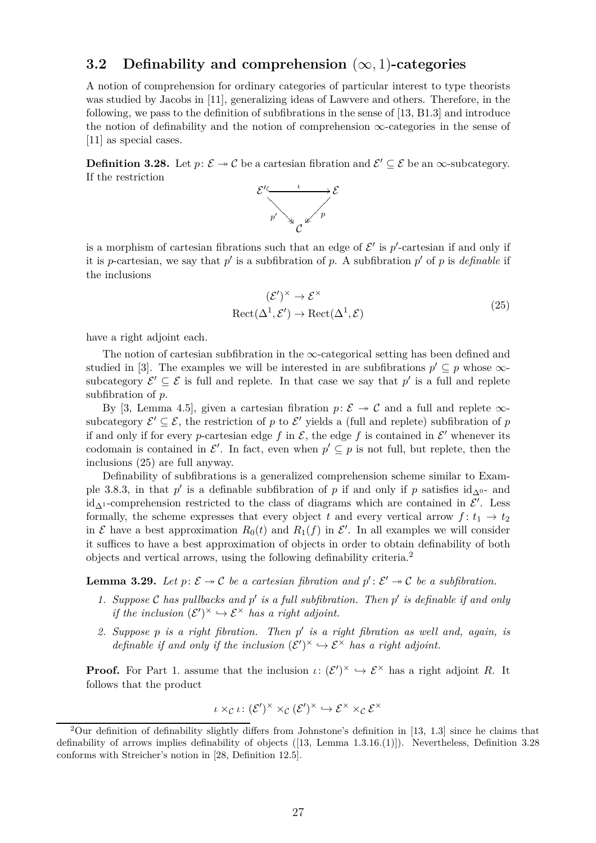#### <span id="page-26-0"></span>**3.2 Definability and comprehension** (∞*,* 1)**-categories**

A notion of comprehension for ordinary categories of particular interest to type theorists was studied by Jacobs in [\[11\]](#page-50-1), generalizing ideas of Lawvere and others. Therefore, in the following, we pass to the definition of subfibrations in the sense of [\[13,](#page-50-0) B1.3] and introduce the notion of definability and the notion of comprehension  $\infty$ -categories in the sense of [\[11\]](#page-50-1) as special cases.

<span id="page-26-3"></span>**Definition 3.28.** Let  $p: \mathcal{E} \to \mathcal{C}$  be a cartesian fibration and  $\mathcal{E}' \subseteq \mathcal{E}$  be an  $\infty$ -subcategory. If the restriction



is a morphism of cartesian fibrations such that an edge of  $\mathcal{E}'$  is  $p'$ -cartesian if and only if it is *p*-cartesian, we say that  $p'$  is a subfibration of  $p$ . A subfibration  $p'$  of  $p$  is *definable* if the inclusions

<span id="page-26-1"></span>
$$
(\mathcal{E}')^{\times} \to \mathcal{E}^{\times}
$$
  
Rect( $\Delta^{1}, \mathcal{E}'$ )  $\to$  Rect( $\Delta^{1}, \mathcal{E}$ ) (25)

have a right adjoint each.

The notion of cartesian subfibration in the  $\infty$ -categorical setting has been defined and studied in [\[3\]](#page-49-1). The examples we will be interested in are subfibrations  $p' \subseteq p$  whose  $\infty$ subcategory  $\mathcal{E}' \subseteq \mathcal{E}$  is full and replete. In that case we say that  $p'$  is a full and replete subfibration of *p*.

By [\[3,](#page-49-1) Lemma 4.5], given a cartesian fibration  $p: \mathcal{E} \rightarrow \mathcal{C}$  and a full and replete  $\infty$ subcategory  $\mathcal{E}' \subseteq \mathcal{E}$ , the restriction of p to  $\mathcal{E}'$  yields a (full and replete) subfibration of p if and only if for every *p*-cartesian edge  $f$  in  $\mathcal{E}$ , the edge  $f$  is contained in  $\mathcal{E}'$  whenever its codomain is contained in  $\mathcal{E}'$ . In fact, even when  $p' \subseteq p$  is not full, but replete, then the inclusions [\(25\)](#page-26-1) are full anyway.

Definability of subfibrations is a generalized comprehension scheme similar to Exam-ple [3.8.](#page-12-1)3, in that  $p'$  is a definable subfibration of  $p$  if and only if  $p$  satisfies  $id_{\Delta^{0-}}$  and id<sub>∆<sup>1</sub></sup>-comprehension restricted to the class of diagrams which are contained in  $\mathcal{E}'$ . Less</sub> formally, the scheme expresses that every object *t* and every vertical arrow  $f: t_1 \rightarrow t_2$ in  $\mathcal E$  have a best approximation  $R_0(t)$  and  $R_1(f)$  in  $\mathcal E'$ . In all examples we will consider it suffices to have a best approximation of objects in order to obtain definability of both objects and vertical arrows, using the following definability criteria.[2](#page-26-2)

<span id="page-26-4"></span>**Lemma 3.29.** Let  $p: \mathcal{E} \to \mathcal{C}$  be a cartesian fibration and  $p': \mathcal{E}' \to \mathcal{C}$  be a subfibration.

- *1. Suppose* C *has pullbacks and p* ′ *is a full subfibration. Then p* ′ *is definable if and only if the inclusion*  $(\mathcal{E}')^{\times} \hookrightarrow \mathcal{E}^{\times}$  *has a right adjoint.*
- *2. Suppose p is a right fibration. Then p* ′ *is a right fibration as well and, again, is definable if and only if the inclusion*  $(\mathcal{E}')^{\times} \hookrightarrow \mathcal{E}^{\times}$  *has a right adjoint.*

**Proof.** For Part 1. assume that the inclusion  $\iota: (\mathcal{E}')^{\times} \hookrightarrow \mathcal{E}^{\times}$  has a right adjoint *R*. It follows that the product

$$
\iota \times_{\mathcal{C}} \iota \colon (\mathcal{E}')^{\times} \times_{\mathcal{C}} (\mathcal{E}')^{\times} \hookrightarrow \mathcal{E}^{\times} \times_{\mathcal{C}} \mathcal{E}^{\times}
$$

<span id="page-26-2"></span><sup>2</sup>Our definition of definability slightly differs from Johnstone's definition in [\[13,](#page-50-0) 1.3] since he claims that definability of arrows implies definability of objects ([\[13,](#page-50-0) Lemma 1.3.16.(1)]). Nevertheless, Definition [3.28](#page-26-3) conforms with Streicher's notion in [\[28,](#page-50-3) Definition 12.5].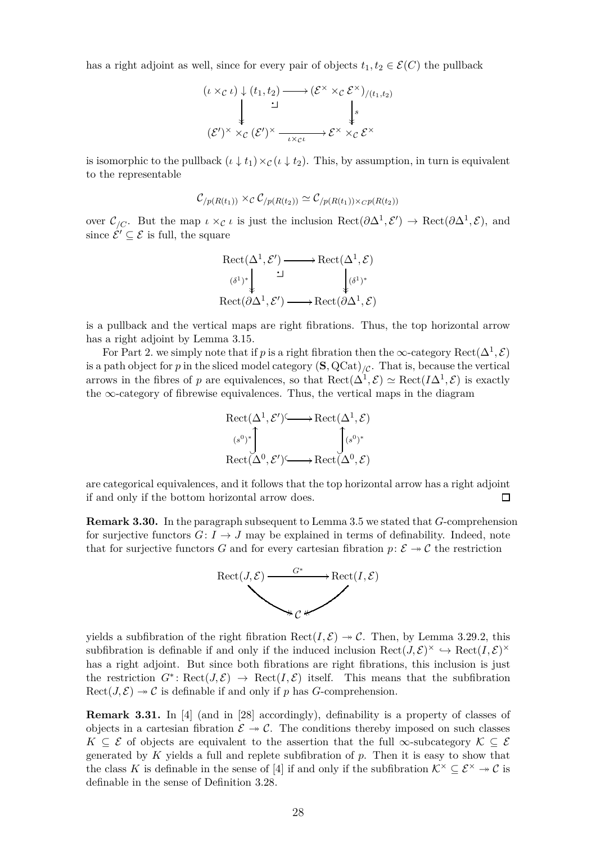has a right adjoint as well, since for every pair of objects  $t_1, t_2 \in \mathcal{E}(C)$  the pullback

$$
(t \times_{\mathcal{C}} t) \downarrow (t_1, t_2) \longrightarrow (\mathcal{E}^{\times} \times_{\mathcal{C}} \mathcal{E}^{\times})_{/(t_1, t_2)}
$$
  

$$
\downarrow \qquad \qquad \downarrow
$$
  

$$
(\mathcal{E}')^{\times} \times_{\mathcal{C}} (\mathcal{E}')^{\times} \longrightarrow \mathcal{E}^{\times} \times_{\mathcal{C}} \mathcal{E}^{\times}
$$

is isomorphic to the pullback  $(\iota \downarrow t_1) \times_{\mathcal{C}} (\iota \downarrow t_2)$ . This, by assumption, in turn is equivalent to the representable

$$
\mathcal{C}_{/p(R(t_1))} \times_{\mathcal{C}} \mathcal{C}_{/p(R(t_2))} \simeq \mathcal{C}_{/p(R(t_1)) \times_{\mathcal{CP}}(R(t_2))}
$$

over  $\mathcal{C}_{/C}$ . But the map  $\iota \times_{\mathcal{C}} \iota$  is just the inclusion  $\text{Rect}(\partial \Delta^1, \mathcal{E}') \to \text{Rect}(\partial \Delta^1, \mathcal{E})$ , and since  $\mathcal{E}' \subseteq \mathcal{E}$  is full, the square

$$
\operatorname{Rect}(\Delta^1, \mathcal{E}') \longrightarrow \operatorname{Rect}(\Delta^1, \mathcal{E})
$$
  
\n
$$
\downarrow^{(\delta^1)^*} \downarrow^{'} \downarrow^{(\delta^1)^*}
$$
  
\n
$$
\operatorname{Rect}(\partial \Delta^1, \mathcal{E}') \longrightarrow \operatorname{Rect}(\partial \Delta^1, \mathcal{E})
$$

is a pullback and the vertical maps are right fibrations. Thus, the top horizontal arrow has a right adjoint by Lemma [3.15.](#page-17-1)

For Part 2. we simply note that if *p* is a right fibration then the  $\infty$ -category  $\text{Rect}(\Delta^1, \mathcal{E})$ is a path object for *p* in the sliced model category  $(\mathbf{S}, \mathrm{QCat})_{\mathcal{C}}$ . That is, because the vertical arrows in the fibres of *p* are equivalences, so that  $\text{Rect}(\Delta^1, \mathcal{E}) \simeq \text{Rect}(I\Delta^1, \mathcal{E})$  is exactly the  $\infty$ -category of fibrewise equivalences. Thus, the vertical maps in the diagram

$$
\begin{array}{ccc}\n\operatorname{Rect}(\Delta^{1}, \mathcal{E}') &\longrightarrow \operatorname{Rect}(\Delta^{1}, \mathcal{E}) \\
\downarrow^{(s^{0})^{*}} & & \downarrow^{(s^{0})^{*}} \\
\operatorname{Rect}(\Delta^{0}, \mathcal{E}') &\longrightarrow \operatorname{Rect}(\Delta^{0}, \mathcal{E})\n\end{array}
$$

are categorical equivalences, and it follows that the top horizontal arrow has a right adjoint if and only if the bottom horizontal arrow does.  $\Box$ 

<span id="page-27-0"></span>**Remark 3.30.** In the paragraph subsequent to Lemma [3.5](#page-11-0) we stated that *G*-comprehension for surjective functors  $G: I \rightarrow J$  may be explained in terms of definability. Indeed, note that for surjective functors *G* and for every cartesian fibration  $p: \mathcal{E} \rightarrow \mathcal{C}$  the restriction



yields a subfibration of the right fibration  $\text{Rect}(I, \mathcal{E}) \rightarrow \mathcal{C}$ . Then, by Lemma [3.29.](#page-26-4)2, this subfibration is definable if and only if the induced inclusion  $\text{Rect}(J,\mathcal{E})^{\times} \hookrightarrow \text{Rect}(I,\mathcal{E})^{\times}$ has a right adjoint. But since both fibrations are right fibrations, this inclusion is just the restriction  $G^* \colon \text{Rect}(J, \mathcal{E}) \to \text{Rect}(I, \mathcal{E})$  itself. This means that the subfibration  $Rect(J, \mathcal{E}) \rightarrow \mathcal{C}$  is definable if and only if p has *G*-comprehension.

**Remark 3.31.** In [\[4\]](#page-49-0) (and in [\[28\]](#page-50-3) accordingly), definability is a property of classes of objects in a cartesian fibration  $\mathcal{E} \to \mathcal{C}$ . The conditions thereby imposed on such classes  $K \subseteq \mathcal{E}$  of objects are equivalent to the assertion that the full  $\infty$ -subcategory  $\mathcal{K} \subseteq \mathcal{E}$ generated by *K* yields a full and replete subfibration of *p*. Then it is easy to show that the class *K* is definable in the sense of [\[4\]](#page-49-0) if and only if the subfibration  $K^{\times} \subseteq \mathcal{E}^{\times} \rightarrow \mathcal{C}$  is definable in the sense of Definition [3.28.](#page-26-3)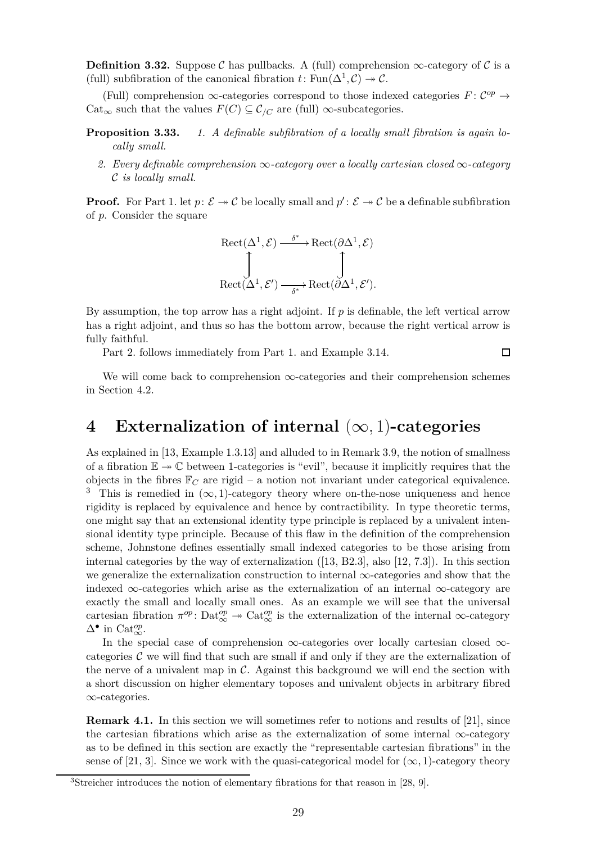**Definition 3.32.** Suppose C has pullbacks. A (full) comprehension  $\infty$ -category of C is a (full) subfibration of the canonical fibration  $t: \text{Fun}(\Delta^1, \mathcal{C}) \to \mathcal{C}$ .

(Full) comprehension  $\infty$ -categories correspond to those indexed categories  $F: \mathcal{C}^{op} \to$ Cat<sub>∞</sub> such that the values  $F(C) \subseteq C_{/C}$  are (full) ∞-subcategories.

- **Proposition 3.33.** *1. A definable subfibration of a locally small fibration is again locally small.*
	- *2. Every definable comprehension* ∞*-category over a locally cartesian closed* ∞*-category* C *is locally small.*

**Proof.** For Part 1. let  $p: \mathcal{E} \to \mathcal{C}$  be locally small and  $p': \mathcal{E} \to \mathcal{C}$  be a definable subfibration of *p*. Consider the square

$$
\text{Rect}(\Delta^1, \mathcal{E}) \xrightarrow{\delta^*} \text{Rect}(\partial \Delta^1, \mathcal{E})
$$
  

$$
\updownarrow^{\text{B}} \qquad \qquad \downarrow^{\text{B}} \qquad \qquad \downarrow^{\text{B}} \qquad \qquad \downarrow^{\text{B}} \qquad \qquad \downarrow^{\text{B}} \qquad \qquad \downarrow^{\text{B}} \qquad \qquad \downarrow^{\text{B}} \qquad \qquad \downarrow^{\text{B}} \qquad \qquad \downarrow^{\text{B}} \qquad \qquad \downarrow^{\text{B}} \qquad \qquad \downarrow^{\text{B}} \qquad \qquad \downarrow^{\text{B}} \qquad \qquad \downarrow^{\text{B}} \qquad \qquad \downarrow^{\text{B}} \qquad \qquad \downarrow^{\text{B}} \qquad \qquad \downarrow^{\text{B}} \qquad \qquad \downarrow^{\text{B}} \qquad \qquad \downarrow^{\text{B}} \qquad \qquad \downarrow^{\text{B}} \qquad \qquad \downarrow^{\text{B}} \qquad \qquad \downarrow^{\text{B}} \qquad \qquad \downarrow^{\text{B}} \qquad \qquad \downarrow^{\text{B}} \qquad \qquad \downarrow^{\text{B}} \qquad \qquad \downarrow^{\text{B}} \qquad \qquad \downarrow^{\text{B}} \qquad \qquad \downarrow^{\text{B}} \qquad \qquad \downarrow^{\text{B}} \qquad \qquad \downarrow^{\text{B}} \qquad \qquad \downarrow^{\text{B}} \qquad \qquad \downarrow^{\text{B}} \qquad \qquad \downarrow^{\text{B}} \qquad \qquad \downarrow^{\text{B}} \qquad \qquad \downarrow^{\text{B}} \qquad \qquad \downarrow^{\text{B}} \qquad \qquad \downarrow^{\text{B}} \qquad \qquad \downarrow^{\text{B}} \qquad \qquad \downarrow^{\text{B}} \qquad \qquad \downarrow^{\text{B}} \qquad \qquad \downarrow^{\text{B}} \qquad \qquad \downarrow^{\text{B}} \qquad \qquad \downarrow^{\text{B}} \qquad \qquad \downarrow^{\text{B}} \qquad \qquad \downarrow^{\text{B}} \qquad \qquad \downarrow^{\text{B}} \qquad \qquad \downarrow^{\text{B}} \qquad \qquad \downarrow^{\text{B}} \qquad \qquad \downarrow
$$

By assumption, the top arrow has a right adjoint. If *p* is definable, the left vertical arrow has a right adjoint, and thus so has the bottom arrow, because the right vertical arrow is fully faithful.

Part 2. follows immediately from Part 1. and Example [3.14.](#page-14-0)

$$
\Box
$$

We will come back to comprehension  $\infty$ -categories and their comprehension schemes in Section [4.2.](#page-37-0)

### <span id="page-28-0"></span>**4 Externalization of internal** (∞*,* 1)**-categories**

As explained in [\[13,](#page-50-0) Example 1.3.13] and alluded to in Remark [3.9,](#page-13-0) the notion of smallness of a fibration  $\mathbb{E} \to \mathbb{C}$  between 1-categories is "evil", because it implicitly requires that the objects in the fibres  $\mathbb{F}_C$  are rigid – a notion not invariant under categorical equivalence. <sup>[3](#page-28-1)</sup> This is remedied in  $(\infty, 1)$ -category theory where on-the-nose uniqueness and hence rigidity is replaced by equivalence and hence by contractibility. In type theoretic terms, one might say that an extensional identity type principle is replaced by a univalent intensional identity type principle. Because of this flaw in the definition of the comprehension scheme, Johnstone defines essentially small indexed categories to be those arising from internal categories by the way of externalization ([\[13,](#page-50-0) B2.3], also [\[12,](#page-50-4) 7.3]). In this section we generalize the externalization construction to internal ∞-categories and show that the indexed  $\infty$ -categories which arise as the externalization of an internal  $\infty$ -category are exactly the small and locally small ones. As an example we will see that the universal cartesian fibration  $\pi^{op}$ : Dat $^{op}_{\infty} \to \text{Cat}_{\infty}^{op}$  is the externalization of the internal  $\infty$ -category  $\Delta$ <sup>•</sup> in Cat<sup>op</sup><sub>∞</sub>.

In the special case of comprehension ∞-categories over locally cartesian closed ∞ categories  $\mathcal C$  we will find that such are small if and only if they are the externalization of the nerve of a univalent map in  $\mathcal C$ . Against this background we will end the section with a short discussion on higher elementary toposes and univalent objects in arbitrary fibred ∞-categories.

<span id="page-28-2"></span>**Remark 4.1.** In this section we will sometimes refer to notions and results of [\[21\]](#page-50-9), since the cartesian fibrations which arise as the externalization of some internal ∞-category as to be defined in this section are exactly the "representable cartesian fibrations" in the sense of [\[21,](#page-50-9) 3]. Since we work with the quasi-categorical model for  $(\infty, 1)$ -category theory

<span id="page-28-1"></span><sup>3</sup>Streicher introduces the notion of elementary fibrations for that reason in [\[28,](#page-50-3) 9].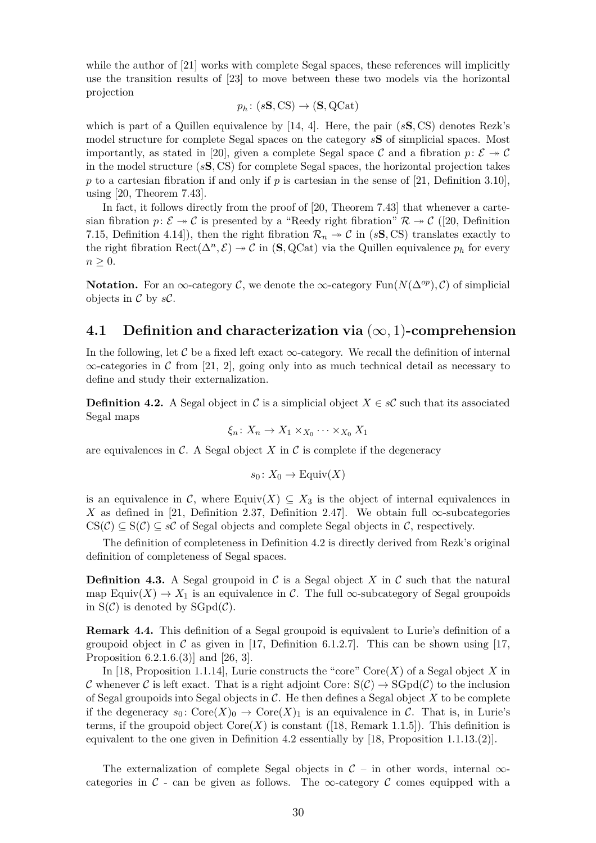while the author of [\[21\]](#page-50-9) works with complete Segal spaces, these references will implicitly use the transition results of [\[23\]](#page-50-6) to move between these two models via the horizontal projection

$$
p_h\colon (s\mathbf{S},\mathrm{CS}) \to (\mathbf{S},\mathrm{QCat})
$$

which is part of a Quillen equivalence by [\[14,](#page-50-10) 4]. Here, the pair (*s***S***,* CS) denotes Rezk's model structure for complete Segal spaces on the category *s***S** of simplicial spaces. Most importantly, as stated in [\[20\]](#page-50-11), given a complete Segal space C and a fibration  $p: \mathcal{E} \to \mathcal{C}$ in the model structure (*s***S***,* CS) for complete Segal spaces, the horizontal projection takes  $p$  to a cartesian fibration if and only if  $p$  is cartesian in the sense of [\[21,](#page-50-9) Definition 3.10], using [\[20,](#page-50-11) Theorem 7.43].

In fact, it follows directly from the proof of [\[20,](#page-50-11) Theorem 7.43] that whenever a cartesian fibration  $p: \mathcal{E} \to \mathcal{C}$  is presented by a "Reedy right fibration"  $\mathcal{R} \to \mathcal{C}$  ([\[20,](#page-50-11) Definition 7.15, Definition 4.14]), then the right fibration  $\mathcal{R}_n \to \mathcal{C}$  in (*s***S***,* CS) translates exactly to the right fibration  $\text{Rect}(\Delta^n, \mathcal{E}) \to \mathcal{C}$  in  $(\mathbf{S}, \text{QCat})$  via the Quillen equivalence  $p_h$  for every  $n \geq 0$ .

**Notation.** For an ∞-category  $\mathcal{C}$ , we denote the ∞-category Fun( $N(\Delta^{op}), \mathcal{C}$ ) of simplicial objects in C by *s*C.

#### <span id="page-29-0"></span>**4.1 Definition and characterization via** (∞*,* 1)**-comprehension**

In the following, let C be a fixed left exact  $\infty$ -category. We recall the definition of internal  $\infty$ -categories in C from [\[21,](#page-50-9) 2], going only into as much technical detail as necessary to define and study their externalization.

<span id="page-29-1"></span>**Definition 4.2.** A Segal object in C is a simplicial object  $X \in \mathcal{SC}$  such that its associated Segal maps

$$
\xi_n\colon X_n\to X_1\times_{X_0}\cdots\times_{X_0}X_1
$$

are equivalences in  $\mathcal{C}$ . A Segal object  $X$  in  $\mathcal{C}$  is complete if the degeneracy

$$
s_0\colon X_0\to \mathrm{Equiv}(X)
$$

is an equivalence in C, where Equiv $(X) \subseteq X_3$  is the object of internal equivalences in *X* as defined in [\[21,](#page-50-9) Definition 2.37, Definition 2.47]. We obtain full  $\infty$ -subcategories  $CS(\mathcal{C}) \subseteq S(\mathcal{C}) \subseteq s\mathcal{C}$  of Segal objects and complete Segal objects in  $\mathcal{C}$ , respectively.

The definition of completeness in Definition [4.2](#page-29-1) is directly derived from Rezk's original definition of completeness of Segal spaces.

**Definition 4.3.** A Segal groupoid in  $\mathcal{C}$  is a Segal object  $X$  in  $\mathcal{C}$  such that the natural map Equiv $(X) \to X_1$  is an equivalence in C. The full  $\infty$ -subcategory of Segal groupoids in  $S(\mathcal{C})$  is denoted by  $SGpd(\mathcal{C})$ .

**Remark 4.4.** This definition of a Segal groupoid is equivalent to Lurie's definition of a groupoid object in  $\mathcal C$  as given in [\[17,](#page-50-5) Definition 6.1.2.7]. This can be shown using [17, Proposition 6.2.1.6.(3)] and [\[26,](#page-50-12) 3].

In [\[18,](#page-50-13) Proposition 1.1.14], Lurie constructs the "core"  $Core(X)$  of a Segal object X in C whenever C is left exact. That is a right adjoint Core:  $S(\mathcal{C}) \to S\text{Gpd}(\mathcal{C})$  to the inclusion of Segal groupoids into Segal objects in C. He then defines a Segal object *X* to be complete if the degeneracy  $s_0: \text{Core}(X)_0 \to \text{Core}(X)_1$  is an equivalence in C. That is, in Lurie's terms, if the groupoid object  $\text{Core}(X)$  is constant ([\[18,](#page-50-13) Remark 1.1.5]). This definition is equivalent to the one given in Definition [4.2](#page-29-1) essentially by [\[18,](#page-50-13) Proposition 1.1.13.(2)].

The externalization of complete Segal objects in  $\mathcal{C}$  – in other words, internal  $\infty$ categories in  $\mathcal C$  - can be given as follows. The  $\infty$ -category  $\mathcal C$  comes equipped with a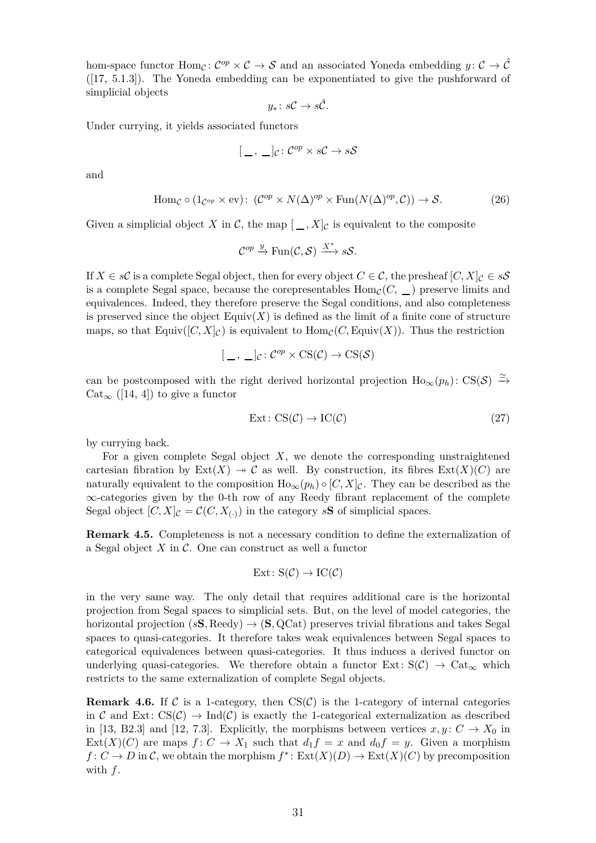hom-space functor  $\text{Hom}_{\mathcal{C}}\colon \mathcal{C}^{op} \times \mathcal{C} \to \mathcal{S}$  and an associated Yoneda embedding  $y \colon \mathcal{C} \to \hat{\mathcal{C}}$ ([\[17,](#page-50-5) 5.1.3]). The Yoneda embedding can be exponentiated to give the pushforward of simplicial objects

<span id="page-30-1"></span>
$$
y_*\colon s\mathcal{C}\to s\hat{\mathcal{C}}.
$$

Under currying, it yields associated functors

$$
[\,\_\,,\,\_\,]\mathcal{C}\colon\mathcal{C}^{op}\times s\mathcal{C}\to s\mathcal{S}
$$

and

$$
\text{Hom}_{\mathcal{C}} \circ (1_{\mathcal{C}^{op}} \times \text{ev}) : (\mathcal{C}^{op} \times N(\Delta)^{op} \times \text{Fun}(N(\Delta)^{op}, \mathcal{C})) \to \mathcal{S}.
$$
 (26)

Given a simplicial object *X* in *C*, the map  $[-, X]_C$  is equivalent to the composite

$$
\mathcal{C}^{op} \xrightarrow{y} \text{Fun}(\mathcal{C}, \mathcal{S}) \xrightarrow{X^*} s\mathcal{S}.
$$

If  $X \in s\mathcal{C}$  is a complete Segal object, then for every object  $C \in \mathcal{C}$ , the presheaf  $[C, X]_{\mathcal{C}} \in s\mathcal{S}$ is a complete Segal space, because the corepresentables  $Hom_{\mathcal{C}}(C, \underline{\hspace{1cm}})$  preserve limits and equivalences. Indeed, they therefore preserve the Segal conditions, and also completeness is preserved since the object  $\text{Equiv}(X)$  is defined as the limit of a finite cone of structure maps, so that Equiv $([C, X]_C)$  is equivalent to  $\text{Hom}_C(C, \text{Equiv}(X))$ . Thus the restriction

$$
[\,\_\,,\,\_\,]\mathcal{C}\colon\mathcal{C}^{op}\times\mathrm{CS}(\mathcal{C})\to\mathrm{CS}(\mathcal{S})
$$

can be postcomposed with the right derived horizontal projection  $\text{Ho}_{\infty}(p_h)$ : CS(S)  $\stackrel{\simeq}{\to}$  $Cat_{\infty}$  ([\[14,](#page-50-10) 4]) to give a functor

<span id="page-30-0"></span>
$$
Ext: CS(\mathcal{C}) \to IC(\mathcal{C}) \tag{27}
$$

by currying back.

For a given complete Segal object *X*, we denote the corresponding unstraightened cartesian fibration by  $Ext(X) \rightarrow \mathcal{C}$  as well. By construction, its fibres  $Ext(X)(C)$  are naturally equivalent to the composition  $\text{Ho}_{\infty}(p_h) \circ [C, X]_{\mathcal{C}}$ . They can be described as the ∞-categories given by the 0-th row of any Reedy fibrant replacement of the complete Segal object  $[C, X]_C = C(C, X_{(\cdot)})$  in the category *s***S** of simplicial spaces.

**Remark 4.5.** Completeness is not a necessary condition to define the externalization of a Segal object *X* in C. One can construct as well a functor

$$
Ext: S(\mathcal{C}) \to IC(\mathcal{C})
$$

in the very same way. The only detail that requires additional care is the horizontal projection from Segal spaces to simplicial sets. But, on the level of model categories, the horizontal projection  $(sS, \text{Red}y) \rightarrow (S, \text{QCat})$  preserves trivial fibrations and takes Segal spaces to quasi-categories. It therefore takes weak equivalences between Segal spaces to categorical equivalences between quasi-categories. It thus induces a derived functor on underlying quasi-categories. We therefore obtain a functor  $Ext: S(\mathcal{C}) \to Cat_{\infty}$  which restricts to the same externalization of complete Segal objects.

<span id="page-30-2"></span>**Remark 4.6.** If C is a 1-category, then  $CS(\mathcal{C})$  is the 1-category of internal categories in C and Ext:  $CS(\mathcal{C}) \to \text{Ind}(\mathcal{C})$  is exactly the 1-categorical externalization as described in [\[13,](#page-50-0) B2.3] and [\[12,](#page-50-4) 7.3]. Explicitly, the morphisms between vertices  $x, y \colon C \to X_0$  in  $Ext(X)(C)$  are maps  $f: C \to X_1$  such that  $d_1 f = x$  and  $d_0 f = y$ . Given a morphism  $f: C \to D$  in C, we obtain the morphism  $f^*: \text{Ext}(X)(D) \to \text{Ext}(X)(C)$  by precomposition with *f*.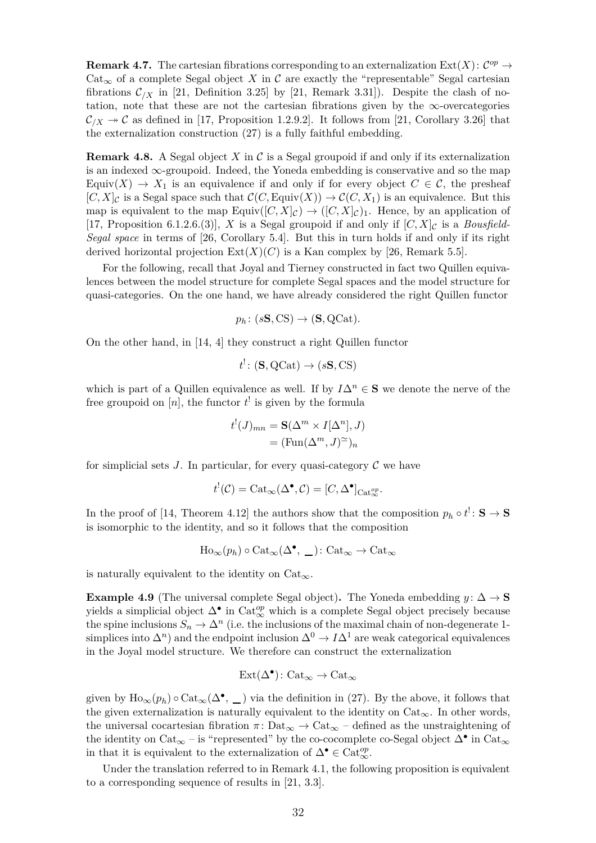**Remark 4.7.** The cartesian fibrations corresponding to an externalization  $\text{Ext}(X)$ :  $\mathcal{C}^{op} \to$ Cat<sub>∞</sub> of a complete Segal object *X* in C are exactly the "representable" Segal cartesian fibrations  $\mathcal{C}_{X}$  in [\[21,](#page-50-9) Definition 3.25] by [21, Remark 3.31]). Despite the clash of notation, note that these are not the cartesian fibrations given by the  $\infty$ -overcategories  $\mathcal{C}_{X} \rightarrow \mathcal{C}$  as defined in [\[17,](#page-50-5) Proposition 1.2.9.2]. It follows from [\[21,](#page-50-9) Corollary 3.26] that the externalization construction [\(27\)](#page-30-0) is a fully faithful embedding.

<span id="page-31-1"></span>**Remark 4.8.** A Segal object *X* in C is a Segal groupoid if and only if its externalization is an indexed  $\infty$ -groupoid. Indeed, the Yoneda embedding is conservative and so the map Equiv(*X*)  $\rightarrow$  *X*<sub>1</sub> is an equivalence if and only if for every object  $C \in \mathcal{C}$ , the presheaf  $[C, X]_{\mathcal{C}}$  is a Segal space such that  $\mathcal{C}(C, \text{Equiv}(X)) \to \mathcal{C}(C, X_1)$  is an equivalence. But this map is equivalent to the map  $\text{Equiv}([C, X]_{\mathcal{C}}) \to ([C, X]_{\mathcal{C}})_{1}$ . Hence, by an application of [\[17,](#page-50-5) Proposition 6.1.2.6.(3)], *X* is a Segal groupoid if and only if  $[C, X]_C$  is a *Bousfield*-*Segal space* in terms of [\[26,](#page-50-12) Corollary 5.4]. But this in turn holds if and only if its right derived horizontal projection  $Ext(X)(C)$  is a Kan complex by [\[26,](#page-50-12) Remark 5.5].

For the following, recall that Joyal and Tierney constructed in fact two Quillen equivalences between the model structure for complete Segal spaces and the model structure for quasi-categories. On the one hand, we have already considered the right Quillen functor

 $p_h$ : ( $s$ **S***,* CS)  $\rightarrow$  (**S***,* QCat)*.* 

On the other hand, in [\[14,](#page-50-10) 4] they construct a right Quillen functor

$$
t^! \colon (\mathbf{S}, \mathrm{QCat}) \to (s\mathbf{S}, \mathrm{CS})
$$

which is part of a Quillen equivalence as well. If by  $I\Delta^n \in \mathbf{S}$  we denote the nerve of the free groupoid on  $[n]$ , the functor  $t^{\dagger}$  is given by the formula

$$
t^{!}(J)_{mn} = \mathbf{S}(\Delta^{m} \times I[\Delta^{n}], J)
$$
  
=  $(\text{Fun}(\Delta^{m}, J)^{\simeq})_{n}$ 

for simplicial sets  $J$ . In particular, for every quasi-category  $\mathcal C$  we have

$$
t^!(\mathcal{C}) = \mathrm{Cat}_{\infty}(\Delta^{\bullet}, \mathcal{C}) = [C, \Delta^{\bullet}]_{\mathrm{Cat}_{\infty}^{op}}.
$$

In the proof of [\[14,](#page-50-10) Theorem 4.12] the authors show that the composition  $p_h \circ t^! : \mathbf{S} \to \mathbf{S}$ is isomorphic to the identity, and so it follows that the composition

$$
\text{Ho}_{\infty}(p_h) \circ \text{Cat}_{\infty}(\Delta^{\bullet}, \underline{\hspace{1cm}}): \text{Cat}_{\infty} \to \text{Cat}_{\infty}
$$

<span id="page-31-2"></span>is naturally equivalent to the identity on  $Cat_{\infty}$ .

**Example 4.9** (The universal complete Segal object). The Yoneda embedding  $y: \Delta \to \mathbf{S}$ yields a simplicial object  $\Delta^{\bullet}$  in Cat<sup>op</sup><sub>∞</sub> which is a complete Segal object precisely because the spine inclusions  $S_n \to \Delta^n$  (i.e. the inclusions of the maximal chain of non-degenerate 1simplices into  $\Delta^n$ ) and the endpoint inclusion  $\Delta^0 \to I \Delta^1$  are weak categorical equivalences in the Joyal model structure. We therefore can construct the externalization

$$
\operatorname{Ext}(\Delta^\bullet)\colon \operatorname{Cat}_\infty\to\operatorname{Cat}_\infty
$$

given by  $\text{Ho}_{\infty}(p_h) \circ \text{Cat}_{\infty}(\Delta^{\bullet}, \underline{\hspace{1cm}})$  via the definition in [\(27\)](#page-30-0). By the above, it follows that the given externalization is naturally equivalent to the identity on  $Cat_{\infty}$ . In other words, the universal cocartesian fibration  $\pi$ : Dat<sub>∞</sub>  $\rightarrow$  Cat<sub>∞</sub> – defined as the unstraightening of the identity on Cat<sub>∞</sub> – is "represented" by the co-cocomplete co-Segal object  $\Delta^{\bullet}$  in Cat<sub>∞</sub> in that it is equivalent to the externalization of  $\Delta^{\bullet} \in \text{Cat}_{\infty}^{op}$ .

<span id="page-31-0"></span>Under the translation referred to in Remark [4.1,](#page-28-2) the following proposition is equivalent to a corresponding sequence of results in [\[21,](#page-50-9) 3.3].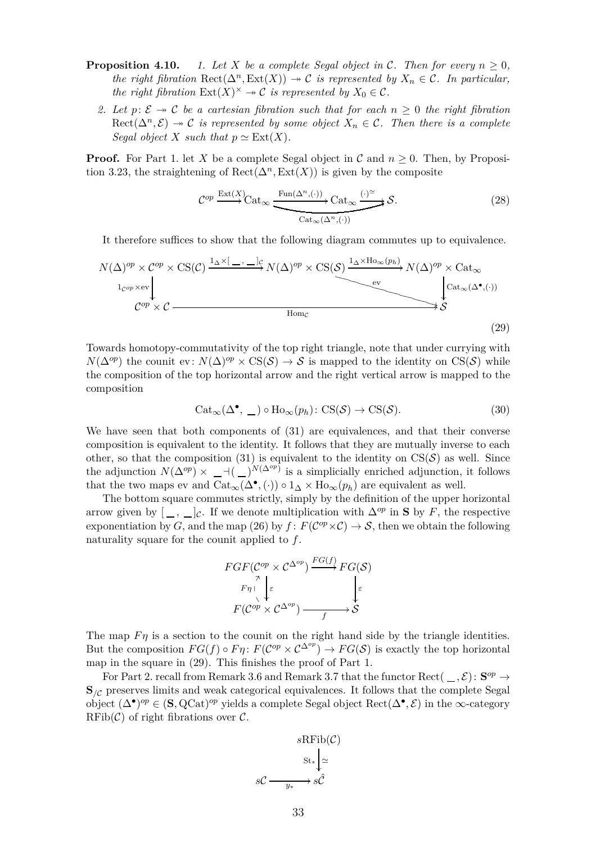- **Proposition 4.10.** *1. Let X be a complete Segal object in C. Then for every*  $n \geq 0$ , *the right fibration*  $\text{Rect}(\Delta^n, \text{Ext}(X)) \to \mathcal{C}$  *is represented by*  $X_n \in \mathcal{C}$ *. In particular, the right fibration*  $Ext(X)^\times \to \mathcal{C}$  *is represented by*  $X_0 \in \mathcal{C}$ *.* 
	- 2. Let  $p: \mathcal{E} \rightarrow \mathcal{C}$  be a cartesian fibration such that for each  $n \geq 0$  the right fibration  $Rect(\Delta^n, \mathcal{E}) \to \mathcal{C}$  *is represented by some object*  $X_n \in \mathcal{C}$ *. Then there is a complete Segal object X such that*  $p \simeq \text{Ext}(X)$ *.*

**Proof.** For Part 1. let *X* be a complete Segal object in  $C$  and  $n \geq 0$ . Then, by Proposi-tion [3.23,](#page-24-0) the straightening of  $\text{Rect}(\Delta^n, \text{Ext}(X))$  is given by the composite

$$
\mathcal{C}^{op} \xrightarrow{\text{Ext}(X)} \text{Cat}_{\infty} \xrightarrow{\text{Fun}(\Delta^n, (\cdot))} \text{Cat}_{\infty} \xrightarrow{(\cdot)^{\simeq}} \mathcal{S}.
$$
\n
$$
(28)
$$

It therefore suffices to show that the following diagram commutes up to equivalence.

$$
N(\Delta)^{op} \times C^{op} \times \text{CS}(\mathcal{C}) \xrightarrow{1_{\Delta} \times \left[ -1, -\frac{1}{2} \right]} N(\Delta)^{op} \times \text{CS}(\mathcal{S}) \xrightarrow{1_{\Delta} \times \text{Ho}_{\infty}(p_h)} N(\Delta)^{op} \times \text{Cat}_{\infty}
$$
\n
$$
C^{op} \times \mathcal{C} \xrightarrow{\text{Hom}_{\mathcal{C}}}
$$
\n
$$
\downarrow C^{op} \times \mathcal{C} \xrightarrow{\text{Hom}_{\mathcal{C}}}
$$
\n
$$
(29)
$$

Towards homotopy-commutativity of the top right triangle, note that under currying with  $N(\Delta^{op})$  the counit ev:  $N(\Delta)^{op} \times \text{CS}(\mathcal{S}) \to \mathcal{S}$  is mapped to the identity on CS(S) while the composition of the top horizontal arrow and the right vertical arrow is mapped to the composition

<span id="page-32-0"></span>
$$
Cat_{\infty}(\Delta^{\bullet}, \underline{\hspace{1cm}}) \circ Ho_{\infty}(p_h) \colon CS(\mathcal{S}) \to CS(\mathcal{S}). \tag{30}
$$

We have seen that both components of [\(31\)](#page-33-1) are equivalences, and that their converse composition is equivalent to the identity. It follows that they are mutually inverse to each other, so that the composition [\(31\)](#page-33-1) is equivalent to the identity on  $CS(\mathcal{S})$  as well. Since the adjunction  $N(\Delta^{op}) \times -$ <sup>(</sup> )<sup>*N*( $\Delta^{op}$ )</sup> is a simplicially enriched adjunction, it follows that the two maps ev and  $\text{Cat}_{\infty}(\Delta^{\bullet}, (\cdot)) \circ 1_{\Delta} \times \text{Ho}_{\infty}(p_h)$  are equivalent as well.

The bottom square commutes strictly, simply by the definition of the upper horizontal arrow given by  $[\,\_\,,\,\_\,]_c$ . If we denote multiplication with  $\Delta^{op}$  in **S** by *F*, the respective exponentiation by *G*, and the map [\(26\)](#page-30-1) by  $f: F(\mathcal{C}^{op} \times \mathcal{C}) \to \mathcal{S}$ , then we obtain the following naturality square for the counit applied to *f*.



The map  $F\eta$  is a section to the counit on the right hand side by the triangle identities. But the composition  $FG(f) \circ F\eta \colon F(\mathcal{C}^{op} \times \mathcal{C}^{\Delta^{op}}) \to FG(\mathcal{S})$  is exactly the top horizontal map in the square in [\(29\)](#page-32-0). This finishes the proof of Part 1.

For Part 2. recall from Remark [3.6](#page-11-3) and Remark [3.7](#page-12-2) that the functor Rect( $\_\ ,\mathcal{E}$ ):  $\mathbf{S}^{op} \to$  $\mathbf{S}_{\ell C}$  preserves limits and weak categorical equivalences. It follows that the complete Segal object  $(\Delta^{\bullet})^{op} \in (\mathbf{S}, \mathrm{QCat})^{op}$  yields a complete Segal object  $\mathrm{Rect}(\Delta^{\bullet}, \mathcal{E})$  in the  $\infty$ -category  $RFib(\mathcal{C})$  of right fibrations over  $\mathcal{C}$ .

$$
sRFib(\mathcal{C})
$$

$$
st_*\downarrow \simeq
$$

$$
s\mathcal{C} \xrightarrow{y_*} s\hat{\mathcal{C}}
$$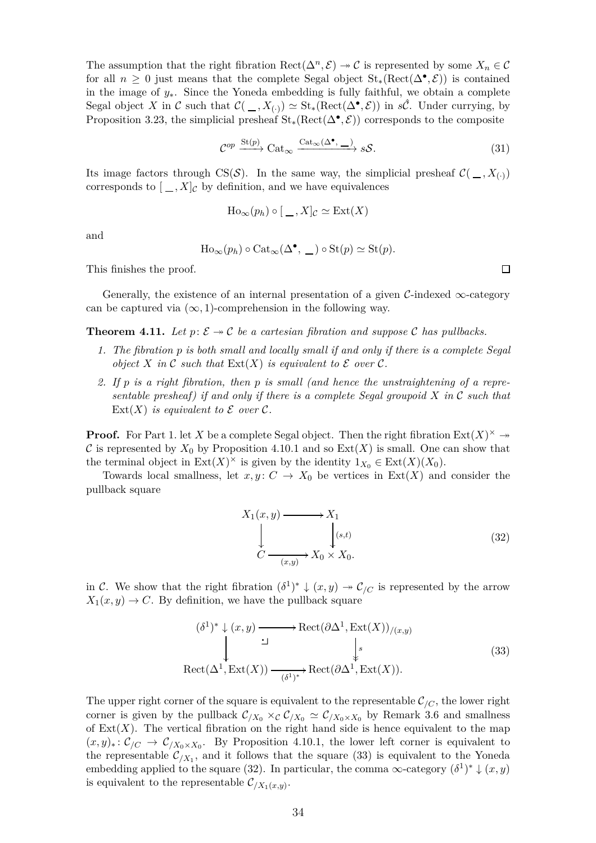The assumption that the right fibration  $\text{Rect}(\Delta^n, \mathcal{E}) \to \mathcal{C}$  is represented by some  $X_n \in \mathcal{C}$ for all  $n \geq 0$  just means that the complete Segal object  $\text{St}_*(\text{Rect}(\Delta^{\bullet}, \mathcal{E}))$  is contained in the image of *y*∗. Since the Yoneda embedding is fully faithful, we obtain a complete Segal object *X* in C such that  $\mathcal{C}(\_, X_{(\cdot)}) \simeq \text{St}_*(\text{Rect}(\Delta^{\bullet}, \mathcal{E}))$  in *s*Ĉ. Under currying, by Proposition [3.23,](#page-24-0) the simplicial presheaf  $\text{St}_*(\text{Rect}(\Delta^{\bullet}, \mathcal{E}))$  corresponds to the composite

$$
\mathcal{C}^{op} \xrightarrow{\text{St}(p)} \text{Cat}_{\infty} \xrightarrow{\text{Cat}_{\infty}(\Delta^{\bullet}, -)} s\mathcal{S}.
$$
 (31)

Its image factors through CS(S). In the same way, the simplicial presheaf  $\mathcal{C}(\_, X_{\left(\cdot\right)})$ corresponds to  $[-, X]_C$  by definition, and we have equivalences

$$
\mathrm{Ho}_{\infty}(p_h) \circ [ \_, X]_{\mathcal{C}} \simeq \mathrm{Ext}(X)
$$

and

$$
\text{Ho}_{\infty}(p_h) \circ \text{Cat}_{\infty}(\Delta^{\bullet}, \underline{\hspace{1cm}}) \circ \text{St}(p) \simeq \text{St}(p).
$$

This finishes the proof.

<span id="page-33-0"></span>Generally, the existence of an internal presentation of a given  $\mathcal{C}\text{-indexed} \infty$ -category can be captured via  $(\infty, 1)$ -comprehension in the following way.

**Theorem 4.11.** Let  $p: \mathcal{E} \rightarrow \mathcal{C}$  be a cartesian fibration and suppose C has pullbacks.

- *1. The fibration p is both small and locally small if and only if there is a complete Segal object*  $X$  *in*  $\mathcal C$  *such that*  $Ext(X)$  *is equivalent to*  $\mathcal E$  *over*  $\mathcal C$ *.*
- *2. If p is a right fibration, then p is small (and hence the unstraightening of a representable presheaf) if and only if there is a complete Segal groupoid X in* C *such that* Ext $(X)$  *is equivalent to*  $\mathcal E$  *over*  $\mathcal C$ *.*

**Proof.** For Part 1. let *X* be a complete Segal object. Then the right fibration  $Ext(X)^\times \rightarrow$ C is represented by  $X_0$  by Proposition [4.10.](#page-31-0)1 and so  $Ext(X)$  is small. One can show that the terminal object in  $\text{Ext}(X)^{\times}$  is given by the identity  $1_{X_0} \in \text{Ext}(X)(X_0)$ .

Towards local smallness, let  $x, y \colon C \to X_0$  be vertices in  $\text{Ext}(X)$  and consider the pullback square

<span id="page-33-3"></span><span id="page-33-2"></span>
$$
X_1(x, y) \longrightarrow X_1
$$
  
\n
$$
\downarrow \qquad \qquad \downarrow (s,t)
$$
  
\n
$$
C \longrightarrow X_0 \times X_0.
$$
\n(32)

in C. We show that the right fibration  $(\delta^1)^* \downarrow (x, y) \rightarrow C/C$  is represented by the arrow  $X_1(x, y) \rightarrow C$ . By definition, we have the pullback square

$$
(\delta^1)^* \downarrow (x, y) \longrightarrow \text{Rect}(\partial \Delta^1, \text{Ext}(X))_{/(x, y)}
$$
  
\n
$$
\downarrow \qquad \qquad \downarrow s
$$
  
\n
$$
\text{Rect}(\Delta^1, \text{Ext}(X)) \xrightarrow{(\delta^1)^*} \text{Rect}(\partial \Delta^1, \text{Ext}(X)).
$$
\n(33)

The upper right corner of the square is equivalent to the representable  $\mathcal{C}_{/C}$ , the lower right corner is given by the pullback  $C_{/X_0} \times_{\mathcal{C}} C_{/X_0} \simeq C_{/X_0 \times X_0}$  by Remark [3.6](#page-11-3) and smallness of  $Ext(X)$ . The vertical fibration on the right hand side is hence equivalent to the map  $(x, y)_*: \mathcal{C}_{/C} \to \mathcal{C}_{/X_0 \times X_0}$ . By Proposition [4.10.](#page-31-0)1, the lower left corner is equivalent to the representable  $\mathcal{C}_{/X_1}$ , and it follows that the square [\(33\)](#page-33-2) is equivalent to the Yoneda embedding applied to the square [\(32\)](#page-33-3). In particular, the comma  $\infty$ -category  $(\delta^1)^* \downarrow (x, y)$ is equivalent to the representable  $\mathcal{C}_{/X_1(x,y)}$ .

<span id="page-33-1"></span> $\Box$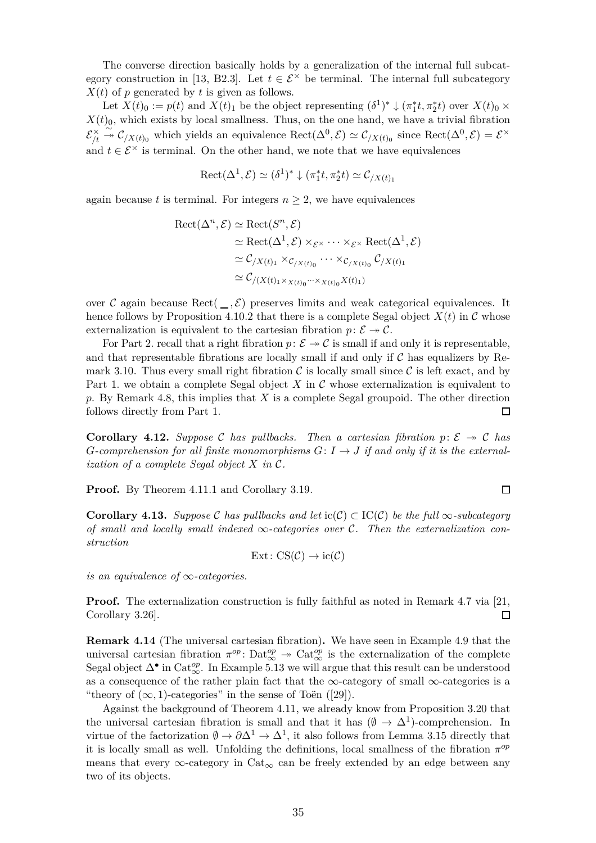The converse direction basically holds by a generalization of the internal full subcat-egory construction in [\[13,](#page-50-0) B2.3]. Let  $t \in \mathcal{E}^{\times}$  be terminal. The internal full subcategory  $X(t)$  of *p* generated by *t* is given as follows.

Let  $X(t)_0 := p(t)$  and  $X(t)_1$  be the object representing  $(\delta^1)^* \downarrow (\pi_1^* t, \pi_2^* t)$  over  $X(t)_0 \times$  $X(t)_0$ , which exists by local smallness. Thus, on the one hand, we have a trivial fibration  ${\cal E}^{\times}_{\prime\prime}$ */t* <sup>∼</sup>։ <sup>C</sup>*/X*(*t*)<sup>0</sup> which yields an equivalence Rect(∆<sup>0</sup> *,* E) ≃ C*/X*(*t*)<sup>0</sup> since Rect(∆<sup>0</sup> *,* E) = E × and  $t \in \mathcal{E}^{\times}$  is terminal. On the other hand, we note that we have equivalences

$$
\mathrm{Rect}(\Delta^1, \mathcal{E}) \simeq (\delta^1)^* \downarrow (\pi_1^* t, \pi_2^* t) \simeq \mathcal{C}_{/X(t)_1}
$$

again because *t* is terminal. For integers  $n \geq 2$ , we have equivalences

$$
\begin{aligned} \text{Rect}(\Delta^n, \mathcal{E}) &\simeq \text{Rect}(S^n, \mathcal{E}) \\ &\simeq \text{Rect}(\Delta^1, \mathcal{E}) \times_{\mathcal{E}^\times} \cdots \times_{\mathcal{E}^\times} \text{Rect}(\Delta^1, \mathcal{E}) \\ &\simeq \mathcal{C}_{/X(t)_1} \times_{\mathcal{C}_{/X(t)_0}} \cdots \times_{\mathcal{C}_{/X(t)_0}} \mathcal{C}_{/X(t)_1} \\ &\simeq \mathcal{C}_{/(X(t)_1 \times_{X(t)_0} \cdots \times_{X(t)_0} X(t)_1)} \end{aligned}
$$

over C again because Rect( $\_\cdot$ , E) preserves limits and weak categorical equivalences. It hence follows by Proposition [4.10.](#page-31-0)2 that there is a complete Segal object  $X(t)$  in C whose externalization is equivalent to the cartesian fibration  $p: \mathcal{E} \rightarrow \mathcal{C}$ .

For Part 2. recall that a right fibration  $p: \mathcal{E} \to \mathcal{C}$  is small if and only it is representable, and that representable fibrations are locally small if and only if  $C$  has equalizers by Re-mark [3.10.](#page-13-3) Thus every small right fibration  $\mathcal C$  is locally small since  $\mathcal C$  is left exact, and by Part 1. we obtain a complete Segal object X in C whose externalization is equivalent to *p*. By Remark [4.8,](#page-31-1) this implies that *X* is a complete Segal groupoid. The other direction follows directly from Part 1. □

**Corollary 4.12.** Suppose C has pullbacks. Then a cartesian fibration  $p: \mathcal{E} \rightarrow \mathcal{C}$  has *G*-comprehension for all finite monomorphisms  $G: I \rightarrow J$  if and only if it is the external*ization of a complete Segal object X in* C*.*

**Proof.** By Theorem [4.11.](#page-33-0)1 and Corollary [3.19.](#page-21-2)

**Corollary 4.13.** *Suppose* C has pullbacks and let  $ic(C) \subset IC(C)$  be the full ∞*-subcategory of small and locally small indexed* ∞*-categories over* C*. Then the externalization construction*

$$
Ext: CS(\mathcal{C}) \to ic(\mathcal{C})
$$

*is an equivalence of* ∞*-categories.*

**Proof.** The externalization construction is fully faithful as noted in Remark [4.7](#page-30-2) via [\[21,](#page-50-9) Corollary 3.26]. П

<span id="page-34-0"></span>**Remark 4.14** (The universal cartesian fibration)**.** We have seen in Example [4.9](#page-31-2) that the universal cartesian fibration  $\pi^{op}$ : Dat $^{op}_{\infty} \to \text{Cat}_{\infty}^{op}$  is the externalization of the complete Segal object  $\Delta^{\bullet}$  in Cat<sup>op</sup>. In Example [5.13](#page-44-0) we will argue that this result can be understood as a consequence of the rather plain fact that the  $\infty$ -category of small  $\infty$ -categories is a "theory of  $(\infty, 1)$ -categories" in the sense of Toën ([\[29\]](#page-50-14)).

Against the background of Theorem [4.11,](#page-33-0) we already know from Proposition [3.20](#page-21-0) that the universal cartesian fibration is small and that it has  $(\emptyset \to \Delta^1)$ -comprehension. In virtue of the factorization  $\emptyset \to \partial \Delta^1 \to \Delta^1$ , it also follows from Lemma [3.15](#page-17-1) directly that it is locally small as well. Unfolding the definitions, local smallness of the fibration  $\pi^{op}$ means that every  $\infty$ -category in Cat<sub> $\infty$ </sub> can be freely extended by an edge between any two of its objects.

 $\Box$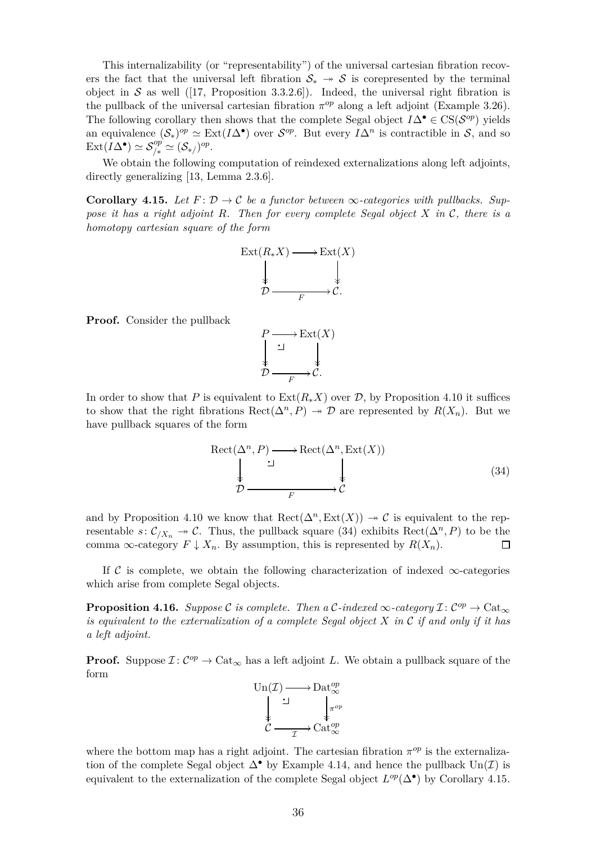This internalizability (or "representability") of the universal cartesian fibration recovers the fact that the universal left fibration  $S_* \rightarrow S$  is corepresented by the terminal object in S as well ([\[17,](#page-50-5) Proposition 3.3.2.6]). Indeed, the universal right fibration is the pullback of the universal cartesian fibration  $\pi^{op}$  along a left adjoint (Example [3.26\)](#page-25-0). The following corollary then shows that the complete Segal object  $I\Delta^{\bullet} \in CS(\mathcal{S}^{op})$  yields an equivalence  $(S_*)^{op} \simeq \text{Ext}(I\Delta^{\bullet})$  over  $S^{op}$ . But every  $I\Delta^n$  is contractible in S, and so  $\text{Ext}(I\Delta^{\bullet}) \simeq \mathcal{S}^{op}_{/*} \simeq (\mathcal{S}_{*}/)^{op}.$ 

<span id="page-35-1"></span>We obtain the following computation of reindexed externalizations along left adjoints, directly generalizing [\[13,](#page-50-0) Lemma 2.3.6].

**Corollary 4.15.** Let  $F: \mathcal{D} \to \mathcal{C}$  be a functor between  $\infty$ -categories with pullbacks. Sup*pose it has a right adjoint R. Then for every complete Segal object X in* C*, there is a homotopy cartesian square of the form*



**Proof.** Consider the pullback

<span id="page-35-0"></span>

In order to show that *P* is equivalent to  $\text{Ext}(R_*X)$  over *D*, by Proposition [4.10](#page-31-0) it suffices to show that the right fibrations  $\text{Rect}(\Delta^n, P) \rightarrow \mathcal{D}$  are represented by  $R(X_n)$ . But we have pullback squares of the form

$$
\begin{array}{ccc}\n\text{Rect}(\Delta^n, P) & \longrightarrow \text{Rect}(\Delta^n, \text{Ext}(X)) \\
\downarrow & \downarrow & \downarrow \\
\mathcal{D} & \xrightarrow{F} & \mathcal{C}\n\end{array}\n\tag{34}
$$

and by Proposition [4.10](#page-31-0) we know that  $\text{Rect}(\Delta^n, \text{Ext}(X)) \to \mathcal{C}$  is equivalent to the representable  $s: \mathcal{C}_{/X_n} \to \mathcal{C}$ . Thus, the pullback square [\(34\)](#page-35-0) exhibits  $\text{Rect}(\Delta^n, P)$  to be the comma  $\infty$ -category  $F \downarrow X_n$ . By assumption, this is represented by  $R(X_n)$ .  $\Box$ 

<span id="page-35-2"></span>If C is complete, we obtain the following characterization of indexed  $\infty$ -categories which arise from complete Segal objects.

**Proposition 4.16.** *Suppose* C *is complete. Then a* C-indexed  $\infty$ -category  $\mathcal{I}: C^{op} \to \text{Cat}_{\infty}$ *is equivalent to the externalization of a complete Segal object X in* C *if and only if it has a left adjoint.*

**Proof.** Suppose  $\mathcal{I}: C^{op} \to \text{Cat}_{\infty}$  has a left adjoint *L*. We obtain a pullback square of the form



where the bottom map has a right adjoint. The cartesian fibration  $\pi^{op}$  is the externalization of the complete Segal object  $\Delta^{\bullet}$  by Example [4.14,](#page-34-0) and hence the pullback  $\text{Un}(\mathcal{I})$  is equivalent to the externalization of the complete Segal object  $L^{op}(\Delta^{\bullet})$  by Corollary [4.15.](#page-35-1)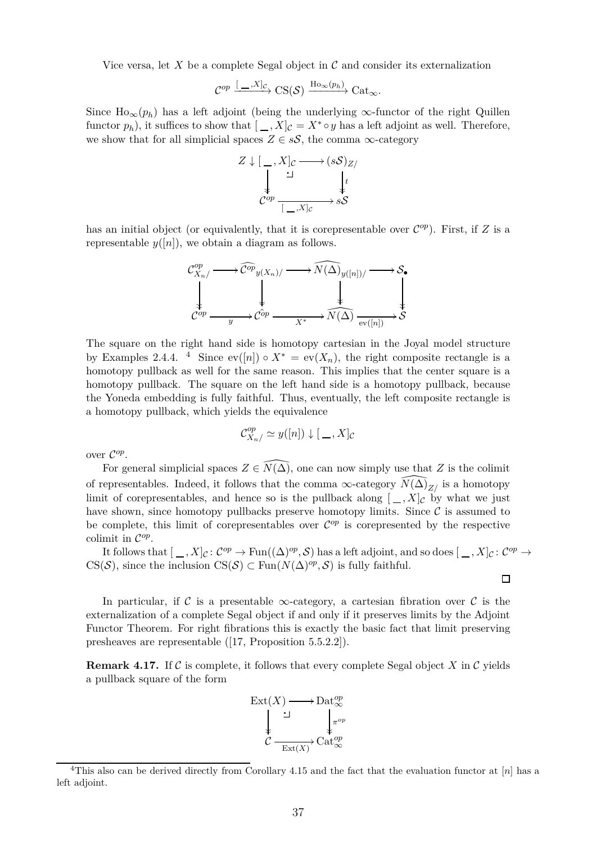Vice versa, let  $X$  be a complete Segal object in  $\mathcal C$  and consider its externalization

$$
\mathcal{C}^{op} \xrightarrow{[-,X]_{\mathcal{C}}} \operatorname{CS}(\mathcal{S}) \xrightarrow{\operatorname{Ho}_{\infty}(p_h)} \operatorname{Cat}_{\infty}.
$$

Since  $\text{Ho}_{\infty}(p_h)$  has a left adjoint (being the underlying  $\infty$ -functor of the right Quillen functor  $p_h$ ), it suffices to show that  $[-, X]_C = X^* \circ y$  has a left adjoint as well. Therefore, we show that for all simplicial spaces  $Z \in sS$ , the comma  $\infty$ -category



has an initial object (or equivalently, that it is corepresentable over  $\mathcal{C}^{op}$ ). First, if *Z* is a representable  $y([n])$ , we obtain a diagram as follows.



The square on the right hand side is homotopy cartesian in the Joyal model structure by Examples [2.4.](#page-5-0)[4](#page-36-0). <sup>4</sup> Since  $ev([n]) \circ X^* = ev(X_n)$ , the right composite rectangle is a homotopy pullback as well for the same reason. This implies that the center square is a homotopy pullback. The square on the left hand side is a homotopy pullback, because the Yoneda embedding is fully faithful. Thus, eventually, the left composite rectangle is a homotopy pullback, which yields the equivalence

$$
\mathcal{C}_{X_n/}^{op} \simeq y([n]) \downarrow [ \_ , X]_{\mathcal{C}}
$$

over C *op* .

For general simplicial spaces  $Z \in \widehat{N(\Delta)}$ , one can now simply use that *Z* is the colimit of representables. Indeed, it follows that the comma  $\infty$ -category  $\widehat{N}(\widehat{\Delta})_{Z/\ }$  is a homotopy limit of corepresentables, and hence so is the pullback along  $[-, X]_c$  by what we just have shown, since homotopy pullbacks preserve homotopy limits. Since  $\mathcal C$  is assumed to be complete, this limit of corepresentables over  $\mathcal{C}^{op}$  is corepresented by the respective colimit in C *op* .

It follows that  $[ , , X]_{\mathcal{C}} : C^{op} \to \text{Fun}((\Delta)^{op}, \mathcal{S})$  has a left adjoint, and so does  $[ , , X]_{\mathcal{C}} : C^{op} \to$ CS(S), since the inclusion CS(S)  $\subset$  Fun( $N(\Delta)^{op}, S$ ) is fully faithful.

 $\Box$ 

In particular, if C is a presentable  $\infty$ -category, a cartesian fibration over C is the externalization of a complete Segal object if and only if it preserves limits by the Adjoint Functor Theorem. For right fibrations this is exactly the basic fact that limit preserving presheaves are representable ([\[17,](#page-50-5) Proposition 5.5.2.2]).

**Remark 4.17.** If C is complete, it follows that every complete Segal object X in C yields a pullback square of the form



<span id="page-36-0"></span><sup>4</sup>This also can be derived directly from Corollary [4.15](#page-35-1) and the fact that the evaluation functor at [*n*] has a left adjoint.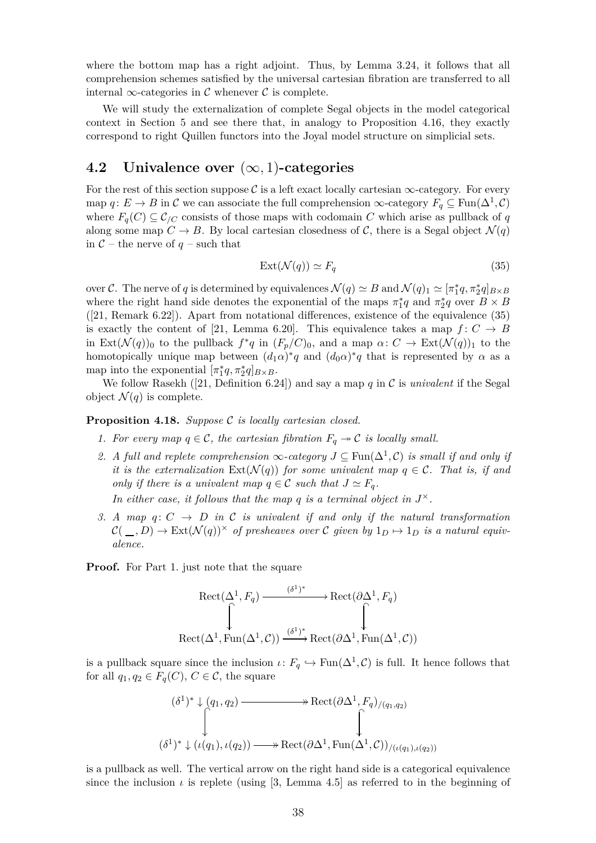where the bottom map has a right adjoint. Thus, by Lemma [3.24,](#page-24-2) it follows that all comprehension schemes satisfied by the universal cartesian fibration are transferred to all internal  $\infty$ -categories in C whenever C is complete.

We will study the externalization of complete Segal objects in the model categorical context in Section [5](#page-40-0) and see there that, in analogy to Proposition [4.16,](#page-35-2) they exactly correspond to right Quillen functors into the Joyal model structure on simplicial sets.

#### <span id="page-37-0"></span>**4.2 Univalence over** (∞*,* 1)**-categories**

For the rest of this section suppose  $\mathcal C$  is a left exact locally cartesian  $\infty$ -category. For every map  $q: E \to B$  in C we can associate the full comprehension  $\infty$ -category  $F_q \subseteq \text{Fun}(\Delta^1, \mathcal{C})$ where  $F_q(C) \subseteq \mathcal{C}_{/C}$  consists of those maps with codomain *C* which arise as pullback of *q* along some map  $C \to B$ . By local cartesian closedness of C, there is a Segal object  $\mathcal{N}(q)$ in  $C$  – the nerve of  $q$  – such that

<span id="page-37-2"></span>
$$
Ext(\mathcal{N}(q)) \simeq F_q \tag{35}
$$

over C. The nerve of *q* is determined by equivalences  $\mathcal{N}(q) \simeq B$  and  $\mathcal{N}(q)_1 \simeq [\pi_1^* q, \pi_2^* q]_{B \times B}$ where the right hand side denotes the exponential of the maps  $\pi_1^*q$  and  $\pi_2^*q$  over  $B \times B$ ([\[21,](#page-50-9) Remark 6.22]). Apart from notational differences, existence of the equivalence [\(35\)](#page-37-2) is exactly the content of [\[21,](#page-50-9) Lemma 6.20]. This equivalence takes a map  $f: C \to B$ in Ext( $\mathcal{N}(q)$ )<sub>0</sub> to the pullback  $f^*q$  in  $(F_p/C)_0$ , and a map  $\alpha: C \to \text{Ext}(\mathcal{N}(q))_1$  to the homotopically unique map between  $(d_1\alpha)^*q$  and  $(d_0\alpha)^*q$  that is represented by  $\alpha$  as a map into the exponential  $[\pi_1^*q, \pi_2^*q]_{B \times B}$ .

<span id="page-37-1"></span>We follow Rasekh ([\[21,](#page-50-9) Definition 6.24]) and say a map *q* in C is *univalent* if the Segal object  $\mathcal{N}(q)$  is complete.

#### **Proposition 4.18.** *Suppose* C *is locally cartesian closed.*

- *1. For every map*  $q \in \mathcal{C}$ *, the cartesian fibration*  $F_q \rightarrow \mathcal{C}$  *is locally small.*
- 2. A full and replete comprehension  $\infty$ -category  $J \subseteq \text{Fun}(\Delta^1, \mathcal{C})$  is small if and only if *it is the externalization*  $Ext(\mathcal{N}(q))$  *for some univalent map*  $q \in \mathcal{C}$ *. That is, if and only if there is a univalent map*  $q \in \mathcal{C}$  *such that*  $J \simeq F_q$ *.* In either case, it follows that the map  $q$  is a terminal object in  $J^{\times}$ .
- *3.* A map  $q: C \rightarrow D$  in C is univalent if and only if the natural transformation  $C(\_ ,D) \to \text{Ext}(\mathcal{N}(q))^{\times}$  of presheaves over C given by  $1_D \mapsto 1_D$  is a natural equiv*alence.*

**Proof.** For Part 1. just note that the square

$$
Rect(\Delta^1, F_q) \xrightarrow{(\delta^1)^*} \text{Rect}(\partial \Delta^1, F_q)
$$
  

$$
\uparrow \qquad \qquad \downarrow
$$
  

$$
Rect(\Delta^1, \text{Fun}(\Delta^1, \mathcal{C})) \xrightarrow{(\delta^1)^*} \text{Rect}(\partial \Delta^1, \text{Fun}(\Delta^1, \mathcal{C}))
$$

is a pullback square since the inclusion  $\iota: F_q \hookrightarrow \text{Fun}(\Delta^1, \mathcal{C})$  is full. It hence follows that for all  $q_1, q_2 \in F_q(C)$ ,  $C \in \mathcal{C}$ , the square

$$
(\delta^1)^* \downarrow (q_1, q_2) \longrightarrow \text{Rect}(\partial \Delta^1, F_q)_{/(q_1, q_2)}
$$
  

$$
\downarrow \qquad \qquad \downarrow
$$
  

$$
(\delta^1)^* \downarrow (\iota(q_1), \iota(q_2)) \longrightarrow \text{Rect}(\partial \Delta^1, \text{Fun}(\Delta^1, \mathcal{C}))_{/(\iota(q_1), \iota(q_2))}
$$

is a pullback as well. The vertical arrow on the right hand side is a categorical equivalence since the inclusion  $\iota$  is replete (using [\[3,](#page-49-1) Lemma 4.5] as referred to in the beginning of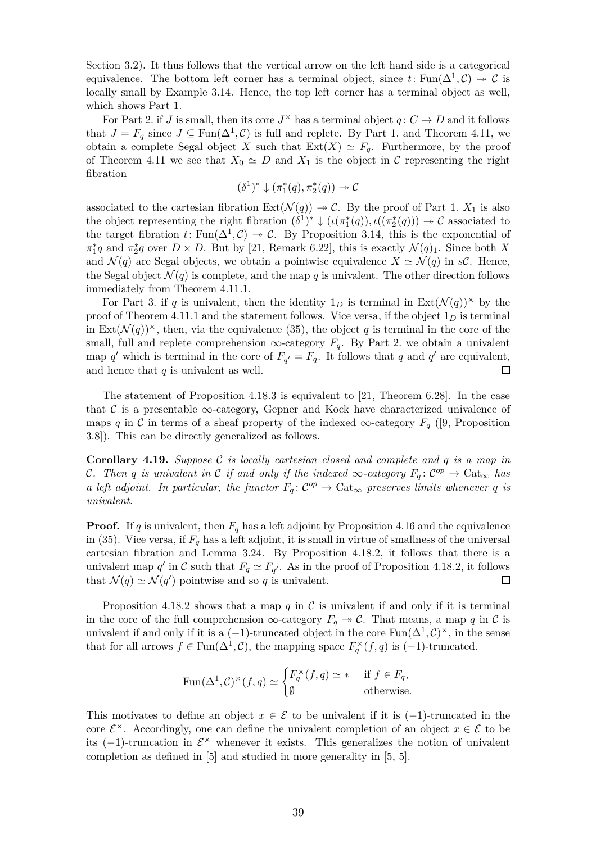Section [3.2\)](#page-26-0). It thus follows that the vertical arrow on the left hand side is a categorical equivalence. The bottom left corner has a terminal object, since  $t \colon \text{Fun}(\Delta^1, \mathcal{C}) \to \mathcal{C}$  is locally small by Example [3.14.](#page-14-0) Hence, the top left corner has a terminal object as well, which shows Part 1.

For Part 2. if *J* is small, then its core  $J^{\times}$  has a terminal object  $q: C \to D$  and it follows that  $J = F_q$  since  $J \subseteq \text{Fun}(\Delta^1, \mathcal{C})$  is full and replete. By Part 1. and Theorem [4.11,](#page-33-0) we obtain a complete Segal object *X* such that  $Ext(X) \simeq F_q$ . Furthermore, by the proof of Theorem [4.11](#page-33-0) we see that  $X_0 \simeq D$  and  $X_1$  is the object in C representing the right fibration

$$
(\delta^1)^* \downarrow (\pi_1^*(q), \pi_2^*(q)) \to \mathcal{C}
$$

associated to the cartesian fibration  $Ext(\mathcal{N}(q)) \to \mathcal{C}$ . By the proof of Part 1.  $X_1$  is also the object representing the right fibration  $(\delta^1)^* \downarrow (\iota(\pi_1^*(q)), \iota((\pi_2^*(q))) \rightarrow \mathcal{C}$  associated to the target fibration  $t: \text{Fun}(\Delta^1, \mathcal{C}) \to \mathcal{C}$ . By Proposition [3.14,](#page-14-0) this is the exponential of  $\pi_1^* q$  and  $\pi_2^* q$  over  $D \times D$ . But by [\[21,](#page-50-9) Remark 6.22], this is exactly  $\mathcal{N}(q)_1$ . Since both *X* and  $\mathcal{N}(q)$  are Segal objects, we obtain a pointwise equivalence  $X \simeq \mathcal{N}(q)$  in *sC*. Hence, the Segal object  $\mathcal{N}(q)$  is complete, and the map q is univalent. The other direction follows immediately from Theorem [4.11.](#page-33-0)1.

For Part 3. if *q* is univalent, then the identity  $1_D$  is terminal in  $Ext(\mathcal{N}(q))^{\times}$  by the proof of Theorem [4.11.](#page-33-0)1 and the statement follows. Vice versa, if the object  $1<sub>D</sub>$  is terminal in Ext $(\mathcal{N}(q))^{\times}$ , then, via the equivalence [\(35\)](#page-37-2), the object *q* is terminal in the core of the small, full and replete comprehension  $\infty$ -category  $F_q$ . By Part 2. we obtain a univalent map *q*' which is terminal in the core of  $F_{q'} = F_q$ . It follows that *q* and *q*' are equivalent, and hence that *q* is univalent as well.  $\Box$ 

The statement of Proposition [4.18.](#page-37-1)3 is equivalent to [\[21,](#page-50-9) Theorem 6.28]. In the case that C is a presentable  $\infty$ -category, Gepner and Kock have characterized univalence of maps *q* in C in terms of a sheaf property of the indexed  $\infty$ -category  $F_q$  ([\[9,](#page-50-15) Proposition 3.8]). This can be directly generalized as follows.

**Corollary 4.19.** *Suppose* C *is locally cartesian closed and complete and q is a map in C*. Then *q* is univalent in C if and only if the indexed  $\infty$ -category  $F_q: C^{op} \to \text{Cat}_{\infty}$  has *a left adjoint. In particular, the functor*  $F_q$ :  $C^{op} \to \text{Cat}_{\infty}$  *preserves limits whenever q is univalent.*

**Proof.** If *q* is univalent, then  $F_q$  has a left adjoint by Proposition [4.16](#page-35-2) and the equivalence in [\(35\)](#page-37-2). Vice versa, if  $F_q$  has a left adjoint, it is small in virtue of smallness of the universal cartesian fibration and Lemma [3.24.](#page-24-2) By Proposition [4.18.](#page-37-1)2, it follows that there is a univalent map *q*' in C such that  $F_q \simeq F_{q'}$ . As in the proof of Proposition [4.18.](#page-37-1)2, it follows that  $\mathcal{N}(q) \simeq \mathcal{N}(q')$  pointwise and so *q* is univalent.  $\Box$ 

Proposition [4.18.](#page-37-1)2 shows that a map  $q$  in  $C$  is univalent if and only if it is terminal in the core of the full comprehension  $\infty$ -category  $F_q \rightarrow C$ . That means, a map *q* in *C* is univalent if and only if it is a  $(-1)$ -truncated object in the core  $\text{Fun}(\Delta^1, \mathcal{C})^{\times}$ , in the sense that for all arrows  $f \in \text{Fun}(\Delta^1, \mathcal{C})$ , the mapping space  $F_q^{\times}(f, q)$  is  $(-1)$ -truncated.

$$
\operatorname{Fun}(\Delta^1,\mathcal{C})^\times(f,q)\simeq\begin{cases}F_q^\times(f,q)\simeq &\text{if }f\in F_q,\\ \emptyset &\text{otherwise.}\end{cases}
$$

This motivates to define an object  $x \in \mathcal{E}$  to be univalent if it is  $(-1)$ -truncated in the core  $\mathcal{E}^{\times}$ . Accordingly, one can define the univalent completion of an object  $x \in \mathcal{E}$  to be its  $(-1)$ -truncation in  $\mathcal{E}^{\times}$  whenever it exists. This generalizes the notion of univalent completion as defined in [\[5\]](#page-49-3) and studied in more generality in [\[5,](#page-49-3) 5].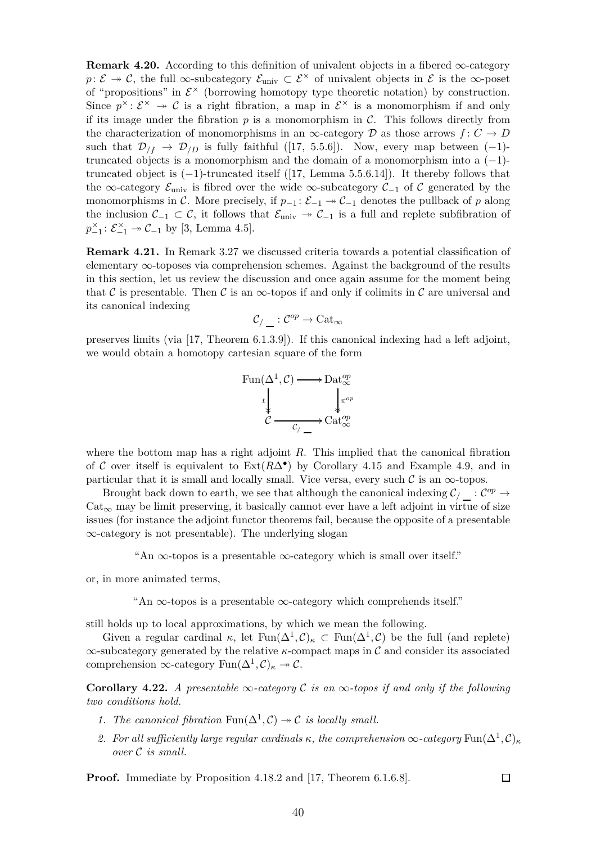**Remark 4.20.** According to this definition of univalent objects in a fibered  $\infty$ -category *p*:  $\mathcal{E} \rightarrow \mathcal{C}$ , the full ∞-subcategory  $\mathcal{E}_{\text{univ}} \subset \mathcal{E}^{\times}$  of univalent objects in  $\mathcal{E}$  is the ∞-poset of "propositions" in  $\mathcal{E}^{\times}$  (borrowing homotopy type theoretic notation) by construction. Since  $p^{\times}$ :  $\mathcal{E}^{\times} \to \mathcal{C}$  is a right fibration, a map in  $\mathcal{E}^{\times}$  is a monomorphism if and only if its image under the fibration  $p$  is a monomorphism in  $C$ . This follows directly from the characterization of monomorphisms in an  $\infty$ -category  $D$  as those arrows  $f: C \to D$ such that  $\mathcal{D}_{/f} \to \mathcal{D}_{/D}$  is fully faithful ([\[17,](#page-50-5) 5.5.6]). Now, every map between (-1)truncated objects is a monomorphism and the domain of a monomorphism into a  $(-1)$ truncated object is  $(-1)$ -truncated itself ([\[17,](#page-50-5) Lemma 5.5.6.14]). It thereby follows that the ∞-category  $\mathcal{E}_{\text{univ}}$  is fibred over the wide ∞-subcategory  $\mathcal{C}_{-1}$  of  $\mathcal{C}$  generated by the monomorphisms in C. More precisely, if  $p_{-1} : \mathcal{E}_{-1} \to \mathcal{C}_{-1}$  denotes the pullback of p along the inclusion  $\mathcal{C}_{-1} \subset \mathcal{C}$ , it follows that  $\mathcal{E}_{\text{univ}} \to \mathcal{C}_{-1}$  is a full and replete subfibration of  $p_{-1}^{\times}$ :  $\mathcal{E}_{-1}^{\times} \to \mathcal{C}_{-1}$  by [\[3,](#page-49-1) Lemma 4.5].

<span id="page-39-0"></span>**Remark 4.21.** In Remark [3.27](#page-25-2) we discussed criteria towards a potential classification of elementary ∞-toposes via comprehension schemes. Against the background of the results in this section, let us review the discussion and once again assume for the moment being that C is presentable. Then C is an  $\infty$ -topos if and only if colimits in C are universal and its canonical indexing

$$
\mathcal{C}_{/\_\_}: \mathcal{C}^{op} \to \mathrm{Cat}_\infty
$$

preserves limits (via [\[17,](#page-50-5) Theorem 6.1.3.9]). If this canonical indexing had a left adjoint, we would obtain a homotopy cartesian square of the form



where the bottom map has a right adjoint *R*. This implied that the canonical fibration of C over itself is equivalent to  $Ext(R\Delta^{\bullet})$  by Corollary [4.15](#page-35-1) and Example [4.9,](#page-31-2) and in particular that it is small and locally small. Vice versa, every such  $\mathcal C$  is an  $\infty$ -topos.

Brought back down to earth, we see that although the canonical indexing  $\mathcal{C}_/$   $\_\cdot$  :  $\mathcal{C}^{op}$   $\to$  $Cat_{\infty}$  may be limit preserving, it basically cannot ever have a left adjoint in virtue of size issues (for instance the adjoint functor theorems fail, because the opposite of a presentable ∞-category is not presentable). The underlying slogan

"An  $\infty$ -topos is a presentable  $\infty$ -category which is small over itself."

or, in more animated terms,

"An  $\infty$ -topos is a presentable  $\infty$ -category which comprehends itself."

still holds up to local approximations, by which we mean the following.

Given a regular cardinal  $\kappa$ , let  $\text{Fun}(\Delta^1, \mathcal{C})_\kappa \subset \text{Fun}(\Delta^1, \mathcal{C})$  be the full (and replete) ∞-subcategory generated by the relative *κ*-compact maps in C and consider its associated comprehension  $\infty$ -category  $\text{Fun}(\Delta^1, \mathcal{C})_\kappa \to \mathcal{C}.$ 

**Corollary 4.22.** *A presentable*  $\infty$ *-category*  $\mathcal C$  *is an*  $\infty$ *-topos if and only if the following two conditions hold.*

- *1. The canonical fibration*  $\text{Fun}(\Delta^1, \mathcal{C}) \to \mathcal{C}$  *is locally small.*
- *2. For all sufficiently large regular cardinals*  $\kappa$ *, the comprehension*  $\infty$ *-category*  $\text{Fun}(\Delta^1, \mathcal{C})_{\kappa}$ *over* C *is small.*

**Proof.** Immediate by Proposition [4.18.](#page-37-1)2 and [\[17,](#page-50-5) Theorem 6.1.6.8].

 $\Box$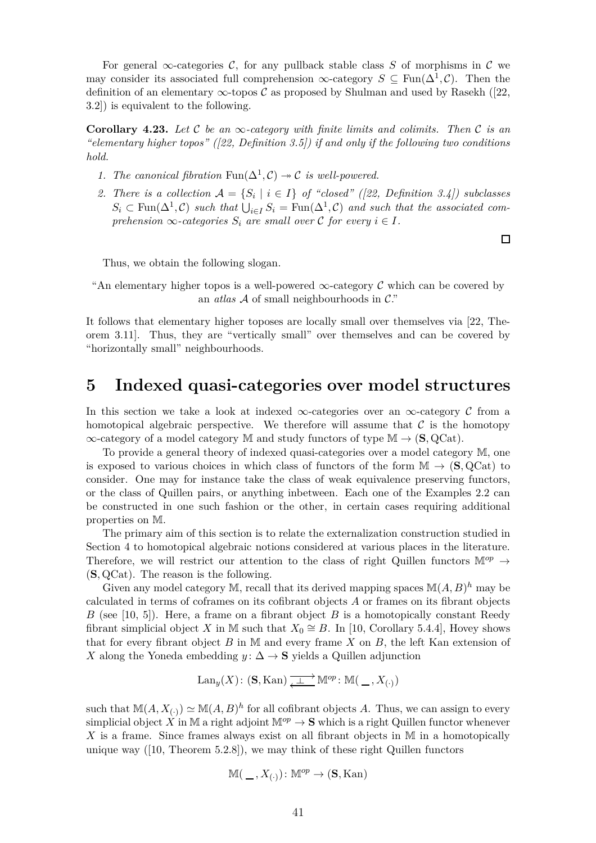For general  $\infty$ -categories C, for any pullback stable class S of morphisms in C we may consider its associated full comprehension  $\infty$ -category  $S \subseteq \text{Fun}(\Delta^1, \mathcal{C})$ . Then the definition of an elementary  $\infty$ -topos C as proposed by Shulman and used by Rasekh ([\[22,](#page-50-8) 3.2]) is equivalent to the following.

**Corollary 4.23.** *Let* C *be an* ∞*-category with finite limits and colimits. Then* C *is an "elementary higher topos" ([\[22,](#page-50-8) Definition 3.5]) if and only if the following two conditions hold.*

- *1. The canonical fibration*  $\text{Fun}(\Delta^1, \mathcal{C}) \to \mathcal{C}$  *is well-powered.*
- 2. There is a collection  $A = \{S_i \mid i \in I\}$  of "closed" ([\[22,](#page-50-8) Definition 3.4]) subclasses  $S_i \subset \text{Fun}(\Delta^1, \mathcal{C})$  *such that*  $\bigcup_{i \in I} S_i = \text{Fun}(\Delta^1, \mathcal{C})$  *and such that the associated comprehension*  $\infty$ *-categories*  $S_i$  *are small over*  $C$  *for every*  $i \in I$ *.*

 $\Box$ 

Thus, we obtain the following slogan.

"An elementary higher topos is a well-powered  $\infty$ -category C which can be covered by an *atlas* A of small neighbourhoods in C."

It follows that elementary higher toposes are locally small over themselves via [\[22,](#page-50-8) Theorem 3.11]. Thus, they are "vertically small" over themselves and can be covered by "horizontally small" neighbourhoods.

### <span id="page-40-0"></span>**5 Indexed quasi-categories over model structures**

In this section we take a look at indexed  $\infty$ -categories over an  $\infty$ -category C from a homotopical algebraic perspective. We therefore will assume that  $\mathcal C$  is the homotopy ∞-category of a model category M and study functors of type M → (**S***,* QCat).

To provide a general theory of indexed quasi-categories over a model category M, one is exposed to various choices in which class of functors of the form  $\mathbb{M} \to (\mathbf{S}, \mathbf{QCat})$  to consider. One may for instance take the class of weak equivalence preserving functors, or the class of Quillen pairs, or anything inbetween. Each one of the Examples [2.2](#page-4-1) can be constructed in one such fashion or the other, in certain cases requiring additional properties on M.

The primary aim of this section is to relate the externalization construction studied in Section [4](#page-28-0) to homotopical algebraic notions considered at various places in the literature. Therefore, we will restrict our attention to the class of right Quillen functors  $\mathbb{M}^{op} \to$ (**S***,* QCat). The reason is the following.

Given any model category M, recall that its derived mapping spaces  $\mathbb{M}(A, B)^h$  may be calculated in terms of coframes on its cofibrant objects *A* or frames on its fibrant objects *B* (see [\[10,](#page-50-16) 5]). Here, a frame on a fibrant object *B* is a homotopically constant Reedy fibrant simplicial object *X* in M such that  $X_0 \cong B$ . In [\[10,](#page-50-16) Corollary 5.4.4], Hovey shows that for every fibrant object *B* in M and every frame *X* on *B*, the left Kan extension of *X* along the Yoneda embedding *y*:  $\Delta \rightarrow S$  yields a Quillen adjunction

$$
\mathrm{Lan}_y(X)\colon(\mathbf{S},\mathrm{Kan})\xrightarrow[\longleftarrow{\hspace{1.5em}\perp\hspace{1.5em}}]{}\mathbb{M}^{op}\colon\mathbb{M}(\hspace{1.5em}\underline{\ \ }\hspace{1.5em},X_{(\cdot)})
$$

such that  $\mathbb{M}(A, X_{(\cdot)}) \simeq \mathbb{M}(A, B)^h$  for all cofibrant objects *A*. Thus, we can assign to every simplicial object X in M a right adjoint  $\mathbb{M}^{op} \to \mathbf{S}$  which is a right Quillen functor whenever *X* is a frame. Since frames always exist on all fibrant objects in M in a homotopically unique way  $([10,$  $([10,$  Theorem 5.2.8]), we may think of these right Quillen functors

$$
\mathbb{M}(\_\_,X_{(\cdot)}\colon \mathbb{M}^{op}\to (\mathbf{S}, \operatorname{Kan})
$$

41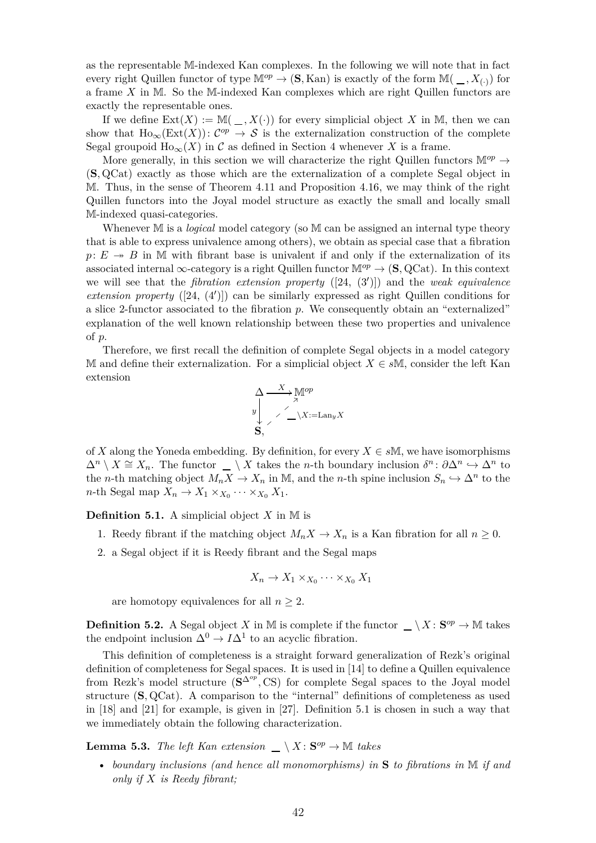as the representable M-indexed Kan complexes. In the following we will note that in fact every right Quillen functor of type  $\mathbb{M}^{op} \to (\mathbf{S}, \text{Kan})$  is exactly of the form  $\mathbb{M}(\_, X_{\left(\cdot\right)})$  for a frame *X* in M. So the M-indexed Kan complexes which are right Quillen functors are exactly the representable ones.

If we define  $Ext(X) := \mathbb{M}(\_, X(\cdot))$  for every simplicial object X in M, then we can show that  $\text{Ho}_{\infty}(\text{Ext}(X))\colon \mathcal{C}^{op} \to \mathcal{S}$  is the externalization construction of the complete Segal groupoid  $\text{Ho}_{\infty}(X)$  in C as defined in Section [4](#page-28-0) whenever X is a frame.

More generally, in this section we will characterize the right Quillen functors  $\mathbb{M}^{op} \to$ (**S***,* QCat) exactly as those which are the externalization of a complete Segal object in M. Thus, in the sense of Theorem [4.11](#page-33-0) and Proposition [4.16,](#page-35-2) we may think of the right Quillen functors into the Joyal model structure as exactly the small and locally small M-indexed quasi-categories.

Whenever M is a *logical* model category (so M can be assigned an internal type theory that is able to express univalence among others), we obtain as special case that a fibration  $p: E \rightarrow B$  in M with fibrant base is univalent if and only if the externalization of its associated internal  $\infty$ -category is a right Quillen functor  $\mathbb{M}^{op} \to (\mathbf{S}, \mathbf{QCat})$ . In this context we will see that the *fibration extension property* ([\[24,](#page-50-17) (3′ )]) and the *weak equivalence extension property* ([\[24,](#page-50-17) (4′ )]) can be similarly expressed as right Quillen conditions for a slice 2-functor associated to the fibration *p*. We consequently obtain an "externalized" explanation of the well known relationship between these two properties and univalence of *p*.

Therefore, we first recall the definition of complete Segal objects in a model category M and define their externalization. For a simplicial object  $X \in sM$ , consider the left Kan extension

$$
\begin{array}{c}\n\Delta \longrightarrow^X \mathbb{M}^{op} \\
\downarrow^{\nearrow} \\
\searrow^{\nearrow} \longrightarrow^X \mathbb{Z} = \text{Lan}_y X \\
\mathbf{S},\n\end{array}
$$

of *X* along the Yoneda embedding. By definition, for every  $X \in s\mathbb{M}$ , we have isomorphisms  $\Delta^n \setminus X \cong X_n$ . The functor  $\Box \setminus X$  takes the *n*-th boundary inclusion  $\delta^n: \partial \Delta^n \hookrightarrow \Delta^n$  to the *n*-th matching object  $M_n X \to X_n$  in M, and the *n*-th spine inclusion  $S_n \hookrightarrow \Delta^n$  to the  $n$ -th Segal map  $X_n \to X_1 \times_{X_0} \cdots \times_{X_0} X_1$ .

<span id="page-41-0"></span>**Definition 5.1.** A simplicial object  $X$  in M is

- 1. Reedy fibrant if the matching object  $M_n X \to X_n$  is a Kan fibration for all  $n \geq 0$ .
- 2. a Segal object if it is Reedy fibrant and the Segal maps

$$
X_n \to X_1 \times_{X_0} \cdots \times_{X_0} X_1
$$

are homotopy equivalences for all  $n \geq 2$ .

<span id="page-41-2"></span>**Definition 5.2.** A Segal object *X* in M is complete if the functor  $\Box \setminus X : \mathbf{S}^{op} \to \mathbb{M}$  takes the endpoint inclusion  $\Delta^0 \to I \Delta^1$  to an acyclic fibration.

This definition of completeness is a straight forward generalization of Rezk's original definition of completeness for Segal spaces. It is used in [\[14\]](#page-50-10) to define a Quillen equivalence from Rezk's model structure  $(\mathbf{S}^{\Delta^{op}}, \mathbf{CS})$  for complete Segal spaces to the Joyal model structure (**S***,* QCat). A comparison to the "internal" definitions of completeness as used in [\[18\]](#page-50-13) and [\[21\]](#page-50-9) for example, is given in [\[27\]](#page-50-18). Definition [5.1](#page-41-0) is chosen in such a way that we immediately obtain the following characterization.

<span id="page-41-1"></span>**Lemma 5.3.** *The left Kan extension*  $\_\setminus X: \mathbf{S}^{op} \to \mathbb{M}$  *takes* 

• *boundary inclusions (and hence all monomorphisms) in* **S** *to fibrations in* M *if and only if X is Reedy fibrant;*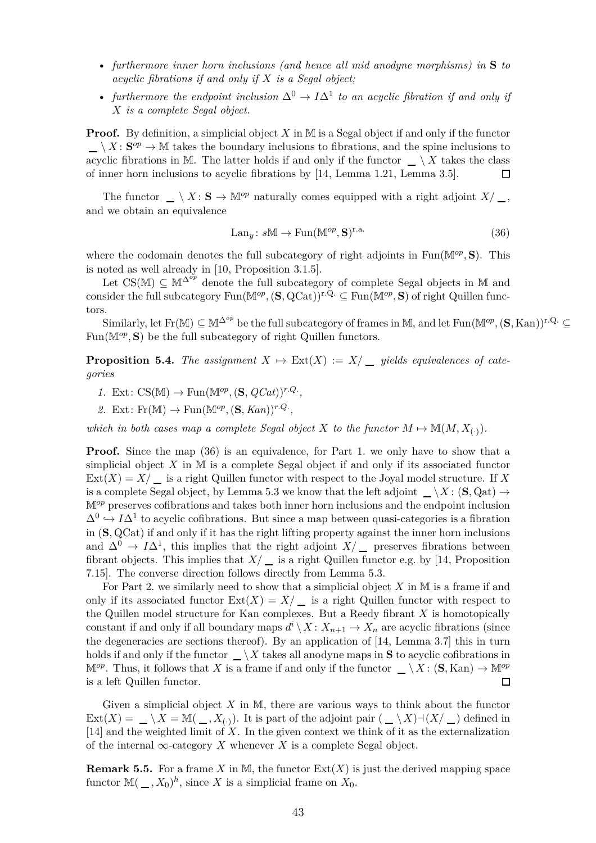- *furthermore inner horn inclusions (and hence all mid anodyne morphisms) in* **S** *to acyclic fibrations if and only if X is a Segal object;*
- *furthermore the endpoint inclusion*  $\Delta^0 \to I \Delta^1$  *to an acyclic fibration if and only if X is a complete Segal object.*

**Proof.** By definition, a simplicial object *X* in M is a Segal object if and only if the functor  $\setminus X : \mathbf{S}^{op} \to \mathbb{M}$  takes the boundary inclusions to fibrations, and the spine inclusions to acyclic fibrations in M. The latter holds if and only if the functor  $\_\setminus X$  takes the class of inner horn inclusions to acyclic fibrations by [\[14,](#page-50-10) Lemma 1.21, Lemma 3.5].  $\Box$ 

The functor  $\_\,\setminus X : \mathbf{S} \to \mathbb{M}^{op}$  naturally comes equipped with a right adjoint  $X/\_\,\,$ , and we obtain an equivalence

<span id="page-42-1"></span>
$$
\text{Lan}_{y}: sM \to \text{Fun}(\mathbb{M}^{op}, \mathbf{S})^{\text{r.a.}} \tag{36}
$$

where the codomain denotes the full subcategory of right adjoints in  $\text{Fun}(\mathbb{M}^{op}, S)$ . This is noted as well already in [\[10,](#page-50-16) Proposition 3.1.5].

Let  $CS(\mathbb{M}) \subseteq \mathbb{M}^{\Delta^{op}}$  denote the full subcategory of complete Segal objects in M and consider the full subcategory  $\text{Fun}(\mathbb{M}^{op}, (\mathbf{S}, \text{QCat}))^{r,Q} \subseteq \text{Fun}(\mathbb{M}^{op}, \mathbf{S})$  of right Quillen functors.

<span id="page-42-0"></span>Similarly, let  $\text{Fr}(\mathbb{M}) \subseteq \mathbb{M}^{\Delta^{op}}$  be the full subcategory of frames in M, and let  $\text{Fun}(\mathbb{M}^{op}, (\mathbf{S}, \text{Kan}))^{\text{r.Q.}} \subseteq$ Fun( $\mathbb{M}^{op}$ , S) be the full subcategory of right Quillen functors.

**Proposition 5.4.** *The assignment*  $X \mapsto \text{Ext}(X) := X/\underline{\hspace{1cm}}$  *yields equivalences of categories*

- *1.* Ext:  $CS(\mathbb{M}) \to \text{Fun}(\mathbb{M}^{op}, (\mathbf{S}, QCat))^{r.Q.}$
- 2. Ext:  $\text{Fr}(\mathbb{M}) \to \text{Fun}(\mathbb{M}^{op}, (\mathbf{S}, \text{Kan}))^{r,Q}$ .

*which in both cases map a complete Segal object*  $X$  *to the functor*  $M \mapsto M(M, X_{(.)})$ *.* 

**Proof.** Since the map [\(36\)](#page-42-1) is an equivalence, for Part 1. we only have to show that a simplicial object  $X$  in  $M$  is a complete Segal object if and only if its associated functor  $\text{Ext}(X) = X/\_$  is a right Quillen functor with respect to the Joyal model structure. If X is a complete Segal object, by Lemma [5.3](#page-41-1) we know that the left adjoint  $\_\setminus X : (\mathbf{S}, \mathrm{Qat}) \to$ M*op* preserves cofibrations and takes both inner horn inclusions and the endpoint inclusion  $\Delta^0$   $\hookrightarrow$  *I* $\Delta^1$  to acyclic cofibrations. But since a map between quasi-categories is a fibration in (**S***,* QCat) if and only if it has the right lifting property against the inner horn inclusions and  $\Delta^0 \to I \Delta^1$ , this implies that the right adjoint  $X/\square$  preserves fibrations between fibrant objects. This implies that  $X/\equiv$  is a right Quillen functor e.g. by [\[14,](#page-50-10) Proposition 7.15]. The converse direction follows directly from Lemma [5.3.](#page-41-1)

For Part 2. we similarly need to show that a simplicial object *X* in M is a frame if and only if its associated functor  $Ext(X) = X/\underline{\ }$  is a right Quillen functor with respect to the Quillen model structure for Kan complexes. But a Reedy fibrant *X* is homotopically constant if and only if all boundary maps  $d^i \setminus X : X_{n+1} \to X_n$  are acyclic fibrations (since the degeneracies are sections thereof). By an application of [\[14,](#page-50-10) Lemma 3.7] this in turn holds if and only if the functor  $\_\setminus X$  takes all anodyne maps in **S** to acyclic cofibrations in  $\mathbb{M}^{op}$ . Thus, it follows that *X* is a frame if and only if the functor  $\_\setminus X : (\mathbf{S}, \text{Kan}) \to \mathbb{M}^{op}$ is a left Quillen functor.  $\Box$ 

Given a simplicial object *X* in M, there are various ways to think about the functor Ext(X) =  $\Box \setminus X = \mathbb{M}(\Box, X_{\langle \cdot \rangle})$ . It is part of the adjoint pair  $(\Box \setminus X) \rightarrow (X \setminus \Box)$  defined in [\[14\]](#page-50-10) and the weighted limit of *X*. In the given context we think of it as the externalization of the internal  $\infty$ -category *X* whenever *X* is a complete Segal object.

**Remark 5.5.** For a frame *X* in M, the functor  $Ext(X)$  is just the derived mapping space functor  $\mathbb{M}(\,\_ ,X_0)^h$ , since X is a simplicial frame on  $X_0$ .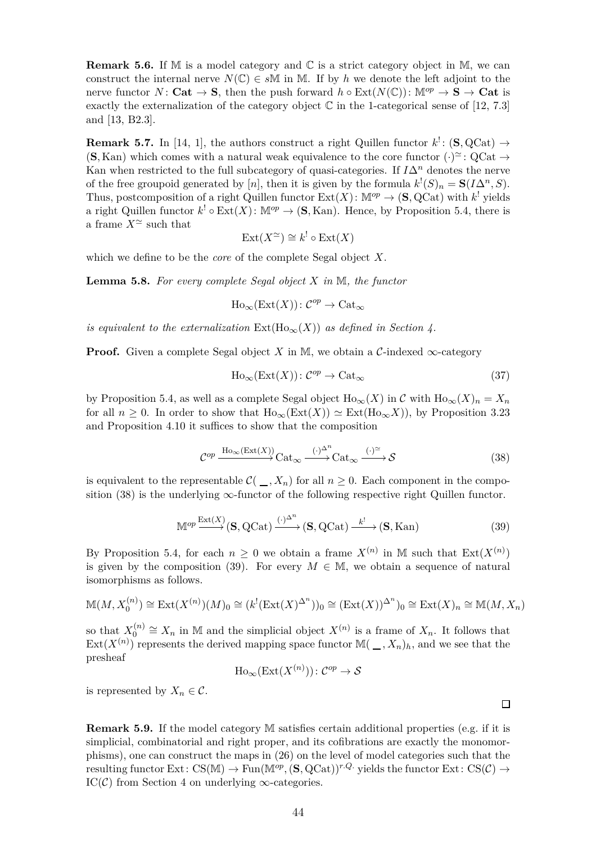**Remark 5.6.** If M is a model category and C is a strict category object in M, we can construct the internal nerve  $N(\mathbb{C}) \in s\mathbb{M}$  in M. If by h we denote the left adjoint to the nerve functor *N*: **Cat**  $\rightarrow$  **S**, then the push forward *h* ◦ Ext(*N*(C)):  $M^{op} \rightarrow S \rightarrow$  **Cat** is exactly the externalization of the category object  $\mathbb C$  in the 1-categorical sense of [\[12,](#page-50-4) 7.3] and [\[13,](#page-50-0) B2.3].

**Remark 5.7.** In [\[14,](#page-50-10) 1], the authors construct a right Quillen functor  $k^!$ : (**S***,* QCat)  $\rightarrow$  $(S, Kan)$  which comes with a natural weak equivalence to the core functor  $(·)^{\approx}$ : QCat  $\rightarrow$ Kan when restricted to the full subcategory of quasi-categories. If  $I\Delta^n$  denotes the nerve of the free groupoid generated by [*n*], then it is given by the formula  $k<sup>1</sup>(S)<sub>n</sub> = \mathbf{S}(I\Delta^n, S)$ . Thus, postcomposition of a right Quillen functor  $Ext(X)$ :  $\mathbb{M}^{op} \to (\mathbf{S}, \mathrm{QCat})$  with  $k^!$  yields a right Quillen functor  $k^! \circ \text{Ext}(X)$ :  $\mathbb{M}^{op} \to (\mathbf{S}, \text{Kan})$ . Hence, by Proposition [5.4,](#page-42-0) there is a frame  $X^{\simeq}$  such that

$$
Ext(X^{\simeq}) \cong k^! \circ Ext(X)
$$

which we define to be the *core* of the complete Segal object *X*.

**Lemma 5.8.** *For every complete Segal object X in* M*, the functor*

$$
\text{Ho}_{\infty}(\text{Ext}(X))\colon \mathcal{C}^{op}\to \text{Cat}_{\infty}
$$

*is equivalent to the externalization*  $Ext(H_{0\infty}(X))$  *as defined in Section [4.](#page-28-0)* 

**Proof.** Given a complete Segal object *X* in M, we obtain a C-indexed  $\infty$ -category

$$
Ho_{\infty}(Ext(X)) : C^{op} \to Cat_{\infty}
$$
\n(37)

by Proposition [5.4,](#page-42-0) as well as a complete Segal object  $\text{Ho}_{\infty}(X)$  in C with  $\text{Ho}_{\infty}(X)_n = X_n$ for all  $n > 0$ . In order to show that  $\text{Ho}_{\infty}(\text{Ext}(X)) \simeq \text{Ext}(\text{Ho}_{\infty}X)$ , by Proposition [3.23](#page-24-0) and Proposition [4.10](#page-31-0) it suffices to show that the composition

$$
\mathcal{C}^{op} \xrightarrow{\text{Ho}_{\infty}(\text{Ext}(X))} \text{Cat}_{\infty} \xrightarrow{(\cdot)^{\Delta^n}} \text{Cat}_{\infty} \xrightarrow{(\cdot)^{\simeq}} \mathcal{S}
$$
 (38)

is equivalent to the representable  $\mathcal{C}(\_, X_n)$  for all  $n \geq 0$ . Each component in the composition  $(38)$  is the underlying  $\infty$ -functor of the following respective right Quillen functor.

$$
\mathbb{M}^{op} \xrightarrow{\text{Ext}(X)} (\mathbf{S}, \mathrm{QCat}) \xrightarrow{(\cdot)^{\Delta^n}} (\mathbf{S}, \mathrm{QCat}) \xrightarrow{k!} (\mathbf{S}, \mathrm{Kan})
$$
(39)

By Proposition [5.4,](#page-42-0) for each  $n \geq 0$  we obtain a frame  $X^{(n)}$  in M such that  $\text{Ext}(X^{(n)})$ is given by the composition [\(39\)](#page-43-1). For every  $M \in \mathbb{M}$ , we obtain a sequence of natural isomorphisms as follows.

$$
\mathbb{M}(M, X_0^{(n)}) \cong \text{Ext}(X^{(n)})(M)_0 \cong (k^!(\text{Ext}(X)^{\Delta^n}))_0 \cong (\text{Ext}(X))^{\Delta^n})_0 \cong \text{Ext}(X)_n \cong \mathbb{M}(M, X_n)
$$

so that  $X_0^{(n)}$  $\mathcal{O}_0^{(n)}$  ≅  $X_n$  in M and the simplicial object  $X^{(n)}$  is a frame of  $X_n$ . It follows that  $Ext(X^{(n)})$  represents the derived mapping space functor  $\mathbb{M}(\_,X_n)_h$ , and we see that the presheaf

$$
\text{Ho}_{\infty}(\text{Ext}(X^{(n)})): \mathcal{C}^{op} \to \mathcal{S}
$$

is represented by  $X_n \in \mathcal{C}$ .

**Remark 5.9.** If the model category M satisfies certain additional properties (e.g. if it is simplicial, combinatorial and right proper, and its cofibrations are exactly the monomorphisms), one can construct the maps in [\(26\)](#page-30-1) on the level of model categories such that the resulting functor Ext: CS(M)  $\rightarrow$  Fun(M<sup>op</sup>, (**S**, QCat))<sup>r.Q.</sup> yields the functor Ext: CS(C)  $\rightarrow$ IC( $\mathcal{C}$ ) from Section [4](#page-28-0) on underlying  $\infty$ -categories.

<span id="page-43-1"></span><span id="page-43-0"></span> $\Box$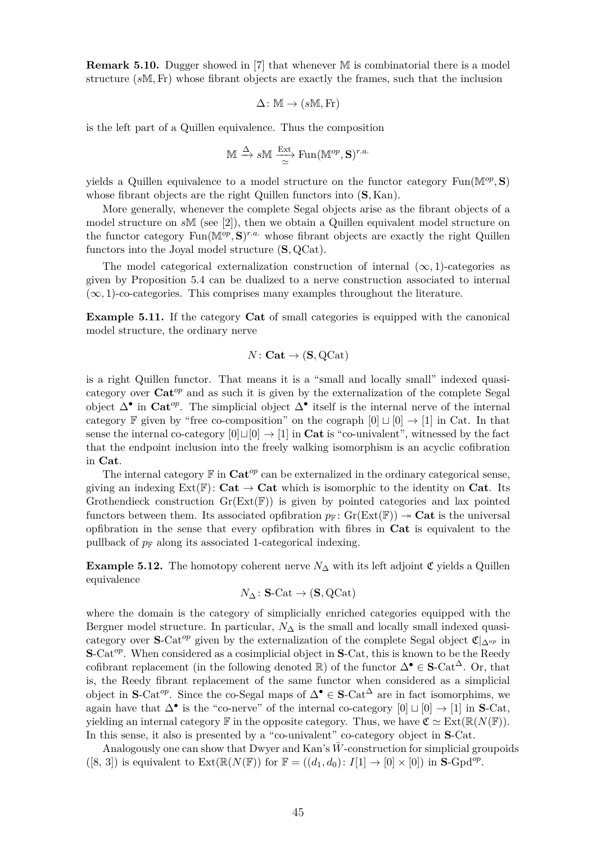**Remark 5.10.** Dugger showed in [\[7\]](#page-49-4) that whenever M is combinatorial there is a model structure (*s*M*,*Fr) whose fibrant objects are exactly the frames, such that the inclusion

$$
\Delta\colon \mathbb{M}\to (s\mathbb{M},\mathrm{Fr})
$$

is the left part of a Quillen equivalence. Thus the composition

$$
\mathbb{M} \xrightarrow{\Delta} s\mathbb{M} \xrightarrow[\simeq]{\text{Ext}} \text{Fun}(\mathbb{M}^{op}, \mathbf{S})^{r.a.}
$$

yields a Quillen equivalence to a model structure on the functor category  $\text{Fun}(\mathbb{M}^{op}, \mathbf{S})$ whose fibrant objects are the right Quillen functors into (**S***,* Kan).

More generally, whenever the complete Segal objects arise as the fibrant objects of a model structure on *s*M (see [\[2\]](#page-49-5)), then we obtain a Quillen equivalent model structure on the functor category  $\text{Fun}(\mathbb{M}^{op}, \mathbf{S})^{r.a.}$  whose fibrant objects are exactly the right Quillen functors into the Joyal model structure (**S***,* QCat).

The model categorical externalization construction of internal  $(\infty, 1)$ -categories as given by Proposition [5.4](#page-42-0) can be dualized to a nerve construction associated to internal  $(\infty, 1)$ -co-categories. This comprises many examples throughout the literature.

**Example 5.11.** If the category **Cat** of small categories is equipped with the canonical model structure, the ordinary nerve

$$
N\colon\mathbf{Cat}\to(\mathbf{S},\mathrm{QCat})
$$

is a right Quillen functor. That means it is a "small and locally small" indexed quasicategory over **Cat***op* and as such it is given by the externalization of the complete Segal object ∆• in **Cat***op*. The simplicial object ∆• itself is the internal nerve of the internal category F given by "free co-composition" on the cograph  $[0] \sqcup [0] \rightarrow [1]$  in Cat. In that sense the internal co-category  $[0] \cup [0] \rightarrow [1]$  in **Cat** is "co-univalent", witnessed by the fact that the endpoint inclusion into the freely walking isomorphism is an acyclic cofibration in **Cat**.

The internal category  $\mathbb{F}$  in  $\mathbf{Cat}^{op}$  can be externalized in the ordinary categorical sense, giving an indexing  $Ext(\mathbb{F})$ :  $Cat \to Cat$  which is isomorphic to the identity on **Cat**. Its Grothendieck construction  $Gr(Ext(\mathbb{F}))$  is given by pointed categories and lax pointed functors between them. Its associated opfibration  $p_F$ :  $Gr(Ext(F)) \rightarrow Cat$  is the universal opfibration in the sense that every opfibration with fibres in **Cat** is equivalent to the pullback of  $p_F$  along its associated 1-categorical indexing.

**Example 5.12.** The homotopy coherent nerve  $N_{\Delta}$  with its left adjoint  $\mathfrak{C}$  yields a Quillen equivalence

$$
N_{\Delta} \colon \mathbf{S}\text{-}\mathrm{Cat} \to (\mathbf{S}, \mathrm{QCat})
$$

where the domain is the category of simplicially enriched categories equipped with the Bergner model structure. In particular,  $N_{\Delta}$  is the small and locally small indexed quasicategory over **S**-Cat<sup>op</sup> given by the externalization of the complete Segal object  $\mathfrak{C}|_{\Delta^{op}}$  in **S**-Cat*op*. When considered as a cosimplicial object in **S**-Cat, this is known to be the Reedy cofibrant replacement (in the following denoted  $\mathbb{R}$ ) of the functor  $\Delta^{\bullet} \in S\text{-Cat}^{\Delta}$ . Or, that is, the Reedy fibrant replacement of the same functor when considered as a simplicial object in **S**-Cat<sup>op</sup>. Since the co-Segal maps of  $\Delta^{\bullet} \in S$ -Cat<sup> $\Delta$ </sup> are in fact isomorphims, we again have that  $\Delta^{\bullet}$  is the "co-nerve" of the internal co-category  $[0] \sqcup [0] \rightarrow [1]$  in **S**-Cat, yielding an internal category **F** in the opposite category. Thus, we have  $\mathfrak{C} \simeq \mathrm{Ext}(\mathbb{R}(N(\mathbb{F})).$ In this sense, it also is presented by a "co-univalent" co-category object in **S**-Cat.

<span id="page-44-0"></span>Analogously one can show that Dwyer and Kan's  $\bar{W}$ -construction for simplicial groupoids  $([8, 3])$  $([8, 3])$  $([8, 3])$  is equivalent to  $Ext(\mathbb{R}(N(\mathbb{F}))$  for  $\mathbb{F} = ((d_1, d_0): I[1] \to [0] \times [0])$  in  $S\text{-}\mathrm{Gpd}^{op}$ .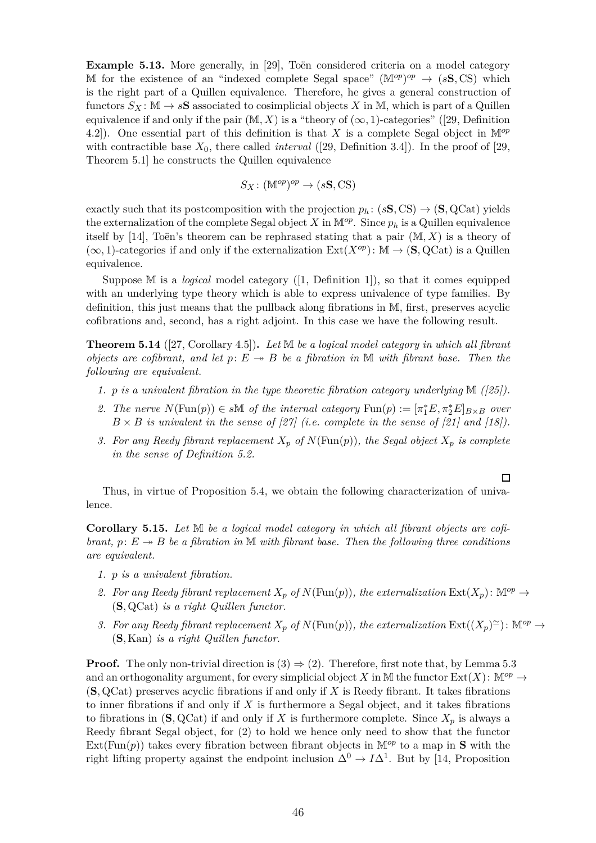**Example 5.13.** More generally, in [\[29\]](#page-50-14), Toën considered criteria on a model category M for the existence of an "indexed complete Segal space"  $(M^{op})^{op} \rightarrow (sS, CS)$  which is the right part of a Quillen equivalence. Therefore, he gives a general construction of functors  $S_X$ :  $\mathbb{M} \to s\mathbb{S}$  associated to cosimplicial objects X in  $\mathbb{M}$ , which is part of a Quillen equivalence if and only if the pair  $(M, X)$  is a "theory of  $(\infty, 1)$ -categories" ([\[29,](#page-50-14) Definition 4.2]). One essential part of this definition is that *X* is a complete Segal object in M*op* with contractible base  $X_0$ , there called *interval* ([\[29,](#page-50-14) Definition 3.4]). In the proof of [\[29,](#page-50-14) Theorem 5.1] he constructs the Quillen equivalence

$$
S_X\colon (\mathbb{M}^{op})^{op}\to (s\mathbf{S},\mathbf{CS})
$$

exactly such that its postcomposition with the projection  $p_h$ : ( $s$ **S**, CS)  $\rightarrow$  (**S**, QCat) yields the externalization of the complete Segal object *X* in  $\mathbb{M}^{op}$ . Since  $p_h$  is a Quillen equivalence itself by [\[14\]](#page-50-10), Toën's theorem can be rephrased stating that a pair  $(M, X)$  is a theory of  $(\infty, 1)$ -categories if and only if the externalization  $Ext(X^{op})$ : M  $\rightarrow$  (**S***,* QCat) is a Quillen equivalence.

Suppose M is a *logical* model category ([\[1,](#page-49-7) Definition 1]), so that it comes equipped with an underlying type theory which is able to express univalence of type families. By definition, this just means that the pullback along fibrations in M, first, preserves acyclic cofibrations and, second, has a right adjoint. In this case we have the following result.

<span id="page-45-1"></span>**Theorem 5.14** ([\[27,](#page-50-18) Corollary 4.5])**.** *Let* M *be a logical model category in which all fibrant objects are cofibrant, and let*  $p: E \rightarrow B$  *be a fibration in* M *with fibrant base. Then the following are equivalent.*

- *1. p is a univalent fibration in the type theoretic fibration category underlying* M *([\[25\]](#page-50-19)).*
- 2. The nerve  $N(\text{Fun}(p)) \in s\mathbb{M}$  of the internal category  $\text{Fun}(p) := [\pi_1^*E, \pi_2^*E]_{B \times B}$  over  $B \times B$  *is univalent in the sense of* [\[27\]](#page-50-18) *(i.e. complete in the sense of* [\[21\]](#page-50-9) *and* [\[18\]](#page-50-13)).
- *3. For any Reedy fibrant replacement*  $X_p$  *of*  $N(\text{Fun}(p))$ *, the Segal object*  $X_p$  *is complete in the sense of Definition [5.2.](#page-41-2)*

 $\Box$ 

<span id="page-45-0"></span>Thus, in virtue of Proposition [5.4,](#page-42-0) we obtain the following characterization of univalence.

**Corollary 5.15.** *Let* M *be a logical model category in which all fibrant objects are cofibrant,*  $p: E \rightarrow B$  *be a fibration in*  $M$  *with fibrant base. Then the following three conditions are equivalent.*

- *1. p is a univalent fibration.*
- 2. For any Reedy fibrant replacement  $X_p$  of  $N(\text{Fun}(p))$ , the externalization  $\text{Ext}(X_p)$ :  $\mathbb{M}^{op} \to$ (**S***,* QCat) *is a right Quillen functor.*
- *3. For any Reedy fibrant replacement*  $X_p$  *of*  $N(\text{Fun}(p))$ *, the externalization*  $\text{Ext}((X_p)^{\simeq})$ :  $\mathbb{M}^{op} \to$ (**S***,* Kan) *is a right Quillen functor.*

**Proof.** The only non-trivial direction is  $(3) \Rightarrow (2)$ . Therefore, first note that, by Lemma [5.3](#page-41-1) and an orthogonality argument, for every simplicial object *X* in M the functor  $Ext(X)$ :  $\mathbb{M}^{op} \to$ (**S***,* QCat) preserves acyclic fibrations if and only if *X* is Reedy fibrant. It takes fibrations to inner fibrations if and only if *X* is furthermore a Segal object, and it takes fibrations to fibrations in  $(\mathbf{S}, \mathrm{QCat})$  if and only if X is furthermore complete. Since  $X_p$  is always a Reedy fibrant Segal object, for (2) to hold we hence only need to show that the functor  $Ext(Fun(p))$  takes every fibration between fibrant objects in  $M^{op}$  to a map in **S** with the right lifting property against the endpoint inclusion  $\Delta^0 \to I \Delta^1$ . But by [\[14,](#page-50-10) Proposition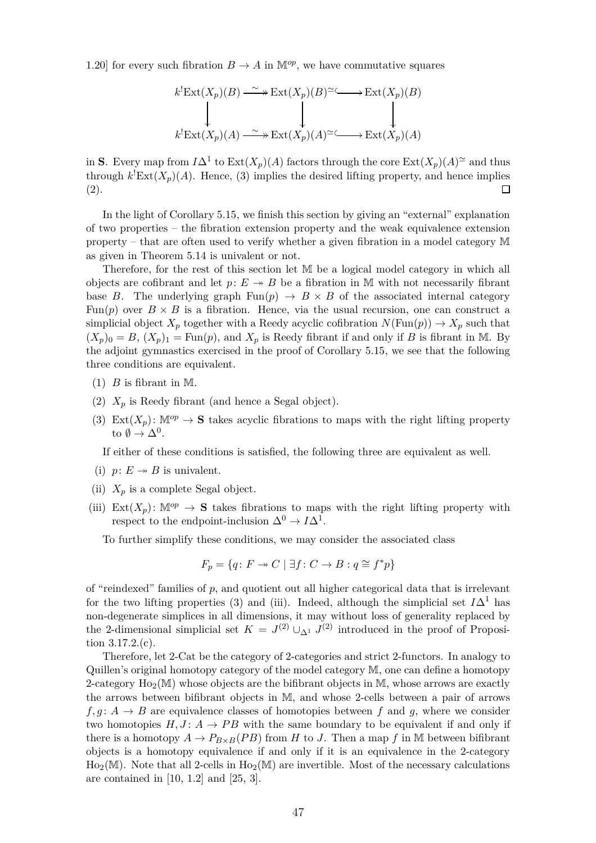1.20] for every such fibration  $B \to A$  in  $\mathbb{M}^{op}$ , we have commutative squares

$$
k^{!}Ext(X_{p})(B) \xrightarrow{\sim} Ext(X_{p})(B)^{\simeq} \longrightarrow Ext(X_{p})(B)
$$
  

$$
\downarrow \qquad \qquad \downarrow \qquad \qquad \downarrow
$$
  

$$
k^{!}Ext(X_{p})(A) \xrightarrow{\sim} Ext(X_{p})(A)^{\simeq} \longrightarrow Ext(X_{p})(A)
$$

in **S**. Every map from  $I\Delta^1$  to  $\text{Ext}(X_p)(A)$  factors through the core  $\text{Ext}(X_p)(A)$ <sup> $\simeq$ </sup> and thus through  $k^!$ **Ext** $(X_p)(A)$ . Hence, (3) implies the desired lifting property, and hence implies (2).  $\Box$ 

In the light of Corollary [5.15,](#page-45-0) we finish this section by giving an "external" explanation of two properties – the fibration extension property and the weak equivalence extension property – that are often used to verify whether a given fibration in a model category M as given in Theorem [5.14](#page-45-1) is univalent or not.

Therefore, for the rest of this section let M be a logical model category in which all objects are cofibrant and let  $p: E \rightarrow B$  be a fibration in M with not necessarily fibrant base *B*. The underlying graph  $\text{Fun}(p) \to B \times B$  of the associated internal category Fun(*p*) over  $B \times B$  is a fibration. Hence, via the usual recursion, one can construct a simplicial object  $X_p$  together with a Reedy acyclic cofibration  $N(\text{Fun}(p)) \to X_p$  such that  $(X_p)_0 = B$ ,  $(X_p)_1 = \text{Fun}(p)$ , and  $X_p$  is Reedy fibrant if and only if *B* is fibrant in M. By the adjoint gymnastics exercised in the proof of Corollary [5.15,](#page-45-0) we see that the following three conditions are equivalent.

- $(1)$  *B* is fibrant in M.
- (2)  $X_p$  is Reedy fibrant (and hence a Segal object).
- (3) Ext $(X_p)$ :  $\mathbb{M}^{op} \to \mathbf{S}$  takes acyclic fibrations to maps with the right lifting property to  $\emptyset \to \Delta^0$ .

If either of these conditions is satisfied, the following three are equivalent as well.

- (i)  $p: E \rightarrow B$  is univalent.
- (ii)  $X_p$  is a complete Segal object.
- (iii)  $\text{Ext}(X_n): \mathbb{M}^{op} \to \mathbf{S}$  takes fibrations to maps with the right lifting property with respect to the endpoint-inclusion  $\Delta^0 \to I \Delta^1$ .

To further simplify these conditions, we may consider the associated class

$$
F_p = \{q \colon F \to C \mid \exists f \colon C \to B : q \cong f^*p\}
$$

of "reindexed" families of  $p$ , and quotient out all higher categorical data that is irrelevant for the two lifting properties (3) and (iii). Indeed, although the simplicial set  $I\Delta^1$  has non-degenerate simplices in all dimensions, it may without loss of generality replaced by the 2-dimensional simplicial set  $K = J^{(2)} \cup_{\Delta^1} J^{(2)}$  introduced in the proof of Proposition [3.17.](#page-19-0)2.(c).

Therefore, let 2-Cat be the category of 2-categories and strict 2-functors. In analogy to Quillen's original homotopy category of the model category M, one can define a homotopy 2-category  $Ho_2(\mathbb{M})$  whose objects are the bifibrant objects in  $\mathbb{M}$ , whose arrows are exactly the arrows between bifibrant objects in M, and whose 2-cells between a pair of arrows  $f, g: A \rightarrow B$  are equivalence classes of homotopies between f and g, where we consider two homotopies  $H, J: A \rightarrow PB$  with the same boundary to be equivalent if and only if there is a homotopy  $A \to P_{B \times B}(PB)$  from *H* to *J*. Then a map *f* in M between bifibrant objects is a homotopy equivalence if and only if it is an equivalence in the 2-category  $Ho<sub>2</sub>(M)$ . Note that all 2-cells in  $Ho<sub>2</sub>(M)$  are invertible. Most of the necessary calculations are contained in [\[10,](#page-50-16) 1.2] and [\[25,](#page-50-19) 3].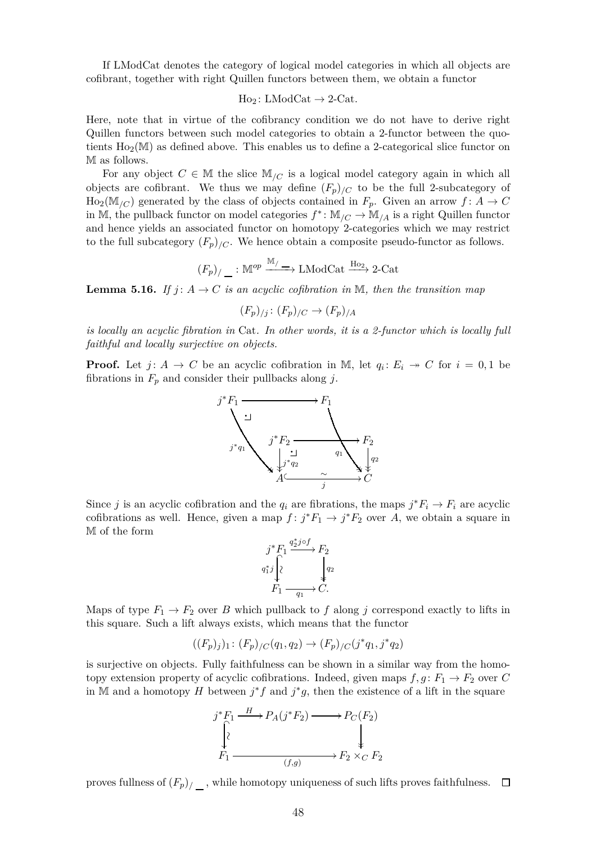If LModCat denotes the category of logical model categories in which all objects are cofibrant, together with right Quillen functors between them, we obtain a functor

 $Ho_2: LModCat \rightarrow 2-Cat.$ 

Here, note that in virtue of the cofibrancy condition we do not have to derive right Quillen functors between such model categories to obtain a 2-functor between the quotients  $Ho_2(M)$  as defined above. This enables us to define a 2-categorical slice functor on M as follows.

For any object  $C \in \mathbb{M}$  the slice  $\mathbb{M}_{/C}$  is a logical model category again in which all objects are cofibrant. We thus we may define  $(F_p)_{/C}$  to be the full 2-subcategory of  $\text{Ho}_2(\mathbb{M}_{/C})$  generated by the class of objects contained in  $F_p$ . Given an arrow  $f: A \to C$ in M, the pullback functor on model categories  $f^* \colon \mathbb{M}_{/C} \to \mathbb{M}_{/A}$  is a right Quillen functor and hence yields an associated functor on homotopy 2-categories which we may restrict to the full subcategory  $(F_p)_{/C}$ . We hence obtain a composite pseudo-functor as follows.

$$
(F_p)_{\langle}
$$
 :  $\mathbb{M}^{op} \xrightarrow{\mathbb{M}_{\langle}}$  LModCat  $\xrightarrow{\text{Ho}_{2}}$  2-Cat

<span id="page-47-0"></span>**Lemma 5.16.** *If*  $j: A \to C$  *is an acyclic cofibration in* M, then the transition map

$$
(F_p)_{/j} \colon (F_p)_{/C} \to (F_p)_{/A}
$$

*is locally an acyclic fibration in* Cat*. In other words, it is a 2-functor which is locally full faithful and locally surjective on objects.*

**Proof.** Let  $j: A \to C$  be an acyclic cofibration in M, let  $q_i: E_i \to C$  for  $i = 0, 1$  be fibrations in  $F_p$  and consider their pullbacks along *j*.



Since *j* is an acyclic cofibration and the  $q_i$  are fibrations, the maps  $j^*F_i \to F_i$  are acyclic cofibrations as well. Hence, given a map  $f: j^*F_1 \to j^*F_2$  over A, we obtain a square in M of the form

$$
\begin{array}{c} j^*F_1 \stackrel{q_2^*j\circ f}\longrightarrow F_2 \\ q_1^*j \stackrel{\left\{\begin{matrix} \\ \end{matrix}\right\} }{\left\{\begin{matrix} \\ \end{matrix}\right\}} \stackrel{\left\{\begin{matrix} \\ \end{matrix}\right\} }{\left\{\begin{matrix} \\ \end{matrix}\right\} } \begin{matrix} \\ q_2 \\ \vdots \\ q_n \end{matrix} \end{array}
$$

Maps of type  $F_1 \rightarrow F_2$  over *B* which pullback to *f* along *j* correspond exactly to lifts in this square. Such a lift always exists, which means that the functor

$$
((F_p)_j)_1\colon (F_p)_{/C}(q_1, q_2) \to (F_p)_{/C}(j^*q_1, j^*q_2)
$$

is surjective on objects. Fully faithfulness can be shown in a similar way from the homotopy extension property of acyclic cofibrations. Indeed, given maps  $f, g \colon F_1 \to F_2$  over C in M and a homotopy *H* between  $j * f$  and  $j * g$ , then the existence of a lift in the square



proves fullness of (*Fp*)*/* , while homotopy uniqueness of such lifts proves faithfulness.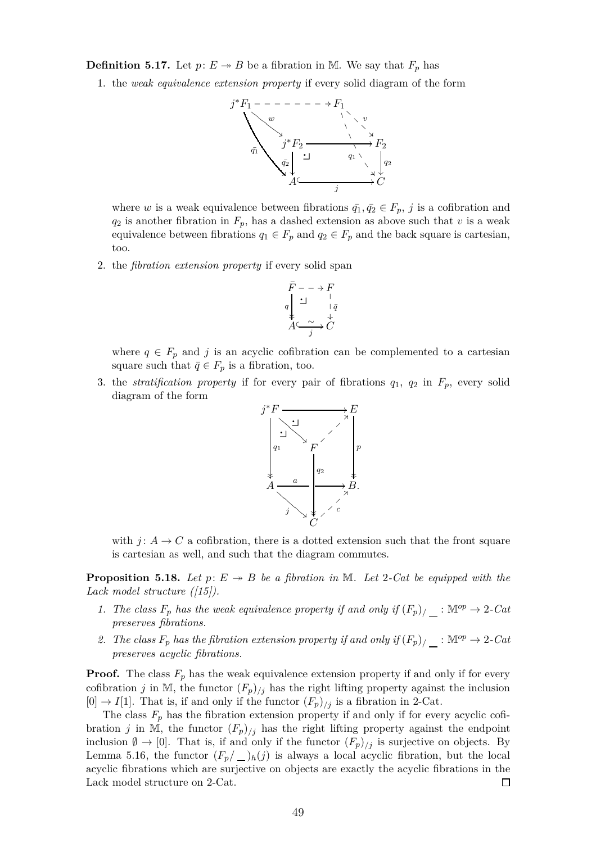**Definition 5.17.** Let  $p: E \to B$  be a fibration in M. We say that  $F_p$  has

1. the *weak equivalence extension property* if every solid diagram of the form



where *w* is a weak equivalence between fibrations  $\bar{q}_1, \bar{q}_2 \in F_p$ , *j* is a cofibration and  $q_2$  is another fibration in  $F_p$ , has a dashed extension as above such that *v* is a weak equivalence between fibrations  $q_1 \in F_p$  and  $q_2 \in F_p$  and the back square is cartesian, too.

2. the *fibration extension property* if every solid span

$$
\begin{array}{c}\n\bar{F} \, - \, - \, \rightarrow \, F \\
q \Big\downarrow \, \underline{\hspace{1cm}} & \, \vert \, \bar{q} \\
\text{\Large $ \downarrow$} & \, \downarrow \, \bar{q} \\
A \stackrel{\sim}{\longleftarrow} & \, \downarrow \, C\n\end{array}
$$

where  $q \in F_p$  and *j* is an acyclic cofibration can be complemented to a cartesian square such that  $\bar{q} \in F_p$  is a fibration, too.

3. the *stratification property* if for every pair of fibrations  $q_1$ ,  $q_2$  in  $F_p$ , every solid diagram of the form



with  $j: A \to C$  a cofibration, there is a dotted extension such that the front square is cartesian as well, and such that the diagram commutes.

<span id="page-48-0"></span>**Proposition 5.18.** Let  $p: E \rightarrow B$  be a fibration in M. Let 2-Cat be equipped with the *Lack model structure ([\[15\]](#page-50-20)).*

- *1. The class*  $F_p$  *has the weak equivalence property if and only if*  $(F_p)$ / $\_$ :  $\mathbb{M}^{op} \to 2$ *-Cat preserves fibrations.*
- 2. The class  $F_p$  has the fibration extension property if and only if  $(F_p)$ /<sub>1</sub>: M<sup>op</sup>  $\rightarrow$  2*-Cat preserves acyclic fibrations.*

**Proof.** The class  $F_p$  has the weak equivalence extension property if and only if for every cofibration *j* in M, the functor  $(F_p)_{/j}$  has the right lifting property against the inclusion  $[0] \rightarrow I[1]$ . That is, if and only if the functor  $(F_p)_{/j}$  is a fibration in 2-Cat.

The class  $F_p$  has the fibration extension property if and only if for every acyclic cofibration *j* in M, the functor  $(F_p)_{/j}$  has the right lifting property against the endpoint inclusion  $\emptyset \to [0]$ . That is, if and only if the functor  $(F_p)_{/j}$  is surjective on objects. By Lemma [5.16,](#page-47-0) the functor  $(F_p/\_)_h(j)$  is always a local acyclic fibration, but the local acyclic fibrations which are surjective on objects are exactly the acyclic fibrations in the Lack model structure on 2-Cat.  $\Box$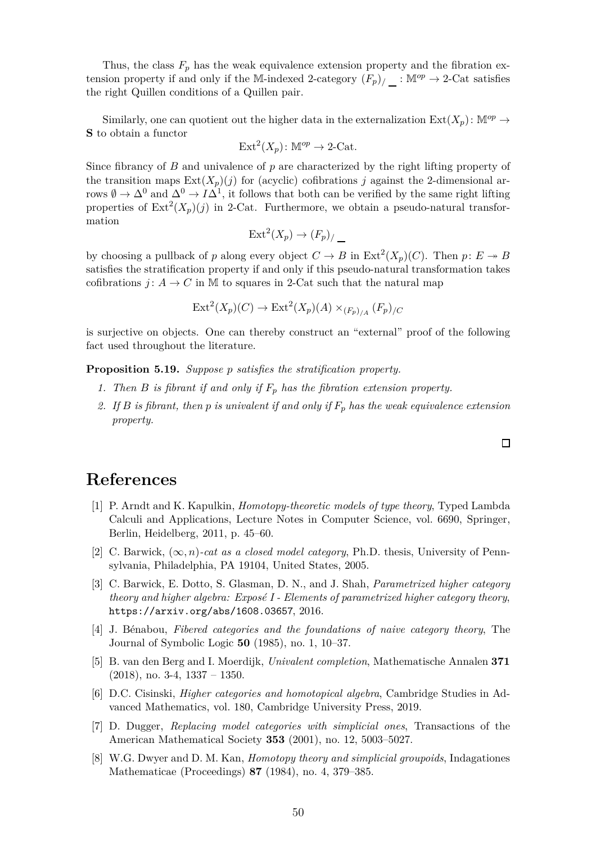Thus, the class  $F_p$  has the weak equivalence extension property and the fibration extension property if and only if the M-indexed 2-category  $(F_p)$ <sub>/</sub> : M<sup>op</sup>  $\rightarrow$  2-Cat satisfies the right Quillen conditions of a Quillen pair.

Similarly, one can quotient out the higher data in the externalization  $Ext(X_p)$ :  $\mathbb{M}^{op} \to$ **S** to obtain a functor

$$
Ext2(Xp): \mathbb{M}^{op} \to 2\text{-Cat}.
$$

Since fibrancy of *B* and univalence of *p* are characterized by the right lifting property of the transition maps  $Ext(X_p)(j)$  for (acyclic) cofibrations *j* against the 2-dimensional arrows  $\emptyset \to \Delta^0$  and  $\Delta^0 \to I\Delta^1$ , it follows that both can be verified by the same right lifting properties of  $\text{Ext}^2(X_p)(j)$  in 2-Cat. Furthermore, we obtain a pseudo-natural transformation

$$
Ext2(Xp) \to (Fp)/
$$

by choosing a pullback of *p* along every object  $C \to B$  in  $\text{Ext}^2(X_p)(C)$ . Then  $p: E \to B$ satisfies the stratification property if and only if this pseudo-natural transformation takes cofibrations *j* :  $A \rightarrow C$  in M to squares in 2-Cat such that the natural map

$$
\operatorname{Ext}^2(X_p)(C) \to \operatorname{Ext}^2(X_p)(A) \times_{(F_p)_{/A}} (F_p)_{/C}
$$

is surjective on objects. One can thereby construct an "external" proof of the following fact used throughout the literature.

**Proposition 5.19.** *Suppose p satisfies the stratification property.*

- *1. Then B is fibrant if and only if F<sup>p</sup> has the fibration extension property.*
- *2. If B is fibrant, then p is univalent if and only if F<sup>p</sup> has the weak equivalence extension property.*

## <span id="page-49-7"></span>**References**

- [1] P. Arndt and K. Kapulkin, *Homotopy-theoretic models of type theory*, Typed Lambda Calculi and Applications, Lecture Notes in Computer Science, vol. 6690, Springer, Berlin, Heidelberg, 2011, p. 45–60.
- <span id="page-49-5"></span>[2] C. Barwick, (∞*, n*)*-cat as a closed model category*, Ph.D. thesis, University of Pennsylvania, Philadelphia, PA 19104, United States, 2005.
- <span id="page-49-1"></span>[3] C. Barwick, E. Dotto, S. Glasman, D. N., and J. Shah, *Parametrized higher category theory and higher algebra: Exposé I - Elements of parametrized higher category theory,* <https://arxiv.org/abs/1608.03657>, 2016.
- <span id="page-49-0"></span>[4] J. B´enabou, *Fibered categories and the foundations of naive category theory*, The Journal of Symbolic Logic **50** (1985), no. 1, 10–37.
- <span id="page-49-3"></span>[5] B. van den Berg and I. Moerdijk, *Univalent completion*, Mathematische Annalen **371** (2018), no. 3-4, 1337 – 1350.
- <span id="page-49-2"></span>[6] D.C. Cisinski, *Higher categories and homotopical algebra*, Cambridge Studies in Advanced Mathematics, vol. 180, Cambridge University Press, 2019.
- <span id="page-49-4"></span>[7] D. Dugger, *Replacing model categories with simplicial ones*, Transactions of the American Mathematical Society **353** (2001), no. 12, 5003–5027.
- <span id="page-49-6"></span>[8] W.G. Dwyer and D. M. Kan, *Homotopy theory and simplicial groupoids*, Indagationes Mathematicae (Proceedings) **87** (1984), no. 4, 379–385.

 $\Box$